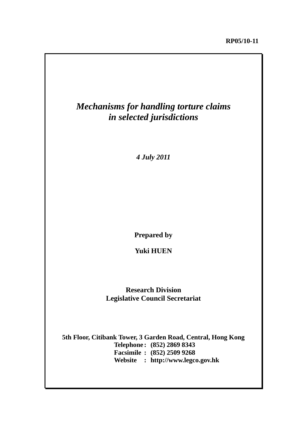

*4 July 2011*

**Prepared by** 

**Yuki HUEN** 

**Research Division Legislative Council Secretariat**

**5th Floor, Citibank Tower, 3 Garden Road, Central, Hong Kong Telephone : (852) 2869 8343 Facsimile : (852) 2509 9268 Website : http://www.legco.gov.hk**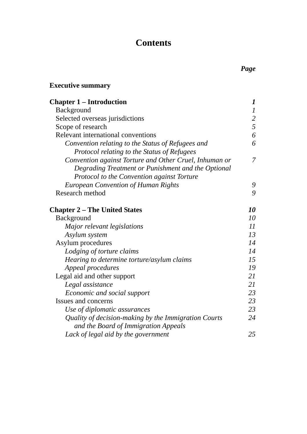# **Contents**

# **Executive summary**

| <b>Chapter 1 – Introduction</b>                        | $\bm{l}$         |
|--------------------------------------------------------|------------------|
| Background                                             | $\boldsymbol{l}$ |
| Selected overseas jurisdictions                        | $rac{2}{5}$      |
| Scope of research                                      |                  |
| Relevant international conventions                     | 6                |
| Convention relating to the Status of Refugees and      | 6                |
| Protocol relating to the Status of Refugees            |                  |
| Convention against Torture and Other Cruel, Inhuman or | $\overline{7}$   |
| Degrading Treatment or Punishment and the Optional     |                  |
| Protocol to the Convention against Torture             |                  |
| <b>European Convention of Human Rights</b>             | 9                |
| Research method                                        | 9                |
| <b>Chapter 2 – The United States</b>                   | 10               |
| <b>Background</b>                                      | 10               |
| Major relevant legislations                            | 11               |
| Asylum system                                          | 13               |
| Asylum procedures                                      | 14               |
| Lodging of torture claims                              | 14               |
| Hearing to determine torture/asylum claims             | 15               |
| Appeal procedures                                      | 19               |
| Legal aid and other support                            | 21               |
| Legal assistance                                       | 21               |
| Economic and social support                            | 23               |
| Issues and concerns                                    | 23               |
| Use of diplomatic assurances                           | 23               |
| Quality of decision-making by the Immigration Courts   | 24               |
| and the Board of Immigration Appeals                   |                  |
| Lack of legal aid by the government                    | 25               |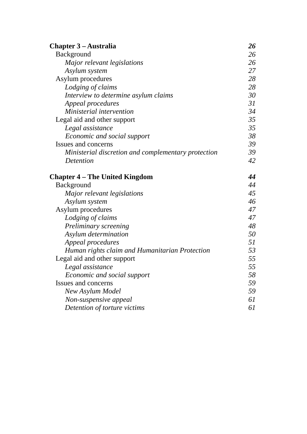| <b>Chapter 3 – Australia</b>                        | 26 |
|-----------------------------------------------------|----|
| Background                                          | 26 |
| Major relevant legislations                         | 26 |
| Asylum system                                       | 27 |
| Asylum procedures                                   | 28 |
| Lodging of claims                                   | 28 |
| Interview to determine asylum claims                | 30 |
| Appeal procedures                                   | 31 |
| Ministerial intervention                            | 34 |
| Legal aid and other support                         | 35 |
| Legal assistance                                    | 35 |
| Economic and social support                         | 38 |
| Issues and concerns                                 | 39 |
| Ministerial discretion and complementary protection | 39 |
| Detention                                           | 42 |
| <b>Chapter 4 – The United Kingdom</b>               | 44 |
| <b>Background</b>                                   | 44 |
| Major relevant legislations                         | 45 |
| Asylum system                                       | 46 |
| Asylum procedures                                   | 47 |
| Lodging of claims                                   | 47 |
| Preliminary screening                               | 48 |
| Asylum determination                                | 50 |
| Appeal procedures                                   | 51 |
| Human rights claim and Humanitarian Protection      | 53 |
| Legal aid and other support                         | 55 |
| Legal assistance                                    | 55 |
| Economic and social support                         | 58 |
| <b>Issues and concerns</b>                          | 59 |
| New Asylum Model                                    | 59 |
| Non-suspensive appeal                               | 61 |
| Detention of torture victims                        | 61 |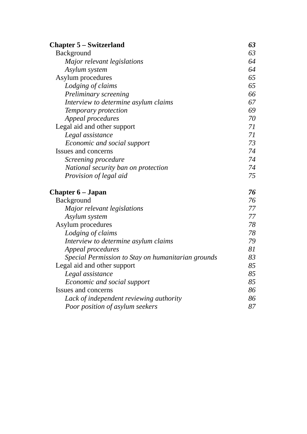| <b>Chapter 5 – Switzerland</b>                     | 63 |
|----------------------------------------------------|----|
| <b>Background</b>                                  | 63 |
| Major relevant legislations                        | 64 |
| Asylum system                                      | 64 |
| Asylum procedures                                  | 65 |
| Lodging of claims                                  | 65 |
| Preliminary screening                              | 66 |
| Interview to determine asylum claims               | 67 |
| Temporary protection                               | 69 |
| Appeal procedures                                  | 70 |
| Legal aid and other support                        | 71 |
| Legal assistance                                   | 71 |
| Economic and social support                        | 73 |
| Issues and concerns                                | 74 |
| Screening procedure                                | 74 |
| National security ban on protection                | 74 |
| Provision of legal aid                             | 75 |
| <b>Chapter 6 – Japan</b>                           | 76 |
| Background                                         | 76 |
| Major relevant legislations                        | 77 |
| Asylum system                                      | 77 |
| Asylum procedures                                  | 78 |
| Lodging of claims                                  | 78 |
| Interview to determine asylum claims               | 79 |
| Appeal procedures                                  | 81 |
| Special Permission to Stay on humanitarian grounds | 83 |
| Legal aid and other support                        | 85 |
| Legal assistance                                   | 85 |
| Economic and social support                        | 85 |
| Issues and concerns                                | 86 |
| Lack of independent reviewing authority            | 86 |
| Poor position of asylum seekers                    | 87 |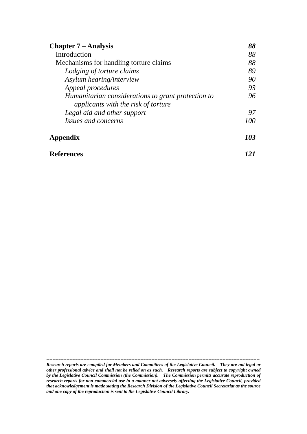| <b>Chapter 7 – Analysis</b><br>Introduction                                               | 88<br>88   |
|-------------------------------------------------------------------------------------------|------------|
|                                                                                           |            |
| Lodging of torture claims                                                                 | 89         |
| Asylum hearing/interview                                                                  | 90         |
| Appeal procedures                                                                         | 93         |
| Humanitarian considerations to grant protection to<br>applicants with the risk of torture | 96         |
| Legal aid and other support                                                               | 97         |
| <i>Issues and concerns</i>                                                                | 100        |
| Appendix                                                                                  | <b>103</b> |
| References                                                                                |            |

*Research reports are compiled for Members and Committees of the Legislative Council. They are not legal or other professional advice and shall not be relied on as such. Research reports are subject to copyright owned by the Legislative Council Commission (the Commission). The Commission permits accurate reproduction of research reports for non-commercial use in a manner not adversely affecting the Legislative Council, provided that acknowledgement is made stating the Research Division of the Legislative Council Secretariat as the source and one copy of the reproduction is sent to the Legislative Council Library.*

**------------------------------------------------------------------------------------------------------------------------------------------**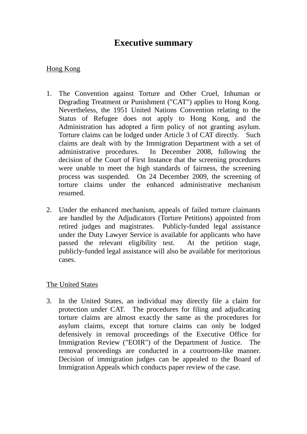# **Executive summary**

# Hong Kong

- 1. The Convention against Torture and Other Cruel, Inhuman or Degrading Treatment or Punishment ("CAT") applies to Hong Kong. Nevertheless, the 1951 United Nations Convention relating to the Status of Refugee does not apply to Hong Kong, and the Administration has adopted a firm policy of not granting asylum. Torture claims can be lodged under Article 3 of CAT directly. Such claims are dealt with by the Immigration Department with a set of administrative procedures. In December 2008, following the decision of the Court of First Instance that the screening procedures were unable to meet the high standards of fairness, the screening process was suspended. On 24 December 2009, the screening of torture claims under the enhanced administrative mechanism resumed.
- 2. Under the enhanced mechanism, appeals of failed torture claimants are handled by the Adjudicators (Torture Petitions) appointed from retired judges and magistrates. Publicly-funded legal assistance under the Duty Lawyer Service is available for applicants who have passed the relevant eligibility test. At the petition stage, publicly-funded legal assistance will also be available for meritorious cases.

## The United States

3. In the United States, an individual may directly file a claim for protection under CAT. The procedures for filing and adjudicating torture claims are almost exactly the same as the procedures for asylum claims, except that torture claims can only be lodged defensively in removal proceedings of the Executive Office for Immigration Review ("EOIR") of the Department of Justice. The removal proceedings are conducted in a courtroom-like manner. Decision of immigration judges can be appealed to the Board of Immigration Appeals which conducts paper review of the case.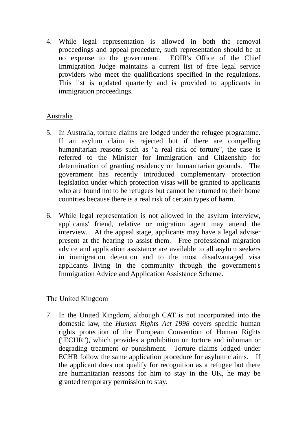4. While legal representation is allowed in both the removal proceedings and appeal procedure, such representation should be at no expense to the government. EOIR's Office of the Chief Immigration Judge maintains a current list of free legal service providers who meet the qualifications specified in the regulations. This list is updated quarterly and is provided to applicants in immigration proceedings.

## Australia

- 5. In Australia, torture claims are lodged under the refugee programme. If an asylum claim is rejected but if there are compelling humanitarian reasons such as "a real risk of torture", the case is referred to the Minister for Immigration and Citizenship for determination of granting residency on humanitarian grounds. The government has recently introduced complementary protection legislation under which protection visas will be granted to applicants who are found not to be refugees but cannot be returned to their home countries because there is a real risk of certain types of harm.
- 6. While legal representation is not allowed in the asylum interview, applicants' friend, relative or migration agent may attend the interview. At the appeal stage, applicants may have a legal adviser present at the hearing to assist them. Free professional migration advice and application assistance are available to all asylum seekers in immigration detention and to the most disadvantaged visa applicants living in the community through the government's Immigration Advice and Application Assistance Scheme.

# The United Kingdom

7. In the United Kingdom, although CAT is not incorporated into the domestic law, the *Human Rights Act 1998* covers specific human rights protection of the European Convention of Human Rights ("ECHR"), which provides a prohibition on torture and inhuman or degrading treatment or punishment. Torture claims lodged under ECHR follow the same application procedure for asylum claims. If the applicant does not qualify for recognition as a refugee but there are humanitarian reasons for him to stay in the UK, he may be granted temporary permission to stay.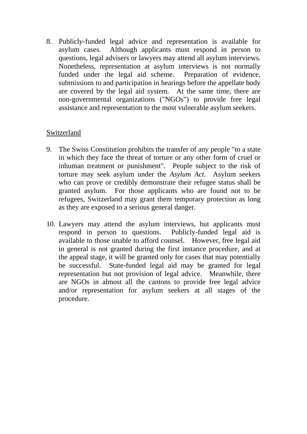8. Publicly-funded legal advice and representation is available for asylum cases. Although applicants must respond in person to questions, legal advisers or lawyers may attend all asylum interviews. Nonetheless, representation at asylum interviews is not normally funded under the legal aid scheme. Preparation of evidence, submissions to and participation in hearings before the appellate body are covered by the legal aid system. At the same time, there are non-governmental organizations ("NGOs") to provide free legal assistance and representation to the most vulnerable asylum seekers.

## Switzerland

- 9. The Swiss Constitution prohibits the transfer of any people "to a state in which they face the threat of torture or any other form of cruel or inhuman treatment or punishment". People subject to the risk of torture may seek asylum under the *Asylum Act*. Asylum seekers who can prove or credibly demonstrate their refugee status shall be granted asylum. For those applicants who are found not to be refugees, Switzerland may grant them temporary protection as long as they are exposed to a serious general danger.
- 10. Lawyers may attend the asylum interviews, but applicants must respond in person to questions. Publicly-funded legal aid is available to those unable to afford counsel. However, free legal aid in general is not granted during the first instance procedure, and at the appeal stage, it will be granted only for cases that may potentially be successful. State-funded legal aid may be granted for legal representation but not provision of legal advice. Meanwhile, there are NGOs in almost all the cantons to provide free legal advice and/or representation for asylum seekers at all stages of the procedure.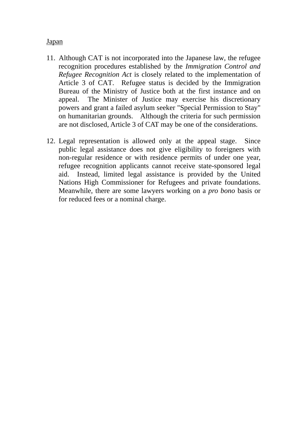#### Japan

- 11. Although CAT is not incorporated into the Japanese law, the refugee recognition procedures established by the *Immigration Control and Refugee Recognition Act* is closely related to the implementation of Article 3 of CAT. Refugee status is decided by the Immigration Bureau of the Ministry of Justice both at the first instance and on appeal. The Minister of Justice may exercise his discretionary powers and grant a failed asylum seeker "Special Permission to Stay" on humanitarian grounds. Although the criteria for such permission are not disclosed, Article 3 of CAT may be one of the considerations.
- 12. Legal representation is allowed only at the appeal stage. Since public legal assistance does not give eligibility to foreigners with non-regular residence or with residence permits of under one year, refugee recognition applicants cannot receive state-sponsored legal aid. Instead, limited legal assistance is provided by the United Nations High Commissioner for Refugees and private foundations. Meanwhile, there are some lawyers working on a *pro bono* basis or for reduced fees or a nominal charge.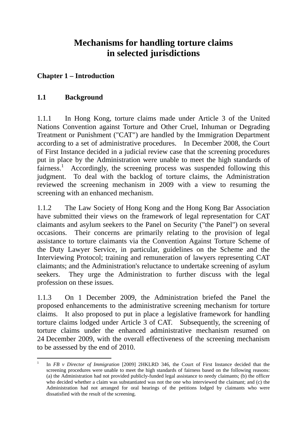# **Mechanisms for handling torture claims in selected jurisdictions**

# **Chapter 1 – Introduction**

# **1.1 Background**

1.1.1 In Hong Kong, torture claims made under Article 3 of the United Nations Convention against Torture and Other Cruel, Inhuman or Degrading Treatment or Punishment ("CAT") are handled by the Immigration Department according to a set of administrative procedures. In December 2008, the Court of First Instance decided in a judicial review case that the screening procedures put in place by the Administration were unable to meet the high standards of fairness.<sup>1</sup> Accordingly, the screening process was suspended following this judgment. To deal with the backlog of torture claims, the Administration reviewed the screening mechanism in 2009 with a view to resuming the screening with an enhanced mechanism.

1.1.2 The Law Society of Hong Kong and the Hong Kong Bar Association have submitted their views on the framework of legal representation for CAT claimants and asylum seekers to the Panel on Security ("the Panel") on several occasions. Their concerns are primarily relating to the provision of legal assistance to torture claimants via the Convention Against Torture Scheme of the Duty Lawyer Service, in particular, guidelines on the Scheme and the Interviewing Protocol; training and remuneration of lawyers representing CAT claimants; and the Administration's reluctance to undertake screening of asylum seekers. They urge the Administration to further discuss with the legal profession on these issues.

1.1.3 On 1 December 2009, the Administration briefed the Panel the proposed enhancements to the administrative screening mechanism for torture claims. It also proposed to put in place a legislative framework for handling torture claims lodged under Article 3 of CAT. Subsequently, the screening of torture claims under the enhanced administrative mechanism resumed on 24 December 2009, with the overall effectiveness of the screening mechanism to be assessed by the end of 2010.

 $\frac{1}{1}$  In *FB v Director of Immigration* [2009] 2HKLRD 346, the Court of First Instance decided that the screening procedures were unable to meet the high standards of fairness based on the following reasons: (a) the Administration had not provided publicly-funded legal assistance to needy claimants; (b) the officer who decided whether a claim was substantiated was not the one who interviewed the claimant; and (c) the Administration had not arranged for oral hearings of the petitions lodged by claimants who were dissatisfied with the result of the screening.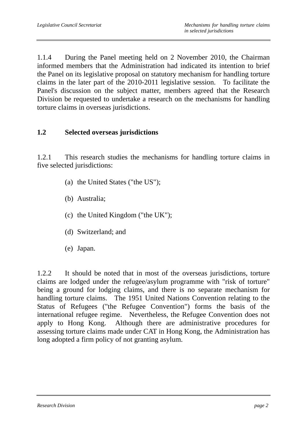1.1.4 During the Panel meeting held on 2 November 2010, the Chairman informed members that the Administration had indicated its intention to brief the Panel on its legislative proposal on statutory mechanism for handling torture claims in the later part of the 2010-2011 legislative session. To facilitate the Panel's discussion on the subject matter, members agreed that the Research Division be requested to undertake a research on the mechanisms for handling torture claims in overseas jurisdictions.

## **1.2 Selected overseas jurisdictions**

1.2.1 This research studies the mechanisms for handling torture claims in five selected jurisdictions:

- (a) the United States ("the US");
- (b) Australia;
- (c) the United Kingdom ("the UK");
- (d) Switzerland; and
- (e) Japan.

1.2.2 It should be noted that in most of the overseas jurisdictions, torture claims are lodged under the refugee/asylum programme with "risk of torture" being a ground for lodging claims, and there is no separate mechanism for handling torture claims. The 1951 United Nations Convention relating to the Status of Refugees ("the Refugee Convention") forms the basis of the international refugee regime. Nevertheless, the Refugee Convention does not apply to Hong Kong. Although there are administrative procedures for assessing torture claims made under CAT in Hong Kong, the Administration has long adopted a firm policy of not granting asylum.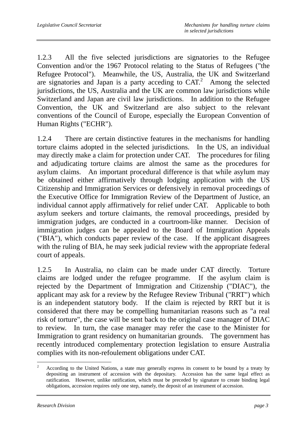1.2.3 All the five selected jurisdictions are signatories to the Refugee Convention and/or the 1967 Protocol relating to the Status of Refugees ("the Refugee Protocol"). Meanwhile, the US, Australia, the UK and Switzerland are signatories and Japan is a party acceding to  $CAT<sup>2</sup>$ . Among the selected jurisdictions, the US, Australia and the UK are common law jurisdictions while Switzerland and Japan are civil law jurisdictions. In addition to the Refugee Convention, the UK and Switzerland are also subject to the relevant conventions of the Council of Europe, especially the European Convention of Human Rights ("ECHR").

1.2.4 There are certain distinctive features in the mechanisms for handling torture claims adopted in the selected jurisdictions. In the US, an individual may directly make a claim for protection under CAT. The procedures for filing and adjudicating torture claims are almost the same as the procedures for asylum claims. An important procedural difference is that while asylum may be obtained either affirmatively through lodging application with the US Citizenship and Immigration Services or defensively in removal proceedings of the Executive Office for Immigration Review of the Department of Justice, an individual cannot apply affirmatively for relief under CAT. Applicable to both asylum seekers and torture claimants, the removal proceedings, presided by immigration judges, are conducted in a courtroom-like manner. Decision of immigration judges can be appealed to the Board of Immigration Appeals ("BIA"), which conducts paper review of the case. If the applicant disagrees with the ruling of BIA, he may seek judicial review with the appropriate federal court of appeals.

1.2.5 In Australia, no claim can be made under CAT directly. Torture claims are lodged under the refugee programme. If the asylum claim is rejected by the Department of Immigration and Citizenship ("DIAC"), the applicant may ask for a review by the Refugee Review Tribunal ("RRT") which is an independent statutory body. If the claim is rejected by RRT but it is considered that there may be compelling humanitarian reasons such as "a real risk of torture", the case will be sent back to the original case manager of DIAC to review. In turn, the case manager may refer the case to the Minister for Immigration to grant residency on humanitarian grounds. The government has recently introduced complementary protection legislation to ensure Australia complies with its non-refoulement obligations under CAT.

 $\overline{a}$ 2 According to the United Nations, a state may generally express its consent to be bound by a treaty by depositing an instrument of accession with the depositary. Accession has the same legal effect as ratification. However, unlike ratification, which must be preceded by signature to create binding legal obligations, accession requires only one step, namely, the deposit of an instrument of accession.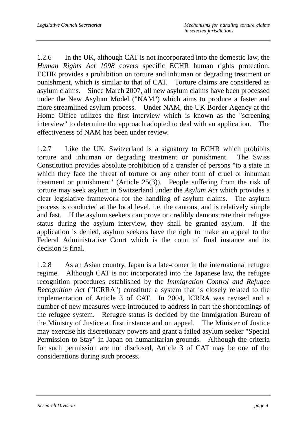1.2.6 In the UK, although CAT is not incorporated into the domestic law, the *Human Rights Act 1998* covers specific ECHR human rights protection. ECHR provides a prohibition on torture and inhuman or degrading treatment or punishment, which is similar to that of CAT. Torture claims are considered as asylum claims. Since March 2007, all new asylum claims have been processed under the New Asylum Model ("NAM") which aims to produce a faster and more streamlined asylum process. Under NAM, the UK Border Agency at the Home Office utilizes the first interview which is known as the "screening interview" to determine the approach adopted to deal with an application. The effectiveness of NAM has been under review.

1.2.7 Like the UK, Switzerland is a signatory to ECHR which prohibits torture and inhuman or degrading treatment or punishment. The Swiss Constitution provides absolute prohibition of a transfer of persons "to a state in which they face the threat of torture or any other form of cruel or inhuman treatment or punishment" (Article 25(3)). People suffering from the risk of torture may seek asylum in Switzerland under the *Asylum Act* which provides a clear legislative framework for the handling of asylum claims. The asylum process is conducted at the local level, i.e. the cantons, and is relatively simple and fast. If the asylum seekers can prove or credibly demonstrate their refugee status during the asylum interview, they shall be granted asylum. If the application is denied, asylum seekers have the right to make an appeal to the Federal Administrative Court which is the court of final instance and its decision is final.

1.2.8 As an Asian country, Japan is a late-comer in the international refugee regime. Although CAT is not incorporated into the Japanese law, the refugee recognition procedures established by the *Immigration Control and Refugee Recognition Act* ("ICRRA") constitute a system that is closely related to the implementation of Article 3 of CAT. In 2004, ICRRA was revised and a number of new measures were introduced to address in part the shortcomings of the refugee system. Refugee status is decided by the Immigration Bureau of the Ministry of Justice at first instance and on appeal. The Minister of Justice may exercise his discretionary powers and grant a failed asylum seeker "Special Permission to Stay" in Japan on humanitarian grounds. Although the criteria for such permission are not disclosed, Article 3 of CAT may be one of the considerations during such process.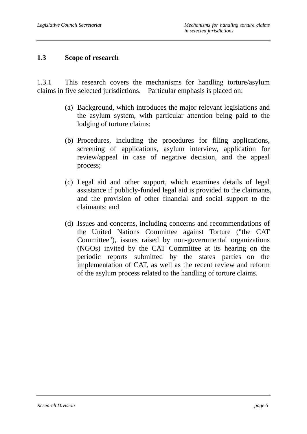#### **1.3 Scope of research**

1.3.1 This research covers the mechanisms for handling torture/asylum claims in five selected jurisdictions. Particular emphasis is placed on:

- (a) Background, which introduces the major relevant legislations and the asylum system, with particular attention being paid to the lodging of torture claims;
- (b) Procedures, including the procedures for filing applications, screening of applications, asylum interview, application for review/appeal in case of negative decision, and the appeal process;
- (c) Legal aid and other support, which examines details of legal assistance if publicly-funded legal aid is provided to the claimants, and the provision of other financial and social support to the claimants; and
- (d) Issues and concerns, including concerns and recommendations of the United Nations Committee against Torture ("the CAT Committee"), issues raised by non-governmental organizations (NGOs) invited by the CAT Committee at its hearing on the periodic reports submitted by the states parties on the implementation of CAT, as well as the recent review and reform of the asylum process related to the handling of torture claims.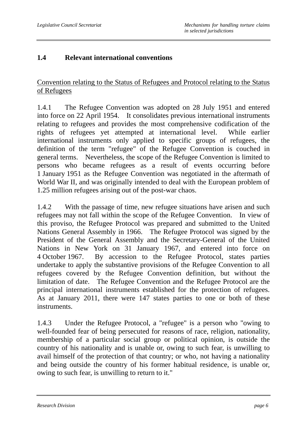## **1.4 Relevant international conventions**

Convention relating to the Status of Refugees and Protocol relating to the Status of Refugees

1.4.1 The Refugee Convention was adopted on 28 July 1951 and entered into force on 22 April 1954. It consolidates previous international instruments relating to refugees and provides the most comprehensive codification of the rights of refugees yet attempted at international level. While earlier international instruments only applied to specific groups of refugees, the definition of the term "refugee" of the Refugee Convention is couched in general terms. Nevertheless, the scope of the Refugee Convention is limited to persons who became refugees as a result of events occurring before 1 January 1951 as the Refugee Convention was negotiated in the aftermath of World War II, and was originally intended to deal with the European problem of 1.25 million refugees arising out of the post-war chaos.

1.4.2 With the passage of time, new refugee situations have arisen and such refugees may not fall within the scope of the Refugee Convention. In view of this proviso, the Refugee Protocol was prepared and submitted to the United Nations General Assembly in 1966. The Refugee Protocol was signed by the President of the General Assembly and the Secretary-General of the United Nations in New York on 31 January 1967, and entered into force on 4 October 1967. By accession to the Refugee Protocol, states parties undertake to apply the substantive provisions of the Refugee Convention to all refugees covered by the Refugee Convention definition, but without the limitation of date. The Refugee Convention and the Refugee Protocol are the principal international instruments established for the protection of refugees. As at January 2011, there were 147 states parties to one or both of these instruments.

1.4.3 Under the Refugee Protocol, a "refugee" is a person who "owing to well-founded fear of being persecuted for reasons of race, religion, nationality, membership of a particular social group or political opinion, is outside the country of his nationality and is unable or, owing to such fear, is unwilling to avail himself of the protection of that country; or who, not having a nationality and being outside the country of his former habitual residence, is unable or, owing to such fear, is unwilling to return to it."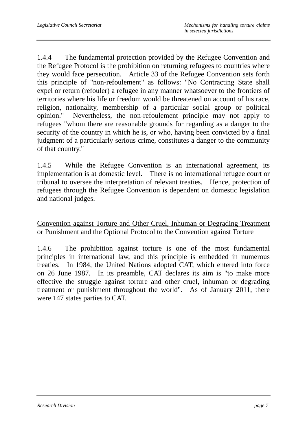1.4.4 The fundamental protection provided by the Refugee Convention and the Refugee Protocol is the prohibition on returning refugees to countries where they would face persecution. Article 33 of the Refugee Convention sets forth this principle of "non-refoulement" as follows: "No Contracting State shall expel or return (refouler) a refugee in any manner whatsoever to the frontiers of territories where his life or freedom would be threatened on account of his race, religion, nationality, membership of a particular social group or political opinion." Nevertheless, the non-refoulement principle may not apply to refugees "whom there are reasonable grounds for regarding as a danger to the security of the country in which he is, or who, having been convicted by a final judgment of a particularly serious crime, constitutes a danger to the community of that country."

1.4.5 While the Refugee Convention is an international agreement, its implementation is at domestic level. There is no international refugee court or tribunal to oversee the interpretation of relevant treaties. Hence, protection of refugees through the Refugee Convention is dependent on domestic legislation and national judges.

Convention against Torture and Other Cruel, Inhuman or Degrading Treatment or Punishment and the Optional Protocol to the Convention against Torture

1.4.6 The prohibition against torture is one of the most fundamental principles in international law, and this principle is embedded in numerous treaties. In 1984, the United Nations adopted CAT, which entered into force on 26 June 1987. In its preamble, CAT declares its aim is "to make more effective the struggle against torture and other cruel, inhuman or degrading treatment or punishment throughout the world". As of January 2011, there were 147 states parties to CAT.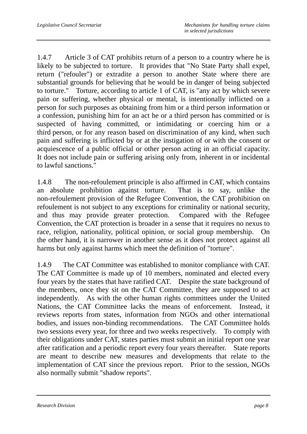1.4.7 Article 3 of CAT prohibits return of a person to a country where he is likely to be subjected to torture. It provides that "No State Party shall expel, return ("refouler") or extradite a person to another State where there are substantial grounds for believing that he would be in danger of being subjected to torture." Torture, according to article 1 of CAT, is "any act by which severe pain or suffering, whether physical or mental, is intentionally inflicted on a person for such purposes as obtaining from him or a third person information or a confession, punishing him for an act he or a third person has committed or is suspected of having committed, or intimidating or coercing him or a third person, or for any reason based on discrimination of any kind, when such pain and suffering is inflicted by or at the instigation of or with the consent or acquiescence of a public official or other person acting in an official capacity. It does not include pain or suffering arising only from, inherent in or incidental to lawful sanctions."

1.4.8 The non-refoulement principle is also affirmed in CAT, which contains an absolute prohibition against torture. That is to say, unlike the non-refoulement provision of the Refugee Convention, the CAT prohibition on refoulement is not subject to any exceptions for criminality or national security, and thus may provide greater protection. Compared with the Refugee Convention, the CAT protection is broader in a sense that it requires no nexus to race, religion, nationality, political opinion, or social group membership. On the other hand, it is narrower in another sense as it does not protect against all harms but only against harms which meet the definition of "torture".

1.4.9 The CAT Committee was established to monitor compliance with CAT. The CAT Committee is made up of 10 members, nominated and elected every four years by the states that have ratified CAT. Despite the state background of the members, once they sit on the CAT Committee, they are supposed to act independently. As with the other human rights committees under the United Nations, the CAT Committee lacks the means of enforcement. Instead, it reviews reports from states, information from NGOs and other international bodies, and issues non-binding recommendations. The CAT Committee holds two sessions every year, for three and two weeks respectively. To comply with their obligations under CAT, states parties must submit an initial report one year after ratification and a periodic report every four years thereafter. State reports are meant to describe new measures and developments that relate to the implementation of CAT since the previous report. Prior to the session, NGOs also normally submit "shadow reports".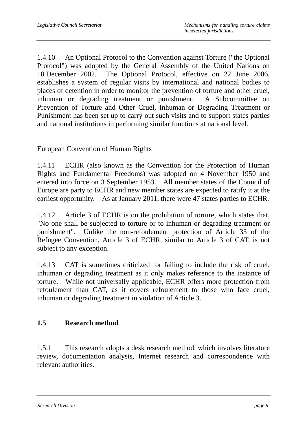1.4.10 An Optional Protocol to the Convention against Torture ("the Optional Protocol") was adopted by the General Assembly of the United Nations on 18 December 2002. The Optional Protocol, effective on 22 June 2006, establishes a system of regular visits by international and national bodies to places of detention in order to monitor the prevention of torture and other cruel, inhuman or degrading treatment or punishment. A Subcommittee on Prevention of Torture and Other Cruel, Inhuman or Degrading Treatment or Punishment has been set up to carry out such visits and to support states parties and national institutions in performing similar functions at national level.

## European Convention of Human Rights

1.4.11 ECHR (also known as the Convention for the Protection of Human Rights and Fundamental Freedoms) was adopted on 4 November 1950 and entered into force on 3 September 1953. All member states of the Council of Europe are party to ECHR and new member states are expected to ratify it at the earliest opportunity. As at January 2011, there were 47 states parties to ECHR.

1.4.12 Article 3 of ECHR is on the prohibition of torture, which states that, "No one shall be subjected to torture or to inhuman or degrading treatment or punishment". Unlike the non-refoulement protection of Article 33 of the Refugee Convention, Article 3 of ECHR, similar to Article 3 of CAT, is not subject to any exception.

1.4.13 CAT is sometimes criticized for failing to include the risk of cruel, inhuman or degrading treatment as it only makes reference to the instance of torture. While not universally applicable, ECHR offers more protection from refoulement than CAT, as it covers refoulement to those who face cruel, inhuman or degrading treatment in violation of Article 3.

## **1.5 Research method**

1.5.1 This research adopts a desk research method, which involves literature review, documentation analysis, Internet research and correspondence with relevant authorities.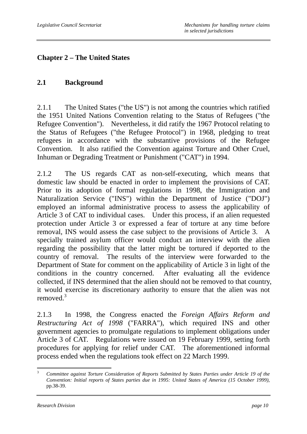# **Chapter 2 – The United States**

## **2.1 Background**

2.1.1 The United States ("the US") is not among the countries which ratified the 1951 United Nations Convention relating to the Status of Refugees ("the Refugee Convention"). Nevertheless, it did ratify the 1967 Protocol relating to the Status of Refugees ("the Refugee Protocol") in 1968, pledging to treat refugees in accordance with the substantive provisions of the Refugee Convention. It also ratified the Convention against Torture and Other Cruel, Inhuman or Degrading Treatment or Punishment ("CAT") in 1994.

2.1.2 The US regards CAT as non-self-executing, which means that domestic law should be enacted in order to implement the provisions of CAT. Prior to its adoption of formal regulations in 1998, the Immigration and Naturalization Service ("INS") within the Department of Justice ("DOJ") employed an informal administrative process to assess the applicability of Article 3 of CAT to individual cases. Under this process, if an alien requested protection under Article 3 or expressed a fear of torture at any time before removal, INS would assess the case subject to the provisions of Article 3. A specially trained asylum officer would conduct an interview with the alien regarding the possibility that the latter might be tortured if deported to the country of removal. The results of the interview were forwarded to the Department of State for comment on the applicability of Article 3 in light of the conditions in the country concerned. After evaluating all the evidence collected, if INS determined that the alien should not be removed to that country, it would exercise its discretionary authority to ensure that the alien was not removed.<sup>3</sup>

2.1.3 In 1998, the Congress enacted the *Foreign Affairs Reform and Restructuring Act of 1998* ("FARRA"), which required INS and other government agencies to promulgate regulations to implement obligations under Article 3 of CAT. Regulations were issued on 19 February 1999, setting forth procedures for applying for relief under CAT. The aforementioned informal process ended when the regulations took effect on 22 March 1999.

 $\overline{3}$ <sup>3</sup> *Committee against Torture Consideration of Reports Submitted by States Parties under Article 19 of the Convention: Initial reports of States parties due in 1995: United States of America (15 October 1999)*, pp.38-39.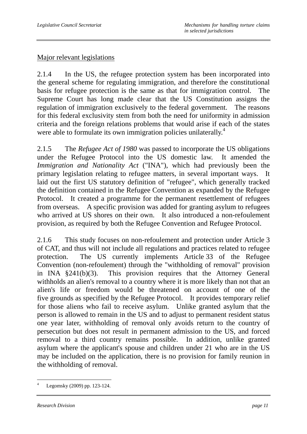## Major relevant legislations

2.1.4 In the US, the refugee protection system has been incorporated into the general scheme for regulating immigration, and therefore the constitutional basis for refugee protection is the same as that for immigration control. The Supreme Court has long made clear that the US Constitution assigns the regulation of immigration exclusively to the federal government. The reasons for this federal exclusivity stem from both the need for uniformity in admission criteria and the foreign relations problems that would arise if each of the states were able to formulate its own immigration policies unilaterally.<sup>4</sup>

2.1.5 The *Refugee Act of 1980* was passed to incorporate the US obligations under the Refugee Protocol into the US domestic law. It amended the *Immigration and Nationality Act* ("INA"), which had previously been the primary legislation relating to refugee matters, in several important ways. It laid out the first US statutory definition of "refugee", which generally tracked the definition contained in the Refugee Convention as expanded by the Refugee Protocol. It created a programme for the permanent resettlement of refugees from overseas. A specific provision was added for granting asylum to refugees who arrived at US shores on their own. It also introduced a non-refoulement provision, as required by both the Refugee Convention and Refugee Protocol.

2.1.6 This study focuses on non-refoulement and protection under Article 3 of CAT, and thus will not include all regulations and practices related to refugee protection. The US currently implements Article 33 of the Refugee Convention (non-refoulement) through the "withholding of removal" provision in INA §241(b)(3). This provision requires that the Attorney General withholds an alien's removal to a country where it is more likely than not that an alien's life or freedom would be threatened on account of one of the five grounds as specified by the Refugee Protocol. It provides temporary relief for those aliens who fail to receive asylum. Unlike granted asylum that the person is allowed to remain in the US and to adjust to permanent resident status one year later, withholding of removal only avoids return to the country of persecution but does not result in permanent admission to the US, and forced removal to a third country remains possible. In addition, unlike granted asylum where the applicant's spouse and children under 21 who are in the US may be included on the application, there is no provision for family reunion in the withholding of removal.

 $\overline{a}$ 4 Legomsky (2009) pp. 123-124.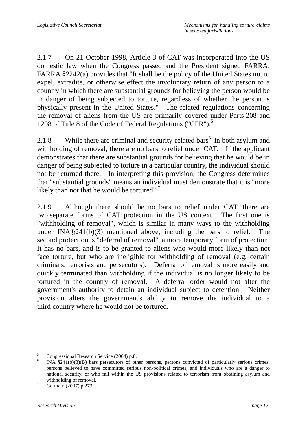2.1.7 On 21 October 1998, Article 3 of CAT was incorporated into the US domestic law when the Congress passed and the President signed FARRA. FARRA §2242(a) provides that "It shall be the policy of the United States not to expel, extradite, or otherwise effect the involuntary return of any person to a country in which there are substantial grounds for believing the person would be in danger of being subjected to torture, regardless of whether the person is physically present in the United States." The related regulations concerning the removal of aliens from the US are primarily covered under Parts 208 and 1208 of Title 8 of the Code of Federal Regulations ("CFR").<sup>5</sup>

2.1.8 While there are criminal and security-related bars<sup>6</sup> in both asylum and withholding of removal, there are no bars to relief under CAT. If the applicant demonstrates that there are substantial grounds for believing that he would be in danger of being subjected to torture in a particular country, the individual should not be returned there. In interpreting this provision, the Congress determines that "substantial grounds" means an individual must demonstrate that it is "more likely than not that he would be tortured".<sup>7</sup>

2.1.9 Although there should be no bars to relief under CAT, there are two separate forms of CAT protection in the US context. The first one is "withholding of removal", which is similar in many ways to the withholding under INA §241(b)(3) mentioned above, including the bars to relief. The second protection is "deferral of removal", a more temporary form of protection. It has no bars, and is to be granted to aliens who would more likely than not face torture, but who are ineligible for withholding of removal (e.g. certain criminals, terrorists and persecutors). Deferral of removal is more easily and quickly terminated than withholding if the individual is no longer likely to be tortured in the country of removal. A deferral order would not alter the government's authority to detain an individual subject to detention. Neither provision alters the government's ability to remove the individual to a third country where he would not be tortured.

 $\frac{1}{5}$  $\frac{5}{\text{6}}$  Congressional Research Service (2004) p.8.

INA §241(b)(3)(B) bars persecutors of other persons, persons convicted of particularly serious crimes, persons believed to have committed serious non-political crimes, and individuals who are a danger to national security, or who fall within the US provisions related to terrorism from obtaining asylum and withholding of removal.

Germain (2007) p.273.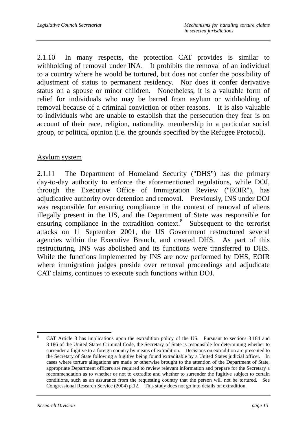2.1.10 In many respects, the protection CAT provides is similar to withholding of removal under INA. It prohibits the removal of an individual to a country where he would be tortured, but does not confer the possibility of adjustment of status to permanent residency. Nor does it confer derivative status on a spouse or minor children. Nonetheless, it is a valuable form of relief for individuals who may be barred from asylum or withholding of removal because of a criminal conviction or other reasons. It is also valuable to individuals who are unable to establish that the persecution they fear is on account of their race, religion, nationality, membership in a particular social group, or political opinion (i.e. the grounds specified by the Refugee Protocol).

## Asylum system

2.1.11 The Department of Homeland Security ("DHS") has the primary day-to-day authority to enforce the aforementioned regulations, while DOJ, through the Executive Office of Immigration Review ("EOIR"), has adjudicative authority over detention and removal. Previously, INS under DOJ was responsible for ensuring compliance in the context of removal of aliens illegally present in the US, and the Department of State was responsible for ensuring compliance in the extradition context.<sup>8</sup> Subsequent to the terrorist attacks on 11 September 2001, the US Government restructured several agencies within the Executive Branch, and created DHS. As part of this restructuring, INS was abolished and its functions were transferred to DHS. While the functions implemented by INS are now performed by DHS, EOIR where immigration judges preside over removal proceedings and adjudicate CAT claims, continues to execute such functions within DOJ.

 $\overline{a}$ 8 CAT Article 3 has implications upon the extradition policy of the US. Pursuant to sections 3 184 and 3 186 of the United States Criminal Code, the Secretary of State is responsible for determining whether to surrender a fugitive to a foreign country by means of extradition. Decisions on extradition are presented to the Secretary of State following a fugitive being found extraditable by a United States judicial officer. In cases where torture allegations are made or otherwise brought to the attention of the Department of State, appropriate Department officers are required to review relevant information and prepare for the Secretary a recommendation as to whether or not to extradite and whether to surrender the fugitive subject to certain conditions, such as an assurance from the requesting country that the person will not be tortured. See Congressional Research Service (2004) p.12. This study does not go into details on extradition.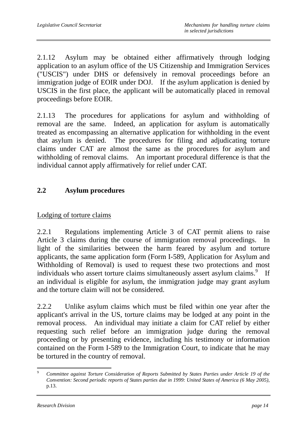2.1.12 Asylum may be obtained either affirmatively through lodging application to an asylum office of the US Citizenship and Immigration Services ("USCIS") under DHS or defensively in removal proceedings before an immigration judge of EOIR under DOJ. If the asylum application is denied by USCIS in the first place, the applicant will be automatically placed in removal proceedings before EOIR.

2.1.13 The procedures for applications for asylum and withholding of removal are the same. Indeed, an application for asylum is automatically treated as encompassing an alternative application for withholding in the event that asylum is denied. The procedures for filing and adjudicating torture claims under CAT are almost the same as the procedures for asylum and withholding of removal claims. An important procedural difference is that the individual cannot apply affirmatively for relief under CAT.

# **2.2 Asylum procedures**

Lodging of torture claims

2.2.1 Regulations implementing Article 3 of CAT permit aliens to raise Article 3 claims during the course of immigration removal proceedings. In light of the similarities between the harm feared by asylum and torture applicants, the same application form (Form I-589, Application for Asylum and Withholding of Removal) is used to request these two protections and most individuals who assert torture claims simultaneously assert asylum claims.<sup>9</sup> If an individual is eligible for asylum, the immigration judge may grant asylum and the torture claim will not be considered.

2.2.2 Unlike asylum claims which must be filed within one year after the applicant's arrival in the US, torture claims may be lodged at any point in the removal process. An individual may initiate a claim for CAT relief by either requesting such relief before an immigration judge during the removal proceeding or by presenting evidence, including his testimony or information contained on the Form I-589 to the Immigration Court, to indicate that he may be tortured in the country of removal.

 $\overline{9}$ <sup>9</sup> *Committee against Torture Consideration of Reports Submitted by States Parties under Article 19 of the Convention: Second periodic reports of States parties due in 1999: United States of America (6 May 2005)*, p.13.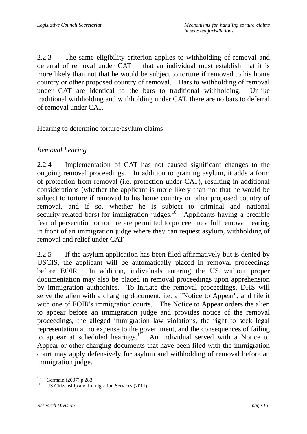2.2.3 The same eligibility criterion applies to withholding of removal and deferral of removal under CAT in that an individual must establish that it is more likely than not that he would be subject to torture if removed to his home country or other proposed country of removal. Bars to withholding of removal under CAT are identical to the bars to traditional withholding. Unlike traditional withholding and withholding under CAT, there are no bars to deferral of removal under CAT.

#### Hearing to determine torture/asylum claims

## *Removal hearing*

2.2.4 Implementation of CAT has not caused significant changes to the ongoing removal proceedings. In addition to granting asylum, it adds a form of protection from removal (i.e. protection under CAT), resulting in additional considerations (whether the applicant is more likely than not that he would be subject to torture if removed to his home country or other proposed country of removal, and if so, whether he is subject to criminal and national security-related bars) for immigration judges.<sup>10</sup> Applicants having a credible fear of persecution or torture are permitted to proceed to a full removal hearing in front of an immigration judge where they can request asylum, withholding of removal and relief under CAT.

2.2.5 If the asylum application has been filed affirmatively but is denied by USCIS, the applicant will be automatically placed in removal proceedings before EOIR. In addition, individuals entering the US without proper documentation may also be placed in removal proceedings upon apprehension by immigration authorities. To initiate the removal proceedings, DHS will serve the alien with a charging document, i.e. a "Notice to Appear", and file it with one of EOIR's immigration courts. The Notice to Appear orders the alien to appear before an immigration judge and provides notice of the removal proceedings, the alleged immigration law violations, the right to seek legal representation at no expense to the government, and the consequences of failing to appear at scheduled hearings.<sup>11</sup> An individual served with a Notice to Appear or other charging documents that have been filed with the immigration court may apply defensively for asylum and withholding of removal before an immigration judge.

<sup>10</sup>  $^{10}$  Germain (2007) p.283.

US Citizenship and Immigration Services (2011).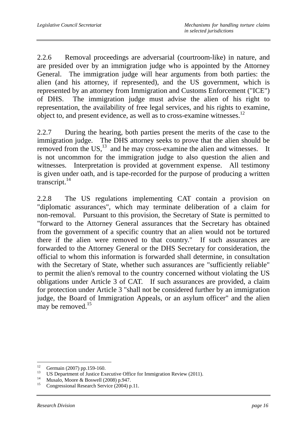2.2.6 Removal proceedings are adversarial (courtroom-like) in nature, and are presided over by an immigration judge who is appointed by the Attorney General. The immigration judge will hear arguments from both parties: the alien (and his attorney, if represented), and the US government, which is represented by an attorney from Immigration and Customs Enforcement ("ICE") of DHS. The immigration judge must advise the alien of his right to representation, the availability of free legal services, and his rights to examine, object to, and present evidence, as well as to cross-examine witnesses.<sup>12</sup>

2.2.7 During the hearing, both parties present the merits of the case to the immigration judge. The DHS attorney seeks to prove that the alien should be removed from the  $US<sub>13</sub>$  and he may cross-examine the alien and witnesses. It is not uncommon for the immigration judge to also question the alien and witnesses. Interpretation is provided at government expense. All testimony is given under oath, and is tape-recorded for the purpose of producing a written transcript. $^{14}$ 

2.2.8 The US regulations implementing CAT contain a provision on "diplomatic assurances", which may terminate deliberation of a claim for non-removal. Pursuant to this provision, the Secretary of State is permitted to "forward to the Attorney General assurances that the Secretary has obtained from the government of a specific country that an alien would not be tortured there if the alien were removed to that country." If such assurances are forwarded to the Attorney General or the DHS Secretary for consideration, the official to whom this information is forwarded shall determine, in consultation with the Secretary of State, whether such assurances are "sufficiently reliable" to permit the alien's removal to the country concerned without violating the US obligations under Article 3 of CAT. If such assurances are provided, a claim for protection under Article 3 "shall not be considered further by an immigration judge, the Board of Immigration Appeals, or an asylum officer" and the alien may be removed. $15$ 

 $12$ <sup>12</sup> Germain (2007) pp.159-160.

<sup>&</sup>lt;sup>13</sup> US Department of Justice Executive Office for Immigration Review (2011).

<sup>&</sup>lt;sup>14</sup> Musalo, Moore & Boswell (2008) p.947.

Congressional Research Service (2004) p.11.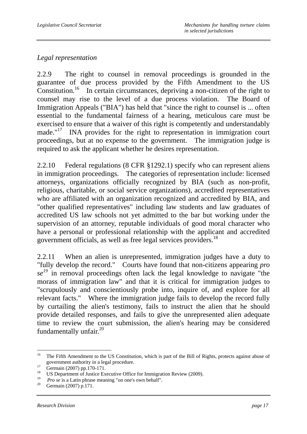## *Legal representation*

2.2.9 The right to counsel in removal proceedings is grounded in the guarantee of due process provided by the Fifth Amendment to the US Constitution.<sup>16</sup> In certain circumstances, depriving a non-citizen of the right to counsel may rise to the level of a due process violation. The Board of Immigration Appeals ("BIA") has held that "since the right to counsel is ... often essential to the fundamental fairness of a hearing, meticulous care must be exercised to ensure that a waiver of this right is competently and understandably made."<sup>17</sup> INA provides for the right to representation in immigration court proceedings, but at no expense to the government. The immigration judge is required to ask the applicant whether he desires representation.

2.2.10 Federal regulations (8 CFR §1292.1) specify who can represent aliens in immigration proceedings. The categories of representation include: licensed attorneys, organizations officially recognized by BIA (such as non-profit, religious, charitable, or social service organizations), accredited representatives who are affiliated with an organization recognized and accredited by BIA, and "other qualified representatives" including law students and law graduates of accredited US law schools not yet admitted to the bar but working under the supervision of an attorney, reputable individuals of good moral character who have a personal or professional relationship with the applicant and accredited government officials, as well as free legal services providers.<sup>18</sup>

2.2.11 When an alien is unrepresented, immigration judges have a duty to "fully develop the record." Courts have found that non-citizens appearing *pro*  se<sup>19</sup> in removal proceedings often lack the legal knowledge to navigate "the morass of immigration law" and that it is critical for immigration judges to "scrupulously and conscientiously probe into, inquire of, and explore for all relevant facts." Where the immigration judge fails to develop the record fully by curtailing the alien's testimony, fails to instruct the alien that he should provide detailed responses, and fails to give the unrepresented alien adequate time to review the court submission, the alien's hearing may be considered fundamentally unfair.<sup>20</sup>

 $16$ 16 The Fifth Amendment to the US Constitution, which is part of the Bill of Rights, protects against abuse of government authority in a legal procedure.<br>  $\frac{17}{18}$  Germain (2007) pp.170-171.

<sup>&</sup>lt;sup>18</sup> US Department of Justice Executive Office for Immigration Review (2009).

<sup>&</sup>lt;sup>19</sup> *Pro se* is a Latin phrase meaning "on one's own behalf".<br><sup>20</sup> Germain (2007) p.171.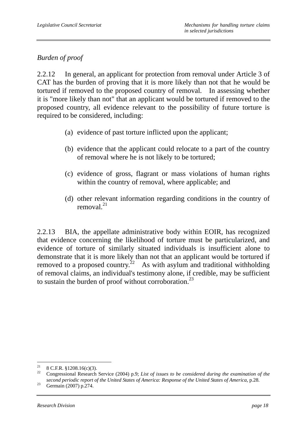# *Burden of proof*

2.2.12 In general, an applicant for protection from removal under Article 3 of CAT has the burden of proving that it is more likely than not that he would be tortured if removed to the proposed country of removal. In assessing whether it is "more likely than not" that an applicant would be tortured if removed to the proposed country, all evidence relevant to the possibility of future torture is required to be considered, including:

- (a) evidence of past torture inflicted upon the applicant;
- (b) evidence that the applicant could relocate to a part of the country of removal where he is not likely to be tortured;
- (c) evidence of gross, flagrant or mass violations of human rights within the country of removal, where applicable; and
- (d) other relevant information regarding conditions in the country of removal $^{21}$

2.2.13 BIA, the appellate administrative body within EOIR, has recognized that evidence concerning the likelihood of torture must be particularized, and evidence of torture of similarly situated individuals is insufficient alone to demonstrate that it is more likely than not that an applicant would be tortured if removed to a proposed country.<sup>22</sup> As with asylum and traditional withholding of removal claims, an individual's testimony alone, if credible, may be sufficient to sustain the burden of proof without corroboration.<sup>23</sup>

<sup>21</sup>  $\frac{21}{22}$  8 C.F.R. §1208.16(c)(3).

<sup>22</sup> Congressional Research Service (2004) p.9; *List of issues to be considered during the examination of the second periodic report of the United States of America: Response of the United States of America*, p.28. 23 Germain (2007) p.274.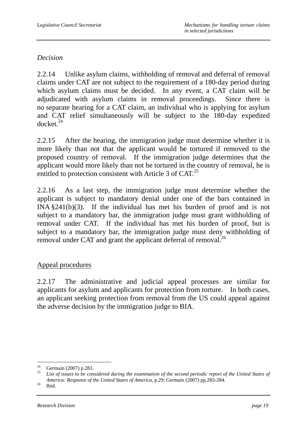## *Decision*

2.2.14 Unlike asylum claims, withholding of removal and deferral of removal claims under CAT are not subject to the requirement of a 180-day period during which asylum claims must be decided. In any event, a CAT claim will be adjudicated with asylum claims in removal proceedings. Since there is no separate hearing for a CAT claim, an individual who is applying for asylum and CAT relief simultaneously will be subject to the 180-day expedited  $d$ ocket. $^{24}$ 

2.2.15 After the hearing, the immigration judge must determine whether it is more likely than not that the applicant would be tortured if removed to the proposed country of removal. If the immigration judge determines that the applicant would more likely than not be tortured in the country of removal, he is entitled to protection consistent with Article 3 of CAT.<sup>25</sup>

2.2.16 As a last step, the immigration judge must determine whether the applicant is subject to mandatory denial under one of the bars contained in INA §241(b)(3). If the individual has met his burden of proof and is not subject to a mandatory bar, the immigration judge must grant withholding of removal under CAT. If the individual has met his burden of proof, but is subject to a mandatory bar, the immigration judge must deny withholding of removal under CAT and grant the applicant deferral of removal.<sup>26</sup>

## Appeal procedures

2.2.17 The administrative and judicial appeal processes are similar for applicants for asylum and applicants for protection from torture. In both cases, an applicant seeking protection from removal from the US could appeal against the adverse decision by the immigration judge to BIA.

<sup>24</sup>  $^{24}$  Germain (2007) p.283.

List of issues to be considered during the examination of the second periodic report of the United States of *America: Response of the United States of America*, p.29; Germain (2007) pp.283-284. 26 Ibid.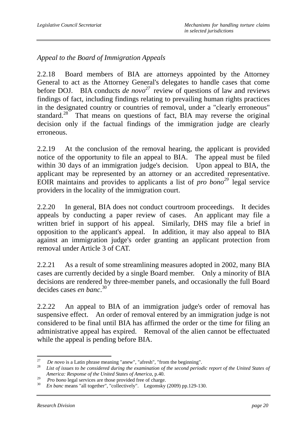*Appeal to the Board of Immigration Appeals* 

2.2.18 Board members of BIA are attorneys appointed by the Attorney General to act as the Attorney General's delegates to handle cases that come before DOJ. BIA conducts *de novo*<sup>27</sup> review of questions of law and reviews findings of fact, including findings relating to prevailing human rights practices in the designated country or countries of removal, under a "clearly erroneous" standard.<sup>28</sup> That means on questions of fact, BIA may reverse the original decision only if the factual findings of the immigration judge are clearly erroneous.

2.2.19 At the conclusion of the removal hearing, the applicant is provided notice of the opportunity to file an appeal to BIA. The appeal must be filed within 30 days of an immigration judge's decision. Upon appeal to BIA, the applicant may be represented by an attorney or an accredited representative. EOIR maintains and provides to applicants a list of *pro bono29* legal service providers in the locality of the immigration court.

2.2.20 In general, BIA does not conduct courtroom proceedings. It decides appeals by conducting a paper review of cases. An applicant may file a written brief in support of his appeal. Similarly, DHS may file a brief in opposition to the applicant's appeal. In addition, it may also appeal to BIA against an immigration judge's order granting an applicant protection from removal under Article 3 of CAT.

2.2.21 As a result of some streamlining measures adopted in 2002, many BIA cases are currently decided by a single Board member. Only a minority of BIA decisions are rendered by three-member panels, and occasionally the full Board decides cases *en banc*. 30

2.2.22 An appeal to BIA of an immigration judge's order of removal has suspensive effect. An order of removal entered by an immigration judge is not considered to be final until BIA has affirmed the order or the time for filing an administrative appeal has expired. Removal of the alien cannot be effectuated while the appeal is pending before BIA.

 $27$ 

<sup>&</sup>lt;sup>27</sup> *De novo* is a Latin phrase meaning "anew", "afresh", "from the beginning".<br><sup>28</sup> *List of issues to be considered during the examination of the second periodic report of the United States of America: Response of the United States of America*, p.40.

<sup>&</sup>lt;sup>29</sup> *Pro bono* legal services are those provided free of charge.<br><sup>30</sup> *En banc* means "all together", "collectively". Legomsky (2009) pp.129-130.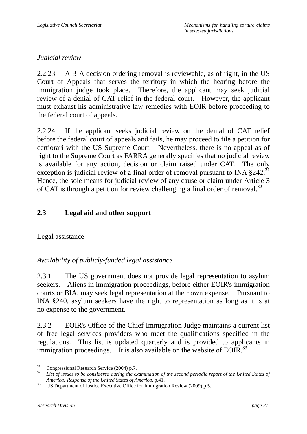## *Judicial review*

2.2.23 A BIA decision ordering removal is reviewable, as of right, in the US Court of Appeals that serves the territory in which the hearing before the immigration judge took place. Therefore, the applicant may seek judicial review of a denial of CAT relief in the federal court. However, the applicant must exhaust his administrative law remedies with EOIR before proceeding to the federal court of appeals.

2.2.24 If the applicant seeks judicial review on the denial of CAT relief before the federal court of appeals and fails, he may proceed to file a petition for certiorari with the US Supreme Court. Nevertheless, there is no appeal as of right to the Supreme Court as FARRA generally specifies that no judicial review is available for any action, decision or claim raised under CAT. The only exception is judicial review of a final order of removal pursuant to INA  $§242$ .<sup>31</sup> Hence, the sole means for judicial review of any cause or claim under Article 3 of CAT is through a petition for review challenging a final order of removal.<sup>32</sup>

# **2.3 Legal aid and other support**

# Legal assistance

# *Availability of publicly-funded legal assistance*

2.3.1 The US government does not provide legal representation to asylum seekers. Aliens in immigration proceedings, before either EOIR's immigration courts or BIA, may seek legal representation at their own expense. Pursuant to INA §240, asylum seekers have the right to representation as long as it is at no expense to the government.

2.3.2 EOIR's Office of the Chief Immigration Judge maintains a current list of free legal services providers who meet the qualifications specified in the regulations. This list is updated quarterly and is provided to applicants in immigration proceedings. It is also available on the website of EOIR.<sup>33</sup>

 $31$ 

<sup>31</sup> Congressional Research Service (2004) p.7. 32 *List of issues to be considered during the examination of the second periodic report of the United States of America: Response of the United States of America*, p.41.<br><sup>33</sup> US Department of Justice Executive Office for Immigration Review (2009) p.5.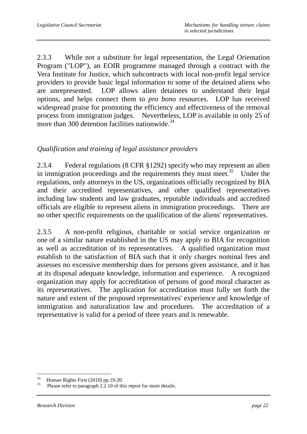2.3.3 While not a substitute for legal representation, the Legal Orientation Program ("LOP"), an EOIR programme managed through a contract with the Vera Institute for Justice, which subcontracts with local non-profit legal service providers to provide basic legal information to some of the detained aliens who are unrepresented. LOP allows alien detainees to understand their legal options, and helps connect them to *pro bono* resources. LOP has received widespread praise for promoting the efficiency and effectiveness of the removal process from immigration judges. Nevertheless, LOP is available in only 25 of more than 300 detention facilities nationwide.<sup>34</sup>

## *Qualification and training of legal assistance providers*

2.3.4 Federal regulations (8 CFR §1292) specify who may represent an alien in immigration proceedings and the requirements they must meet.<sup>35</sup> Under the regulations, only attorneys in the US, organizations officially recognized by BIA and their accredited representatives, and other qualified representatives including law students and law graduates, reputable individuals and accredited officials are eligible to represent aliens in immigration proceedings. There are no other specific requirements on the qualification of the aliens' representatives.

2.3.5 A non-profit religious, charitable or social service organization or one of a similar nature established in the US may apply to BIA for recognition as well as accreditation of its representatives. A qualified organization must establish to the satisfaction of BIA such that it only charges nominal fees and assesses no excessive membership dues for persons given assistance, and it has at its disposal adequate knowledge, information and experience. A recognized organization may apply for accreditation of persons of good moral character as its representatives. The application for accreditation must fully set forth the nature and extent of the proposed representatives' experience and knowledge of immigration and naturalization law and procedures. The accreditation of a representative is valid for a period of three years and is renewable.

 $\overline{a}$ 

 $\frac{34}{35}$  Human Rights First (2010) pp.19-20.

Please refer to paragraph 2.2.10 of this report for more details.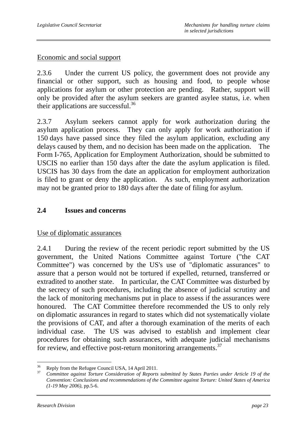## Economic and social support

2.3.6 Under the current US policy, the government does not provide any financial or other support, such as housing and food, to people whose applications for asylum or other protection are pending. Rather, support will only be provided after the asylum seekers are granted asylee status, i.e. when their applications are successful.36

2.3.7 Asylum seekers cannot apply for work authorization during the asylum application process. They can only apply for work authorization if 150 days have passed since they filed the asylum application, excluding any delays caused by them, and no decision has been made on the application. The Form I-765, Application for Employment Authorization, should be submitted to USCIS no earlier than 150 days after the date the asylum application is filed. USCIS has 30 days from the date an application for employment authorization is filed to grant or deny the application. As such, employment authorization may not be granted prior to 180 days after the date of filing for asylum.

## **2.4 Issues and concerns**

Use of diplomatic assurances

2.4.1 During the review of the recent periodic report submitted by the US government, the United Nations Committee against Torture ("the CAT Committee") was concerned by the US's use of "diplomatic assurances" to assure that a person would not be tortured if expelled, returned, transferred or extradited to another state. In particular, the CAT Committee was disturbed by the secrecy of such procedures, including the absence of judicial scrutiny and the lack of monitoring mechanisms put in place to assess if the assurances were honoured. The CAT Committee therefore recommended the US to only rely on diplomatic assurances in regard to states which did not systematically violate the provisions of CAT, and after a thorough examination of the merits of each individual case. The US was advised to establish and implement clear procedures for obtaining such assurances, with adequate judicial mechanisms for review, and effective post-return monitoring arrangements.<sup>37</sup>

 $36<sup>2</sup>$ <sup>36</sup> Reply from the Refugee Council USA, 14 April 2011.

<sup>37</sup> *Committee against Torture Consideration of Reports submitted by States Parties under Article 19 of the Convention: Conclusions and recommendations of the Committee against Torture: United States of America (1-19 May 2006)*, pp.5-6.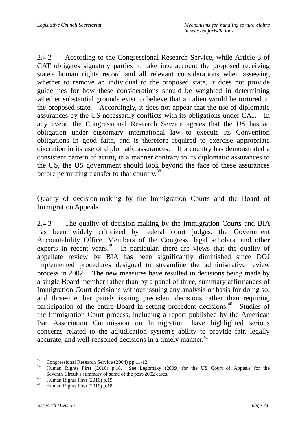2.4.2 According to the Congressional Research Service, while Article 3 of CAT obligates signatory parties to take into account the proposed receiving state's human rights record and all relevant considerations when assessing whether to remove an individual to the proposed state, it does not provide guidelines for how these considerations should be weighted in determining whether substantial grounds exist to believe that an alien would be tortured in the proposed state. Accordingly, it does not appear that the use of diplomatic assurances by the US necessarily conflicts with its obligations under CAT. In any event, the Congressional Research Service agrees that the US has an obligation under customary international law to execute its Convention obligations in good faith, and is therefore required to exercise appropriate discretion in its use of diplomatic assurances. If a country has demonstrated a consistent pattern of acting in a manner contrary to its diplomatic assurances to the US, the US government should look beyond the face of these assurances before permitting transfer to that country.<sup>38</sup>

## Quality of decision-making by the Immigration Courts and the Board of Immigration Appeals

2.4.3 The quality of decision-making by the Immigration Courts and BIA has been widely criticized by federal court judges, the Government Accountability Office, Members of the Congress, legal scholars, and other experts in recent years.<sup>39</sup> In particular, there are views that the quality of appellate review by BIA has been significantly diminished since DOJ implemented procedures designed to streamline the administrative review process in 2002. The new measures have resulted in decisions being made by a single Board member rather than by a panel of three, summary affirmances of Immigration Court decisions without issuing any analysis or basis for doing so, and three-member panels issuing precedent decisions rather than requiring participation of the entire Board in setting precedent decisions.<sup>40</sup> Studies of the Immigration Court process, including a report published by the American Bar Association Commission on Immigration, have highlighted serious concerns related to the adjudication system's ability to provide fair, legally accurate, and well-reasoned decisions in a timely manner.<sup>41</sup>

<sup>38</sup>  $\frac{38}{39}$  Congressional Research Service (2004) pp.11-12.

<sup>39</sup> Human Rights First (2010) p.18. See Legomsky (2009) for the US Court of Appeals for the Seventh Circuit's summary of some of the post-2002 cases.<br>  $\frac{40}{41}$  Human Rights First (2010) p.19.<br>
Human Rights First (2010) p.18

Human Rights First (2010) p.18.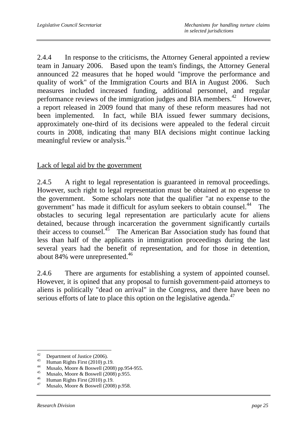2.4.4 In response to the criticisms, the Attorney General appointed a review team in January 2006. Based upon the team's findings, the Attorney General announced 22 measures that he hoped would "improve the performance and quality of work" of the Immigration Courts and BIA in August 2006. Such measures included increased funding, additional personnel, and regular performance reviews of the immigration judges and BIA members.<sup>42</sup> However, a report released in 2009 found that many of these reform measures had not been implemented. In fact, while BIA issued fewer summary decisions, approximately one-third of its decisions were appealed to the federal circuit courts in 2008, indicating that many BIA decisions might continue lacking meaningful review or analysis.<sup>43</sup>

## Lack of legal aid by the government

2.4.5 A right to legal representation is guaranteed in removal proceedings. However, such right to legal representation must be obtained at no expense to the government. Some scholars note that the qualifier "at no expense to the government" has made it difficult for asylum seekers to obtain counsel.<sup>44</sup> The obstacles to securing legal representation are particularly acute for aliens detained, because through incarceration the government significantly curtails their access to counsel.<sup>45</sup> The American Bar Association study has found that less than half of the applicants in immigration proceedings during the last several years had the benefit of representation, and for those in detention, about 84% were unrepresented.<sup>46</sup>

2.4.6 There are arguments for establishing a system of appointed counsel. However, it is opined that any proposal to furnish government-paid attorneys to aliens is politically "dead on arrival" in the Congress, and there have been no serious efforts of late to place this option on the legislative agenda.<sup>47</sup>

 $42<sup>°</sup>$  $^{42}$  Department of Justice (2006).

<sup>&</sup>lt;sup>43</sup> Human Rights First (2010) p.19.

<sup>&</sup>lt;sup>44</sup> Musalo, Moore & Boswell (2008) pp.954-955.

<sup>&</sup>lt;sup>45</sup> Musalo, Moore & Boswell (2008) p.955.<br><sup>46</sup> Hymne Bights First (2010) p.10.

<sup>&</sup>lt;sup>46</sup> Human Rights First (2010) p.19.<br><sup>47</sup> Musalo Moore & Boswell (2008)

Musalo, Moore & Boswell (2008) p.958.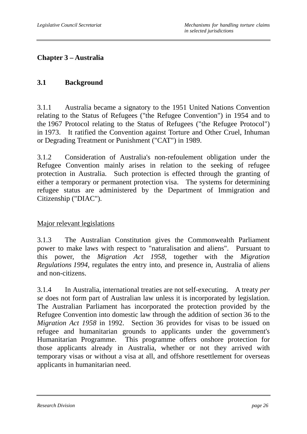# **Chapter 3 – Australia**

## **3.1 Background**

3.1.1 Australia became a signatory to the 1951 United Nations Convention relating to the Status of Refugees ("the Refugee Convention") in 1954 and to the 1967 Protocol relating to the Status of Refugees ("the Refugee Protocol") in 1973. It ratified the Convention against Torture and Other Cruel, Inhuman or Degrading Treatment or Punishment ("CAT") in 1989.

3.1.2 Consideration of Australia's non-refoulement obligation under the Refugee Convention mainly arises in relation to the seeking of refugee protection in Australia. Such protection is effected through the granting of either a temporary or permanent protection visa. The systems for determining refugee status are administered by the Department of Immigration and Citizenship ("DIAC").

## Major relevant legislations

3.1.3 The Australian Constitution gives the Commonwealth Parliament power to make laws with respect to "naturalisation and aliens". Pursuant to this power, the *Migration Act 1958*, together with the *Migration Regulations 1994*, regulates the entry into, and presence in, Australia of aliens and non-citizens.

3.1.4 In Australia, international treaties are not self-executing. A treaty *per se* does not form part of Australian law unless it is incorporated by legislation. The Australian Parliament has incorporated the protection provided by the Refugee Convention into domestic law through the addition of section 36 to the *Migration Act 1958* in 1992. Section 36 provides for visas to be issued on refugee and humanitarian grounds to applicants under the government's Humanitarian Programme. This programme offers onshore protection for those applicants already in Australia, whether or not they arrived with temporary visas or without a visa at all, and offshore resettlement for overseas applicants in humanitarian need.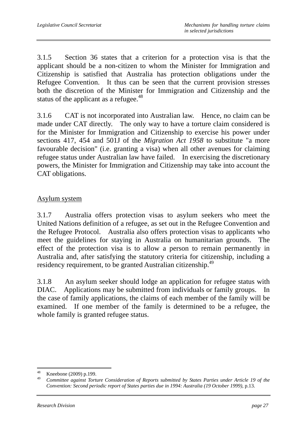3.1.5 Section 36 states that a criterion for a protection visa is that the applicant should be a non-citizen to whom the Minister for Immigration and Citizenship is satisfied that Australia has protection obligations under the Refugee Convention. It thus can be seen that the current provision stresses both the discretion of the Minister for Immigration and Citizenship and the status of the applicant as a refugee.<sup>48</sup>

3.1.6 CAT is not incorporated into Australian law. Hence, no claim can be made under CAT directly. The only way to have a torture claim considered is for the Minister for Immigration and Citizenship to exercise his power under sections 417, 454 and 501J of the *Migration Act 1958* to substitute "a more favourable decision" (i.e. granting a visa) when all other avenues for claiming refugee status under Australian law have failed. In exercising the discretionary powers, the Minister for Immigration and Citizenship may take into account the CAT obligations.

## Asylum system

3.1.7 Australia offers protection visas to asylum seekers who meet the United Nations definition of a refugee, as set out in the Refugee Convention and the Refugee Protocol. Australia also offers protection visas to applicants who meet the guidelines for staying in Australia on humanitarian grounds. The effect of the protection visa is to allow a person to remain permanently in Australia and, after satisfying the statutory criteria for citizenship, including a residency requirement, to be granted Australian citizenship.<sup>49</sup>

3.1.8 An asylum seeker should lodge an application for refugee status with DIAC. Applications may be submitted from individuals or family groups. In the case of family applications, the claims of each member of the family will be examined. If one member of the family is determined to be a refugee, the whole family is granted refugee status.

 $48$ <sup>48</sup> Kneebone (2009) p.199.

<sup>49</sup> *Committee against Torture Consideration of Reports submitted by States Parties under Article 19 of the Convention: Second periodic report of States parties due in 1994: Australia (19 October 1999)*, p.13.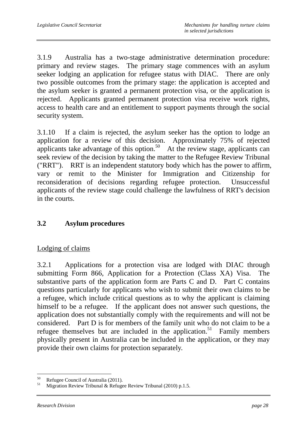3.1.9 Australia has a two-stage administrative determination procedure: primary and review stages. The primary stage commences with an asylum seeker lodging an application for refugee status with DIAC. There are only two possible outcomes from the primary stage: the application is accepted and the asylum seeker is granted a permanent protection visa, or the application is rejected. Applicants granted permanent protection visa receive work rights, access to health care and an entitlement to support payments through the social security system.

3.1.10 If a claim is rejected, the asylum seeker has the option to lodge an application for a review of this decision. Approximately 75% of rejected applicants take advantage of this option.<sup>50</sup> At the review stage, applicants can seek review of the decision by taking the matter to the Refugee Review Tribunal ("RRT"). RRT is an independent statutory body which has the power to affirm, vary or remit to the Minister for Immigration and Citizenship for reconsideration of decisions regarding refugee protection. Unsuccessful applicants of the review stage could challenge the lawfulness of RRT's decision in the courts.

## **3.2 Asylum procedures**

### Lodging of claims

3.2.1 Applications for a protection visa are lodged with DIAC through submitting Form 866, Application for a Protection (Class XA) Visa. The substantive parts of the application form are Parts C and D. Part C contains questions particularly for applicants who wish to submit their own claims to be a refugee, which include critical questions as to why the applicant is claiming himself to be a refugee. If the applicant does not answer such questions, the application does not substantially comply with the requirements and will not be considered. Part D is for members of the family unit who do not claim to be a refugee themselves but are included in the application.<sup>51</sup> Family members physically present in Australia can be included in the application, or they may provide their own claims for protection separately.

 $\overline{a}$ <sup>50</sup> Refugee Council of Australia (2011).<br> $\frac{51}{2}$  Migration Devian Tribunal & Defense

Migration Review Tribunal & Refugee Review Tribunal (2010) p.1.5.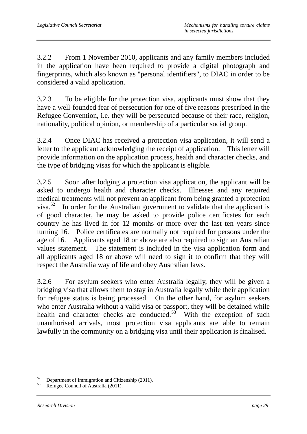3.2.2 From 1 November 2010, applicants and any family members included in the application have been required to provide a digital photograph and fingerprints, which also known as "personal identifiers", to DIAC in order to be considered a valid application.

3.2.3 To be eligible for the protection visa, applicants must show that they have a well-founded fear of persecution for one of five reasons prescribed in the Refugee Convention, i.e. they will be persecuted because of their race, religion, nationality, political opinion, or membership of a particular social group.

3.2.4 Once DIAC has received a protection visa application, it will send a letter to the applicant acknowledging the receipt of application. This letter will provide information on the application process, health and character checks, and the type of bridging visas for which the applicant is eligible.

3.2.5 Soon after lodging a protection visa application, the applicant will be asked to undergo health and character checks. Illnesses and any required medical treatments will not prevent an applicant from being granted a protection visa.<sup>52</sup> In order for the Australian government to validate that the applicant is of good character, he may be asked to provide police certificates for each country he has lived in for 12 months or more over the last ten years since turning 16. Police certificates are normally not required for persons under the age of 16. Applicants aged 18 or above are also required to sign an Australian values statement. The statement is included in the visa application form and all applicants aged 18 or above will need to sign it to confirm that they will respect the Australia way of life and obey Australian laws.

3.2.6 For asylum seekers who enter Australia legally, they will be given a bridging visa that allows them to stay in Australia legally while their application for refugee status is being processed. On the other hand, for asylum seekers who enter Australia without a valid visa or passport, they will be detained while health and character checks are conducted. $53^{\circ}$  With the exception of such unauthorised arrivals, most protection visa applicants are able to remain lawfully in the community on a bridging visa until their application is finalised.

 $\overline{a}$ <sup>52</sup> Department of Immigration and Citizenship (2011).

Refugee Council of Australia (2011).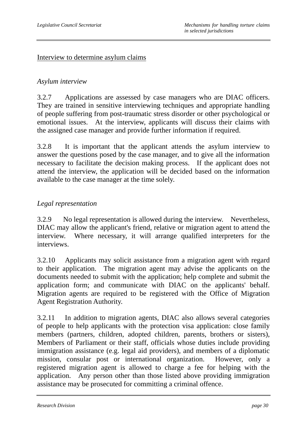#### Interview to determine asylum claims

### *Asylum interview*

3.2.7 Applications are assessed by case managers who are DIAC officers. They are trained in sensitive interviewing techniques and appropriate handling of people suffering from post-traumatic stress disorder or other psychological or emotional issues. At the interview, applicants will discuss their claims with the assigned case manager and provide further information if required.

3.2.8 It is important that the applicant attends the asylum interview to answer the questions posed by the case manager, and to give all the information necessary to facilitate the decision making process. If the applicant does not attend the interview, the application will be decided based on the information available to the case manager at the time solely.

### *Legal representation*

3.2.9 No legal representation is allowed during the interview. Nevertheless, DIAC may allow the applicant's friend, relative or migration agent to attend the interview. Where necessary, it will arrange qualified interpreters for the interviews.

3.2.10 Applicants may solicit assistance from a migration agent with regard to their application. The migration agent may advise the applicants on the documents needed to submit with the application; help complete and submit the application form; and communicate with DIAC on the applicants' behalf. Migration agents are required to be registered with the Office of Migration Agent Registration Authority.

3.2.11 In addition to migration agents, DIAC also allows several categories of people to help applicants with the protection visa application: close family members (partners, children, adopted children, parents, brothers or sisters), Members of Parliament or their staff, officials whose duties include providing immigration assistance (e.g. legal aid providers), and members of a diplomatic mission, consular post or international organization. However, only a registered migration agent is allowed to charge a fee for helping with the application. Any person other than those listed above providing immigration assistance may be prosecuted for committing a criminal offence.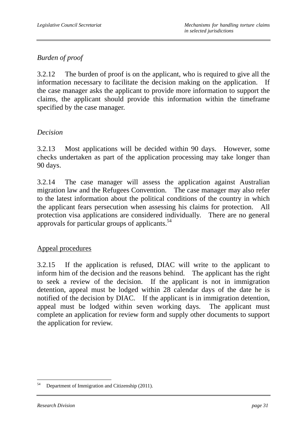# *Burden of proof*

3.2.12 The burden of proof is on the applicant, who is required to give all the information necessary to facilitate the decision making on the application. the case manager asks the applicant to provide more information to support the claims, the applicant should provide this information within the timeframe specified by the case manager.

### *Decision*

3.2.13 Most applications will be decided within 90 days. However, some checks undertaken as part of the application processing may take longer than 90 days.

3.2.14 The case manager will assess the application against Australian migration law and the Refugees Convention. The case manager may also refer to the latest information about the political conditions of the country in which the applicant fears persecution when assessing his claims for protection. All protection visa applications are considered individually. There are no general approvals for particular groups of applicants. $54$ 

### Appeal procedures

3.2.15 If the application is refused, DIAC will write to the applicant to inform him of the decision and the reasons behind. The applicant has the right to seek a review of the decision. If the applicant is not in immigration detention, appeal must be lodged within 28 calendar days of the date he is notified of the decision by DIAC. If the applicant is in immigration detention, appeal must be lodged within seven working days. The applicant must complete an application for review form and supply other documents to support the application for review.

 $\overline{a}$ <sup>54</sup> Department of Immigration and Citizenship (2011).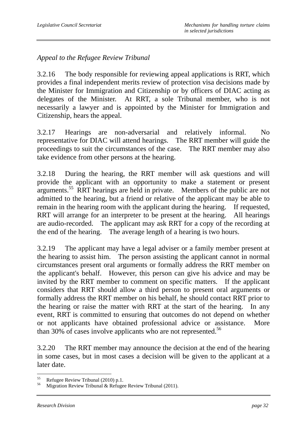*Appeal to the Refugee Review Tribunal* 

3.2.16 The body responsible for reviewing appeal applications is RRT, which provides a final independent merits review of protection visa decisions made by the Minister for Immigration and Citizenship or by officers of DIAC acting as delegates of the Minister. At RRT, a sole Tribunal member, who is not necessarily a lawyer and is appointed by the Minister for Immigration and Citizenship, hears the appeal.

3.2.17 Hearings are non-adversarial and relatively informal. No representative for DIAC will attend hearings. The RRT member will guide the proceedings to suit the circumstances of the case. The RRT member may also take evidence from other persons at the hearing.

3.2.18 During the hearing, the RRT member will ask questions and will provide the applicant with an opportunity to make a statement or present arguments.<sup>55</sup> RRT hearings are held in private. Members of the public are not admitted to the hearing, but a friend or relative of the applicant may be able to remain in the hearing room with the applicant during the hearing. If requested, RRT will arrange for an interpreter to be present at the hearing. All hearings are audio-recorded. The applicant may ask RRT for a copy of the recording at the end of the hearing. The average length of a hearing is two hours.

3.2.19 The applicant may have a legal adviser or a family member present at the hearing to assist him. The person assisting the applicant cannot in normal circumstances present oral arguments or formally address the RRT member on the applicant's behalf. However, this person can give his advice and may be invited by the RRT member to comment on specific matters. If the applicant considers that RRT should allow a third person to present oral arguments or formally address the RRT member on his behalf, he should contact RRT prior to the hearing or raise the matter with RRT at the start of the hearing. In any event, RRT is committed to ensuring that outcomes do not depend on whether or not applicants have obtained professional advice or assistance. More than 30% of cases involve applicants who are not represented.<sup>56</sup>

3.2.20 The RRT member may announce the decision at the end of the hearing in some cases, but in most cases a decision will be given to the applicant at a later date.

<sup>55</sup> <sup>55</sup> Refugee Review Tribunal (2010) p.1.<br> $^{56}$  Migration Daview Tribunal & Defuge

Migration Review Tribunal & Refugee Review Tribunal (2011).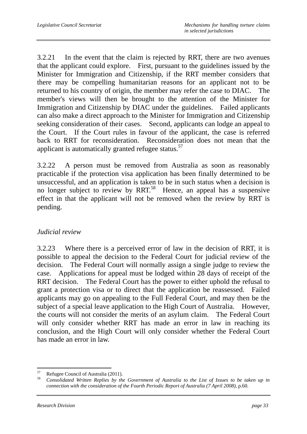3.2.21 In the event that the claim is rejected by RRT, there are two avenues that the applicant could explore. First, pursuant to the guidelines issued by the Minister for Immigration and Citizenship, if the RRT member considers that there may be compelling humanitarian reasons for an applicant not to be returned to his country of origin, the member may refer the case to DIAC. The member's views will then be brought to the attention of the Minister for Immigration and Citizenship by DIAC under the guidelines. Failed applicants can also make a direct approach to the Minister for Immigration and Citizenship seeking consideration of their cases. Second, applicants can lodge an appeal to the Court. If the Court rules in favour of the applicant, the case is referred back to RRT for reconsideration. Reconsideration does not mean that the applicant is automatically granted refugee status.<sup>57</sup>

3.2.22 A person must be removed from Australia as soon as reasonably practicable if the protection visa application has been finally determined to be unsuccessful, and an application is taken to be in such status when a decision is no longer subject to review by RRT.<sup>58</sup> Hence, an appeal has a suspensive effect in that the applicant will not be removed when the review by RRT is pending.

### *Judicial review*

3.2.23 Where there is a perceived error of law in the decision of RRT, it is possible to appeal the decision to the Federal Court for judicial review of the decision. The Federal Court will normally assign a single judge to review the case. Applications for appeal must be lodged within 28 days of receipt of the RRT decision. The Federal Court has the power to either uphold the refusal to grant a protection visa or to direct that the application be reassessed. Failed applicants may go on appealing to the Full Federal Court, and may then be the subject of a special leave application to the High Court of Australia. However, the courts will not consider the merits of an asylum claim. The Federal Court will only consider whether RRT has made an error in law in reaching its conclusion, and the High Court will only consider whether the Federal Court has made an error in law.

<sup>57</sup>  $^{57}$  Refugee Council of Australia (2011).

<sup>58</sup> *Consolidated Written Replies by the Government of Australia to the List of Issues to be taken up in connection with the consideration of the Fourth Periodic Report of Australia (7 April 2008)*, p.60.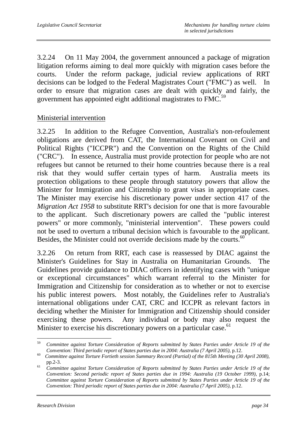3.2.24 On 11 May 2004, the government announced a package of migration litigation reforms aiming to deal more quickly with migration cases before the courts. Under the reform package, judicial review applications of RRT decisions can be lodged to the Federal Magistrates Court ("FMC") as well. In order to ensure that migration cases are dealt with quickly and fairly, the government has appointed eight additional magistrates to FMC.<sup>59</sup>

### Ministerial intervention

3.2.25 In addition to the Refugee Convention, Australia's non-refoulement obligations are derived from CAT, the International Covenant on Civil and Political Rights ("ICCPR") and the Convention on the Rights of the Child ("CRC"). In essence, Australia must provide protection for people who are not refugees but cannot be returned to their home countries because there is a real risk that they would suffer certain types of harm. Australia meets its protection obligations to these people through statutory powers that allow the Minister for Immigration and Citizenship to grant visas in appropriate cases. The Minister may exercise his discretionary power under section 417 of the *Migration Act 1958* to substitute RRT's decision for one that is more favourable to the applicant. Such discretionary powers are called the "public interest powers" or more commonly, "ministerial intervention". These powers could not be used to overturn a tribunal decision which is favourable to the applicant. Besides, the Minister could not override decisions made by the courts.<sup>60</sup>

3.2.26 On return from RRT, each case is reassessed by DIAC against the Minister's Guidelines for Stay in Australia on Humanitarian Grounds. The Guidelines provide guidance to DIAC officers in identifying cases with "unique or exceptional circumstances" which warrant referral to the Minister for Immigration and Citizenship for consideration as to whether or not to exercise his public interest powers. Most notably, the Guidelines refer to Australia's international obligations under CAT, CRC and ICCPR as relevant factors in deciding whether the Minister for Immigration and Citizenship should consider exercising these powers. Any individual or body may also request the Minister to exercise his discretionary powers on a particular case.<sup>61</sup>

<sup>59</sup> <sup>59</sup> *Committee against Torture Consideration of Reports submitted by States Parties under Article 19 of the* 

*Convention: Third periodic report of States parties due in 2004: Australia (7 April 2005)*, p.12.<br>*60 Committee against Torture Fortieth session Summary Record (Partial) of the 815th Meeting (30 April 2008)*, pp.2-3.

<sup>&</sup>lt;sup>61</sup> *Committee against Torture Consideration of Reports submitted by States Parties under Article 19 of the Convention: Second periodic report of States parties due in 1994: Australia (19 October 1999)*, p.14; *Committee against Torture Consideration of Reports submitted by States Parties under Article 19 of the Convention: Third periodic report of States parties due in 2004: Australia (7 April 2005)*, p.12.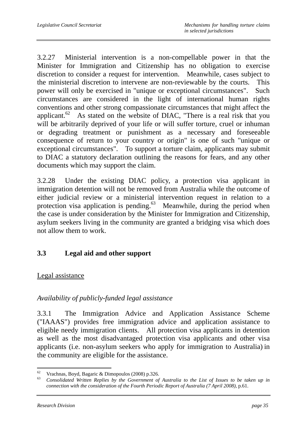3.2.27 Ministerial intervention is a non-compellable power in that the Minister for Immigration and Citizenship has no obligation to exercise discretion to consider a request for intervention. Meanwhile, cases subject to the ministerial discretion to intervene are non-reviewable by the courts. This power will only be exercised in "unique or exceptional circumstances". Such circumstances are considered in the light of international human rights conventions and other strong compassionate circumstances that might affect the applicant.<sup>62</sup> As stated on the website of DIAC, "There is a real risk that you will be arbitrarily deprived of your life or will suffer torture, cruel or inhuman or degrading treatment or punishment as a necessary and foreseeable consequence of return to your country or origin" is one of such "unique or exceptional circumstances". To support a torture claim, applicants may submit to DIAC a statutory declaration outlining the reasons for fears, and any other documents which may support the claim.

3.2.28 Under the existing DIAC policy, a protection visa applicant in immigration detention will not be removed from Australia while the outcome of either judicial review or a ministerial intervention request in relation to a protection visa application is pending. $63$  Meanwhile, during the period when the case is under consideration by the Minister for Immigration and Citizenship, asylum seekers living in the community are granted a bridging visa which does not allow them to work.

## **3.3 Legal aid and other support**

### Legal assistance

### *Availability of publicly-funded legal assistance*

3.3.1 The Immigration Advice and Application Assistance Scheme ("IAAAS") provides free immigration advice and application assistance to eligible needy immigration clients. All protection visa applicants in detention as well as the most disadvantaged protection visa applicants and other visa applicants (i.e. non-asylum seekers who apply for immigration to Australia) in the community are eligible for the assistance.

 $62$ <sup>62</sup> Vrachnas, Boyd, Bagaric & Dimopoulos (2008) p.326.

<sup>63</sup> *Consolidated Written Replies by the Government of Australia to the List of Issues to be taken up in connection with the consideration of the Fourth Periodic Report of Australia (7 April 2008)*, p.61.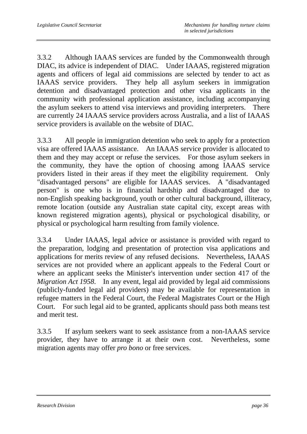3.3.2 Although IAAAS services are funded by the Commonwealth through DIAC, its advice is independent of DIAC. Under IAAAS, registered migration agents and officers of legal aid commissions are selected by tender to act as IAAAS service providers. They help all asylum seekers in immigration detention and disadvantaged protection and other visa applicants in the community with professional application assistance, including accompanying the asylum seekers to attend visa interviews and providing interpreters. There are currently 24 IAAAS service providers across Australia, and a list of IAAAS service providers is available on the website of DIAC.

3.3.3 All people in immigration detention who seek to apply for a protection visa are offered IAAAS assistance. An IAAAS service provider is allocated to them and they may accept or refuse the services. For those asylum seekers in the community, they have the option of choosing among IAAAS service providers listed in their areas if they meet the eligibility requirement. Only "disadvantaged persons" are eligible for IAAAS services. A "disadvantaged person" is one who is in financial hardship and disadvantaged due to non-English speaking background, youth or other cultural background, illiteracy, remote location (outside any Australian state capital city, except areas with known registered migration agents), physical or psychological disability, or physical or psychological harm resulting from family violence.

3.3.4 Under IAAAS, legal advice or assistance is provided with regard to the preparation, lodging and presentation of protection visa applications and applications for merits review of any refused decisions. Nevertheless, IAAAS services are not provided where an applicant appeals to the Federal Court or where an applicant seeks the Minister's intervention under section 417 of the *Migration Act 1958*. In any event, legal aid provided by legal aid commissions (publicly-funded legal aid providers) may be available for representation in refugee matters in the Federal Court, the Federal Magistrates Court or the High Court. For such legal aid to be granted, applicants should pass both means test and merit test.

3.3.5 If asylum seekers want to seek assistance from a non-IAAAS service provider, they have to arrange it at their own cost. Nevertheless, some migration agents may offer *pro bono* or free services.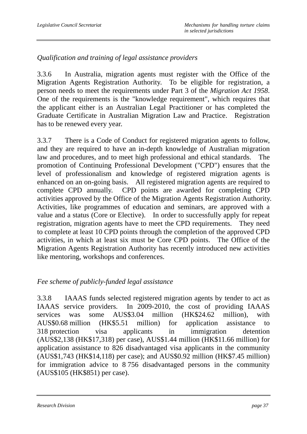## *Qualification and training of legal assistance providers*

3.3.6 In Australia, migration agents must register with the Office of the Migration Agents Registration Authority. To be eligible for registration, a person needs to meet the requirements under Part 3 of the *Migration Act 1958*. One of the requirements is the "knowledge requirement", which requires that the applicant either is an Australian Legal Practitioner or has completed the Graduate Certificate in Australian Migration Law and Practice. Registration has to be renewed every year.

3.3.7 There is a Code of Conduct for registered migration agents to follow, and they are required to have an in-depth knowledge of Australian migration law and procedures, and to meet high professional and ethical standards. The promotion of Continuing Professional Development ("CPD") ensures that the level of professionalism and knowledge of registered migration agents is enhanced on an on-going basis. All registered migration agents are required to complete CPD annually. CPD points are awarded for completing CPD activities approved by the Office of the Migration Agents Registration Authority. Activities, like programmes of education and seminars, are approved with a value and a status (Core or Elective). In order to successfully apply for repeat registration, migration agents have to meet the CPD requirements. They need to complete at least 10 CPD points through the completion of the approved CPD activities, in which at least six must be Core CPD points. The Office of the Migration Agents Registration Authority has recently introduced new activities like mentoring, workshops and conferences.

## *Fee scheme of publicly-funded legal assistance*

3.3.8 IAAAS funds selected registered migration agents by tender to act as IAAAS service providers. In 2009-2010, the cost of providing IAAAS services was some AUS\$3.04 million (HK\$24.62 million), with AUS\$0.68 million (HK\$5.51 million) for application assistance to 318 protection visa applicants in immigration detention (AUS\$2,138 (HK\$17,318) per case), AUS\$1.44 million (HK\$11.66 million) for application assistance to 826 disadvantaged visa applicants in the community (AUS\$1,743 (HK\$14,118) per case); and AUS\$0.92 million (HK\$7.45 million) for immigration advice to 8 756 disadvantaged persons in the community (AUS\$105 (HK\$851) per case).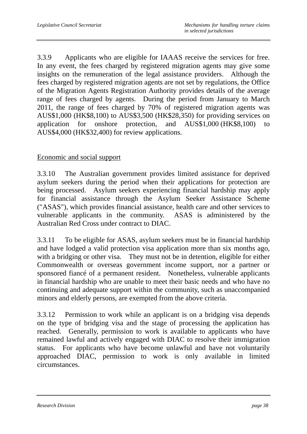3.3.9 Applicants who are eligible for IAAAS receive the services for free. In any event, the fees charged by registered migration agents may give some insights on the remuneration of the legal assistance providers. Although the fees charged by registered migration agents are not set by regulations, the Office of the Migration Agents Registration Authority provides details of the average range of fees charged by agents. During the period from January to March 2011, the range of fees charged by 70% of registered migration agents was AUS\$1,000 (HK\$8,100) to AUS\$3,500 (HK\$28,350) for providing services on application for onshore protection, and AUS\$1,000 (HK\$8,100) to AUS\$4,000 (HK\$32,400) for review applications.

### Economic and social support

3.3.10 The Australian government provides limited assistance for deprived asylum seekers during the period when their applications for protection are being processed. Asylum seekers experiencing financial hardship may apply for financial assistance through the Asylum Seeker Assistance Scheme ("ASAS"), which provides financial assistance, health care and other services to vulnerable applicants in the community. ASAS is administered by the Australian Red Cross under contract to DIAC.

3.3.11 To be eligible for ASAS, asylum seekers must be in financial hardship and have lodged a valid protection visa application more than six months ago, with a bridging or other visa. They must not be in detention, eligible for either Commonwealth or overseas government income support, nor a partner or sponsored fiancé of a permanent resident. Nonetheless, vulnerable applicants in financial hardship who are unable to meet their basic needs and who have no continuing and adequate support within the community, such as unaccompanied minors and elderly persons, are exempted from the above criteria.

3.3.12 Permission to work while an applicant is on a bridging visa depends on the type of bridging visa and the stage of processing the application has reached. Generally, permission to work is available to applicants who have remained lawful and actively engaged with DIAC to resolve their immigration status. For applicants who have become unlawful and have not voluntarily approached DIAC, permission to work is only available in limited circumstances.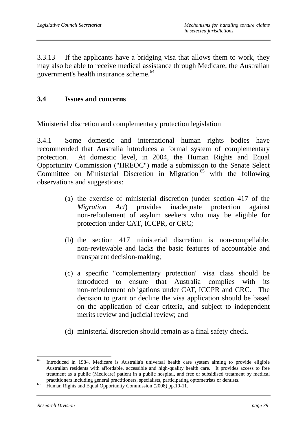3.3.13 If the applicants have a bridging visa that allows them to work, they may also be able to receive medical assistance through Medicare, the Australian government's health insurance scheme.<sup>64</sup>

### **3.4 Issues and concerns**

#### Ministerial discretion and complementary protection legislation

3.4.1 Some domestic and international human rights bodies have recommended that Australia introduces a formal system of complementary protection. At domestic level, in 2004, the Human Rights and Equal Opportunity Commission ("HREOC") made a submission to the Senate Select Committee on Ministerial Discretion in Migration  $65$  with the following observations and suggestions:

- (a) the exercise of ministerial discretion (under section 417 of the *Migration Act*) provides inadequate protection against non-refoulement of asylum seekers who may be eligible for protection under CAT, ICCPR, or CRC;
- (b) the section 417 ministerial discretion is non-compellable, non-reviewable and lacks the basic features of accountable and transparent decision-making;
- (c) a specific "complementary protection" visa class should be introduced to ensure that Australia complies with its non-refoulement obligations under CAT, ICCPR and CRC. The decision to grant or decline the visa application should be based on the application of clear criteria, and subject to independent merits review and judicial review; and
- (d) ministerial discretion should remain as a final safety check.

<sup>64</sup> 64 Introduced in 1984, Medicare is Australia's universal health care system aiming to provide eligible Australian residents with affordable, accessible and high-quality health care. It provides access to free treatment as a public (Medicare) patient in a public hospital, and free or subsidised treatment by medical

practitioners including general practitioners, specialists, participating optometrists or dentists.<br>Human Rights and Equal Opportunity Commission (2008) pp.10-11.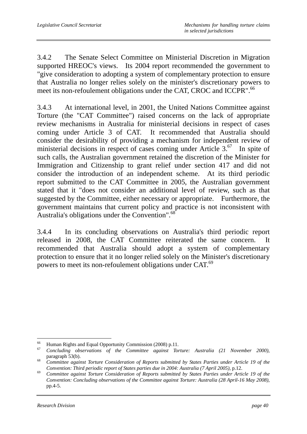3.4.2 The Senate Select Committee on Ministerial Discretion in Migration supported HREOC's views. Its 2004 report recommended the government to "give consideration to adopting a system of complementary protection to ensure that Australia no longer relies solely on the minister's discretionary powers to meet its non-refoulement obligations under the CAT, CROC and ICCPR".<sup>66</sup>

3.4.3 At international level, in 2001, the United Nations Committee against Torture (the "CAT Committee") raised concerns on the lack of appropriate review mechanisms in Australia for ministerial decisions in respect of cases coming under Article 3 of CAT. It recommended that Australia should consider the desirability of providing a mechanism for independent review of ministerial decisions in respect of cases coming under Article 3.<sup>67</sup> In spite of such calls, the Australian government retained the discretion of the Minister for Immigration and Citizenship to grant relief under section 417 and did not consider the introduction of an independent scheme. At its third periodic report submitted to the CAT Committee in 2005, the Australian government stated that it "does not consider an additional level of review, such as that suggested by the Committee, either necessary or appropriate. Furthermore, the government maintains that current policy and practice is not inconsistent with Australia's obligations under the Convention".<sup>68</sup>

3.4.4 In its concluding observations on Australia's third periodic report released in 2008, the CAT Committee reiterated the same concern. It recommended that Australia should adopt a system of complementary protection to ensure that it no longer relied solely on the Minister's discretionary powers to meet its non-refoulement obligations under CAT.<sup>69</sup>

<sup>66</sup> <sup>66</sup> Human Rights and Equal Opportunity Commission (2008) p.11.

<sup>67</sup> *Concluding observations of the Committee against Torture: Australia (21 November 2000)*, paragraph 53(b). 68 *Committee against Torture Consideration of Reports submitted by States Parties under Article 19 of the* 

*Convention: Third periodic report of States parties due in 2004: Australia (7 April 2005)*, p.12. 69 *Committee against Torture Consideration of Reports submitted by States Parties under Article 19 of the* 

*Convention: Concluding observations of the Committee against Torture: Australia (28 April-16 May 2008)*, pp.4-5.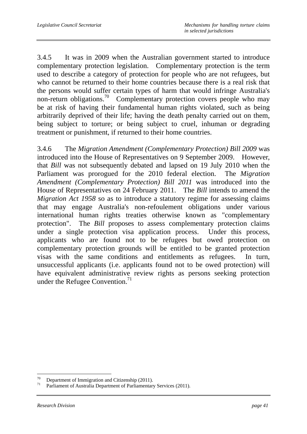3.4.5 It was in 2009 when the Australian government started to introduce complementary protection legislation. Complementary protection is the term used to describe a category of protection for people who are not refugees, but who cannot be returned to their home countries because there is a real risk that the persons would suffer certain types of harm that would infringe Australia's non-return obligations.<sup>70</sup> Complementary protection covers people who may be at risk of having their fundamental human rights violated, such as being arbitrarily deprived of their life; having the death penalty carried out on them, being subject to torture; or being subject to cruel, inhuman or degrading treatment or punishment, if returned to their home countries.

3.4.6 The *Migration Amendment (Complementary Protection) Bill 2009* was introduced into the House of Representatives on 9 September 2009. However, that *Bill* was not subsequently debated and lapsed on 19 July 2010 when the Parliament was prorogued for the 2010 federal election. The *Migration Amendment (Complementary Protection) Bill 2011* was introduced into the House of Representatives on 24 February 2011. The *Bill* intends to amend the *Migration Act 1958* so as to introduce a statutory regime for assessing claims that may engage Australia's non-refoulement obligations under various international human rights treaties otherwise known as "complementary protection". The *Bill* proposes to assess complementary protection claims under a single protection visa application process. Under this process, applicants who are found not to be refugees but owed protection on complementary protection grounds will be entitled to be granted protection visas with the same conditions and entitlements as refugees. In turn, unsuccessful applicants (i.e. applicants found not to be owed protection) will have equivalent administrative review rights as persons seeking protection under the Refugee Convention. $71$ 

 $\overline{a}$  $^{70}$  Department of Immigration and Citizenship (2011).

Parliament of Australia Department of Parliamentary Services (2011).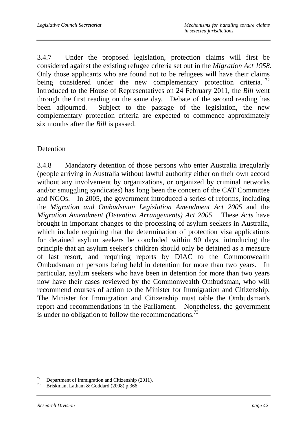3.4.7 Under the proposed legislation, protection claims will first be considered against the existing refugee criteria set out in the *Migration Act 1958*. Only those applicants who are found not to be refugees will have their claims being considered under the new complementary protection criteria.<sup>72</sup> Introduced to the House of Representatives on 24 February 2011, the *Bill* went through the first reading on the same day. Debate of the second reading has been adjourned. Subject to the passage of the legislation, the new complementary protection criteria are expected to commence approximately six months after the *Bill* is passed.

### Detention

3.4.8 Mandatory detention of those persons who enter Australia irregularly (people arriving in Australia without lawful authority either on their own accord without any involvement by organizations, or organized by criminal networks and/or smuggling syndicates) has long been the concern of the CAT Committee and NGOs. In 2005, the government introduced a series of reforms, including the *Migration and Ombudsman Legislation Amendment Act 2005* and the *Migration Amendment (Detention Arrangements) Act 2005*. These *Acts* have brought in important changes to the processing of asylum seekers in Australia, which include requiring that the determination of protection visa applications for detained asylum seekers be concluded within 90 days, introducing the principle that an asylum seeker's children should only be detained as a measure of last resort, and requiring reports by DIAC to the Commonwealth Ombudsman on persons being held in detention for more than two years. In particular, asylum seekers who have been in detention for more than two years now have their cases reviewed by the Commonwealth Ombudsman, who will recommend courses of action to the Minister for Immigration and Citizenship. The Minister for Immigration and Citizenship must table the Ombudsman's report and recommendations in the Parliament. Nonetheless, the government is under no obligation to follow the recommendations.<sup>73</sup>

 $72\,$ <sup>72</sup> Department of Immigration and Citizenship (2011).<br><sup>73</sup> Drightman Latham & Gaddard (2008) n 266

Briskman, Latham & Goddard (2008) p.366.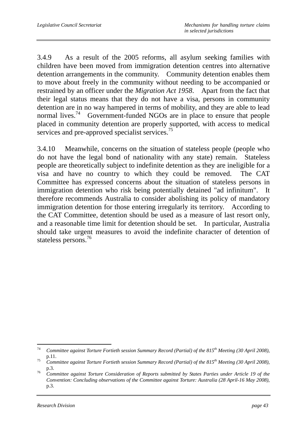3.4.9 As a result of the 2005 reforms, all asylum seeking families with children have been moved from immigration detention centres into alternative detention arrangements in the community. Community detention enables them to move about freely in the community without needing to be accompanied or restrained by an officer under the *Migration Act 1958*. Apart from the fact that their legal status means that they do not have a visa, persons in community detention are in no way hampered in terms of mobility, and they are able to lead normal lives.<sup>74</sup> Government-funded NGOs are in place to ensure that people placed in community detention are properly supported, with access to medical services and pre-approved specialist services.<sup>75</sup>

3.4.10 Meanwhile, concerns on the situation of stateless people (people who do not have the legal bond of nationality with any state) remain. Stateless people are theoretically subject to indefinite detention as they are ineligible for a visa and have no country to which they could be removed. The CAT Committee has expressed concerns about the situation of stateless persons in immigration detention who risk being potentially detained "ad infinitum". It therefore recommends Australia to consider abolishing its policy of mandatory immigration detention for those entering irregularly its territory. According to the CAT Committee, detention should be used as a measure of last resort only, and a reasonable time limit for detention should be set. In particular, Australia should take urgent measures to avoid the indefinite character of detention of stateless persons.<sup>76</sup>

<sup>74</sup> <sup>74</sup> *Committee against Torture Fortieth session Summary Record (Partial) of the 815th Meeting (30 April 2008)*, p.11. 75 *Committee against Torture Fortieth session Summary Record (Partial) of the 815th Meeting (30 April 2008)*,

p.3. 76 *Committee against Torture Consideration of Reports submitted by States Parties under Article 19 of the Convention: Concluding observations of the Committee against Torture: Australia (28 April-16 May 2008)*, p.3.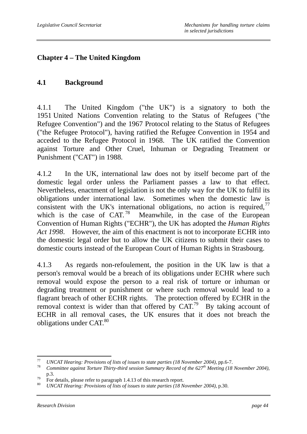# **Chapter 4 – The United Kingdom**

### **4.1 Background**

4.1.1 The United Kingdom ("the UK") is a signatory to both the 1951 United Nations Convention relating to the Status of Refugees ("the Refugee Convention") and the 1967 Protocol relating to the Status of Refugees ("the Refugee Protocol"), having ratified the Refugee Convention in 1954 and acceded to the Refugee Protocol in 1968. The UK ratified the Convention against Torture and Other Cruel, Inhuman or Degrading Treatment or Punishment ("CAT") in 1988.

4.1.2 In the UK, international law does not by itself become part of the domestic legal order unless the Parliament passes a law to that effect. Nevertheless, enactment of legislation is not the only way for the UK to fulfil its obligations under international law. Sometimes when the domestic law is consistent with the UK's international obligations, no action is required,  $\frac{7}{7}$ which is the case of  $CAT<sup>78</sup>$  Meanwhile, in the case of the European Convention of Human Rights ("ECHR"), the UK has adopted the *Human Rights Act 1998*. However, the aim of this enactment is not to incorporate ECHR into the domestic legal order but to allow the UK citizens to submit their cases to domestic courts instead of the European Court of Human Rights in Strasbourg.

4.1.3 As regards non-refoulement, the position in the UK law is that a person's removal would be a breach of its obligations under ECHR where such removal would expose the person to a real risk of torture or inhuman or degrading treatment or punishment or where such removal would lead to a flagrant breach of other ECHR rights. The protection offered by ECHR in the removal context is wider than that offered by  $CAT<sup>79</sup>$  By taking account of ECHR in all removal cases, the UK ensures that it does not breach the obligations under CAT.<sup>80</sup>

<sup>77</sup> 

<sup>77</sup> *UNCAT Hearing: Provisions of lists of issues to state parties (18 November 2004)*, pp.6-7. 78 *Committee against Torture Thirty-third session Summary Record of the 627th Meeting (18 November 2004)*, p.3.<br>For details, please refer to paragraph 1.4.13 of this research report.<br> $WACATL$  reports a provision of lists of investor to the parties (18 M

<sup>80</sup> *UNCAT Hearing: Provisions of lists of issues to state parties (18 November 2004)*, p.30.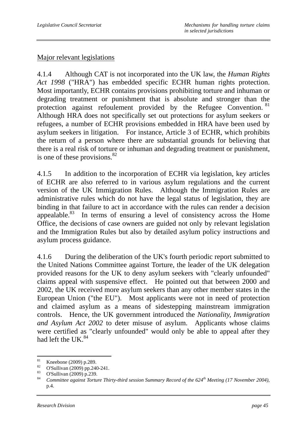### Major relevant legislations

4.1.4 Although CAT is not incorporated into the UK law, the *Human Rights Act 1998* ("HRA") has embedded specific ECHR human rights protection. Most importantly, ECHR contains provisions prohibiting torture and inhuman or degrading treatment or punishment that is absolute and stronger than the protection against refoulement provided by the Refugee Convention. 81 Although HRA does not specifically set out protections for asylum seekers or refugees, a number of ECHR provisions embedded in HRA have been used by asylum seekers in litigation. For instance, Article 3 of ECHR, which prohibits the return of a person where there are substantial grounds for believing that there is a real risk of torture or inhuman and degrading treatment or punishment, is one of these provisions. $82$ 

4.1.5 In addition to the incorporation of ECHR via legislation, key articles of ECHR are also referred to in various asylum regulations and the current version of the UK Immigration Rules. Although the Immigration Rules are administrative rules which do not have the legal status of legislation, they are binding in that failure to act in accordance with the rules can render a decision appealable. $83$  In terms of ensuring a level of consistency across the Home Office, the decisions of case owners are guided not only by relevant legislation and the Immigration Rules but also by detailed asylum policy instructions and asylum process guidance.

4.1.6 During the deliberation of the UK's fourth periodic report submitted to the United Nations Committee against Torture, the leader of the UK delegation provided reasons for the UK to deny asylum seekers with "clearly unfounded" claims appeal with suspensive effect. He pointed out that between 2000 and 2002, the UK received more asylum seekers than any other member states in the European Union ("the EU"). Most applicants were not in need of protection and claimed asylum as a means of sidestepping mainstream immigration controls. Hence, the UK government introduced the *Nationality, Immigration and Asylum Act 2002* to deter misuse of asylum. Applicants whose claims were certified as "clearly unfounded" would only be able to appeal after they had left the UK. $^{84}$ 

<sup>81</sup> <sup>81</sup> Kneebone (2009) p.289.

<sup>&</sup>lt;sup>82</sup> O'Sullivan (2009) pp.240-241.

 $\frac{83}{84}$  O'Sullivan (2009) p.239.

<sup>84</sup> *Committee against Torture Thirty-third session Summary Record of the 624th Meeting (17 November 2004)*, p.4.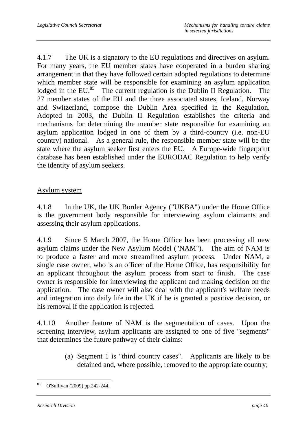4.1.7 The UK is a signatory to the EU regulations and directives on asylum. For many years, the EU member states have cooperated in a burden sharing arrangement in that they have followed certain adopted regulations to determine which member state will be responsible for examining an asylum application lodged in the EU. $^{85}$  The current regulation is the Dublin II Regulation. The 27 member states of the EU and the three associated states, Iceland, Norway and Switzerland, compose the Dublin Area specified in the Regulation. Adopted in 2003, the Dublin II Regulation establishes the criteria and mechanisms for determining the member state responsible for examining an asylum application lodged in one of them by a third-country (i.e. non-EU country) national. As a general rule, the responsible member state will be the state where the asylum seeker first enters the EU. A Europe-wide fingerprint database has been established under the EURODAC Regulation to help verify the identity of asylum seekers.

### Asylum system

4.1.8 In the UK, the UK Border Agency ("UKBA") under the Home Office is the government body responsible for interviewing asylum claimants and assessing their asylum applications.

4.1.9 Since 5 March 2007, the Home Office has been processing all new asylum claims under the New Asylum Model ("NAM"). The aim of NAM is to produce a faster and more streamlined asylum process. Under NAM, a single case owner, who is an officer of the Home Office, has responsibility for an applicant throughout the asylum process from start to finish. The case owner is responsible for interviewing the applicant and making decision on the application. The case owner will also deal with the applicant's welfare needs and integration into daily life in the UK if he is granted a positive decision, or his removal if the application is rejected.

4.1.10 Another feature of NAM is the segmentation of cases. Upon the screening interview, asylum applicants are assigned to one of five "segments" that determines the future pathway of their claims:

> (a) Segment 1 is "third country cases". Applicants are likely to be detained and, where possible, removed to the appropriate country;

 $\overline{a}$ 85 O'Sullivan (2009) pp.242-244.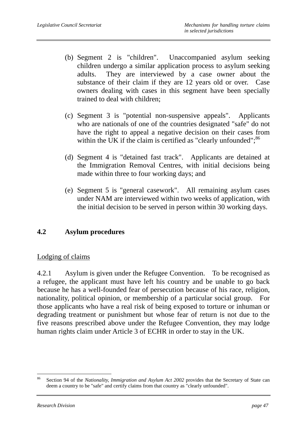- (b) Segment 2 is "children". Unaccompanied asylum seeking children undergo a similar application process to asylum seeking adults. They are interviewed by a case owner about the substance of their claim if they are 12 years old or over. Case owners dealing with cases in this segment have been specially trained to deal with children;
- (c) Segment 3 is "potential non-suspensive appeals". Applicants who are nationals of one of the countries designated "safe" do not have the right to appeal a negative decision on their cases from within the UK if the claim is certified as "clearly unfounded"; $^{86}$
- (d) Segment 4 is "detained fast track". Applicants are detained at the Immigration Removal Centres, with initial decisions being made within three to four working days; and
- (e) Segment 5 is "general casework". All remaining asylum cases under NAM are interviewed within two weeks of application, with the initial decision to be served in person within 30 working days.

## **4.2 Asylum procedures**

## Lodging of claims

4.2.1 Asylum is given under the Refugee Convention. To be recognised as a refugee, the applicant must have left his country and be unable to go back because he has a well-founded fear of persecution because of his race, religion, nationality, political opinion, or membership of a particular social group. For those applicants who have a real risk of being exposed to torture or inhuman or degrading treatment or punishment but whose fear of return is not due to the five reasons prescribed above under the Refugee Convention, they may lodge human rights claim under Article 3 of ECHR in order to stay in the UK.

 $\overline{a}$ 86 Section 94 of the *Nationality, Immigration and Asylum Act 2002* provides that the Secretary of State can deem a country to be "safe" and certify claims from that country as "clearly unfounded".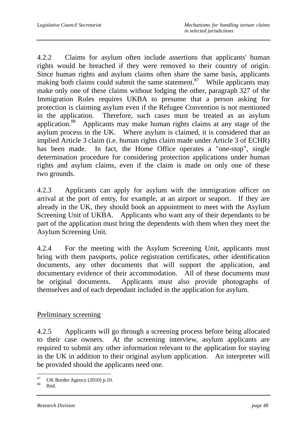4.2.2 Claims for asylum often include assertions that applicants' human rights would be breached if they were removed to their country of origin. Since human rights and asylum claims often share the same basis, applicants making both claims could submit the same statement.<sup>87</sup> While applicants may make only one of these claims without lodging the other, paragraph 327 of the Immigration Rules requires UKBA to presume that a person asking for protection is claiming asylum even if the Refugee Convention is not mentioned in the application. Therefore, such cases must be treated as an asylum application.88 Applicants may make human rights claims at any stage of the asylum process in the UK. Where asylum is claimed, it is considered that an implied Article 3 claim (i.e. human rights claim made under Article 3 of ECHR) has been made. In fact, the Home Office operates a "one-stop", single determination procedure for considering protection applications under human rights and asylum claims, even if the claim is made on only one of these two grounds.

4.2.3 Applicants can apply for asylum with the immigration officer on arrival at the port of entry, for example, at an airport or seaport. If they are already in the UK, they should book an appointment to meet with the Asylum Screening Unit of UKBA. Applicants who want any of their dependants to be part of the application must bring the dependents with them when they meet the Asylum Screening Unit.

4.2.4 For the meeting with the Asylum Screening Unit, applicants must bring with them passports, police registration certificates, other identification documents, any other documents that will support the application, and documentary evidence of their accommodation. All of these documents must be original documents. Applicants must also provide photographs of themselves and of each dependant included in the application for asylum.

### Preliminary screening

4.2.5 Applicants will go through a screening process before being allocated to their case owners. At the screening interview, asylum applicants are required to submit any other information relevant to the application for staying in the UK in addition to their original asylum application. An interpreter will be provided should the applicants need one.

 $\overline{a}$  $\frac{87}{88}$  UK Border Agency (2010) p.10.

Ibid.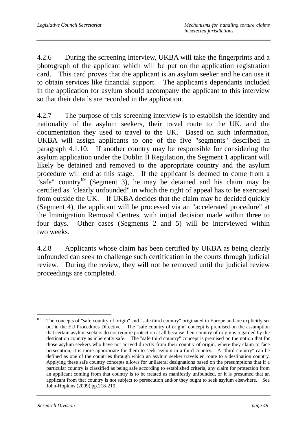4.2.6 During the screening interview, UKBA will take the fingerprints and a photograph of the applicant which will be put on the application registration card. This card proves that the applicant is an asylum seeker and he can use it to obtain services like financial support. The applicant's dependants included in the application for asylum should accompany the applicant to this interview so that their details are recorded in the application.

4.2.7 The purpose of this screening interview is to establish the identity and nationality of the asylum seekers, their travel route to the UK, and the documentation they used to travel to the UK. Based on such information, UKBA will assign applicants to one of the five "segments" described in paragraph 4.1.10. If another country may be responsible for considering the asylum application under the Dublin II Regulation, the Segment 1 applicant will likely be detained and removed to the appropriate country and the asylum procedure will end at this stage. If the applicant is deemed to come from a "safe" country<sup>89</sup> (Segment 3), he may be detained and his claim may be certified as "clearly unfounded" in which the right of appeal has to be exercised from outside the UK. If UKBA decides that the claim may be decided quickly (Segment 4), the applicant will be processed via an "accelerated procedure" at the Immigration Removal Centres, with initial decision made within three to four days. Other cases (Segments 2 and 5) will be interviewed within two weeks.

4.2.8 Applicants whose claim has been certified by UKBA as being clearly unfounded can seek to challenge such certification in the courts through judicial review. During the review, they will not be removed until the judicial review proceedings are completed.

<sup>89</sup> 89 The concepts of "safe country of origin" and "safe third country" originated in Europe and are explicitly set out in the EU Procedures Directive. The "safe country of origin" concept is premised on the assumption that certain asylum seekers do not require protection at all because their country of origin is regarded by the destination country as inherently safe. The "safe third country" concept is premised on the notion that for those asylum seekers who have not arrived directly from their country of origin, where they claim to face persecution, it is more appropriate for them to seek asylum in a third country. A "third country" can be defined as one of the countries through which an asylum seeker travels en route to a destination country. Applying these safe country concepts allows for unilateral designations based on the presumptions that if a particular country is classified as being safe according to established criteria, any claim for protection from an applicant coming from that country is to be treated as manifestly unfounded, or it is presumed that an applicant from that country is not subject to persecution and/or they ought to seek asylum elsewhere. See John-Hopkins (2009) pp.218-219.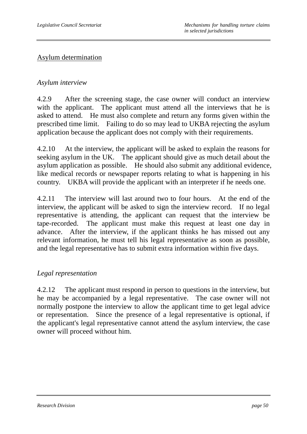### Asylum determination

#### *Asylum interview*

4.2.9 After the screening stage, the case owner will conduct an interview with the applicant. The applicant must attend all the interviews that he is asked to attend. He must also complete and return any forms given within the prescribed time limit. Failing to do so may lead to UKBA rejecting the asylum application because the applicant does not comply with their requirements.

4.2.10 At the interview, the applicant will be asked to explain the reasons for seeking asylum in the UK. The applicant should give as much detail about the asylum application as possible. He should also submit any additional evidence, like medical records or newspaper reports relating to what is happening in his country. UKBA will provide the applicant with an interpreter if he needs one.

4.2.11 The interview will last around two to four hours. At the end of the interview, the applicant will be asked to sign the interview record. If no legal representative is attending, the applicant can request that the interview be tape-recorded. The applicant must make this request at least one day in advance. After the interview, if the applicant thinks he has missed out any relevant information, he must tell his legal representative as soon as possible, and the legal representative has to submit extra information within five days.

### *Legal representation*

4.2.12 The applicant must respond in person to questions in the interview, but he may be accompanied by a legal representative. The case owner will not normally postpone the interview to allow the applicant time to get legal advice or representation. Since the presence of a legal representative is optional, if the applicant's legal representative cannot attend the asylum interview, the case owner will proceed without him.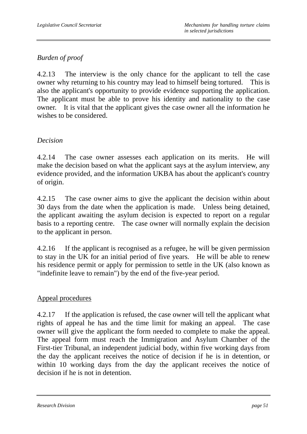# *Burden of proof*

4.2.13 The interview is the only chance for the applicant to tell the case owner why returning to his country may lead to himself being tortured. This is also the applicant's opportunity to provide evidence supporting the application. The applicant must be able to prove his identity and nationality to the case owner. It is vital that the applicant gives the case owner all the information he wishes to be considered.

### *Decision*

4.2.14 The case owner assesses each application on its merits. He will make the decision based on what the applicant says at the asylum interview, any evidence provided, and the information UKBA has about the applicant's country of origin.

4.2.15 The case owner aims to give the applicant the decision within about 30 days from the date when the application is made. Unless being detained, the applicant awaiting the asylum decision is expected to report on a regular basis to a reporting centre. The case owner will normally explain the decision to the applicant in person.

4.2.16 If the applicant is recognised as a refugee, he will be given permission to stay in the UK for an initial period of five years. He will be able to renew his residence permit or apply for permission to settle in the UK (also known as "indefinite leave to remain") by the end of the five-year period.

### Appeal procedures

4.2.17 If the application is refused, the case owner will tell the applicant what rights of appeal he has and the time limit for making an appeal. The case owner will give the applicant the form needed to complete to make the appeal. The appeal form must reach the Immigration and Asylum Chamber of the First-tier Tribunal, an independent judicial body, within five working days from the day the applicant receives the notice of decision if he is in detention, or within 10 working days from the day the applicant receives the notice of decision if he is not in detention.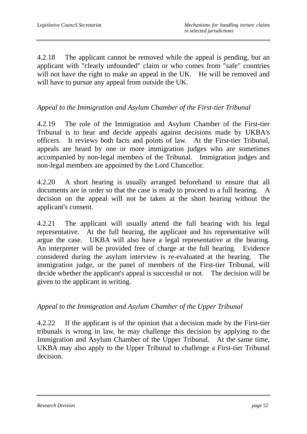4.2.18 The applicant cannot be removed while the appeal is pending, but an applicant with "clearly unfounded" claim or who comes from "safe" countries will not have the right to make an appeal in the UK. He will be removed and will have to pursue any appeal from outside the UK.

### *Appeal to the Immigration and Asylum Chamber of the First-tier Tribunal*

4.2.19 The role of the Immigration and Asylum Chamber of the First-tier Tribunal is to hear and decide appeals against decisions made by UKBA's officers. It reviews both facts and points of law. At the First-tier Tribunal, appeals are heard by one or more immigration judges who are sometimes accompanied by non-legal members of the Tribunal. Immigration judges and non-legal members are appointed by the Lord Chancellor.

4.2.20 A short hearing is usually arranged beforehand to ensure that all documents are in order so that the case is ready to proceed to a full hearing. A decision on the appeal will not be taken at the short hearing without the applicant's consent.

4.2.21 The applicant will usually attend the full hearing with his legal representative. At the full hearing, the applicant and his representative will argue the case. UKBA will also have a legal representative at the hearing. An interpreter will be provided free of charge at the full hearing. Evidence considered during the asylum interview is re-evaluated at the hearing. The immigration judge, or the panel of members of the First-tier Tribunal, will decide whether the applicant's appeal is successful or not. The decision will be given to the applicant in writing.

### *Appeal to the Immigration and Asylum Chamber of the Upper Tribunal*

4.2.22 If the applicant is of the opinion that a decision made by the First-tier tribunals is wrong in law, he may challenge this decision by applying to the Immigration and Asylum Chamber of the Upper Tribunal. At the same time, UKBA may also apply to the Upper Tribunal to challenge a First-tier Tribunal decision.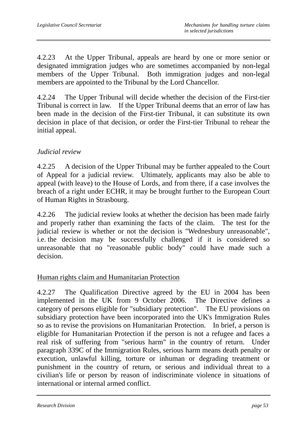4.2.23 At the Upper Tribunal, appeals are heard by one or more senior or designated immigration judges who are sometimes accompanied by non-legal members of the Upper Tribunal. Both immigration judges and non-legal members are appointed to the Tribunal by the Lord Chancellor.

4.2.24 The Upper Tribunal will decide whether the decision of the First-tier Tribunal is correct in law. If the Upper Tribunal deems that an error of law has been made in the decision of the First-tier Tribunal, it can substitute its own decision in place of that decision, or order the First-tier Tribunal to rehear the initial appeal.

### *Judicial review*

4.2.25 A decision of the Upper Tribunal may be further appealed to the Court of Appeal for a judicial review. Ultimately, applicants may also be able to appeal (with leave) to the House of Lords, and from there, if a case involves the breach of a right under ECHR, it may be brought further to the European Court of Human Rights in Strasbourg.

4.2.26 The judicial review looks at whether the decision has been made fairly and properly rather than examining the facts of the claim. The test for the judicial review is whether or not the decision is "Wednesbury unreasonable", i.e. the decision may be successfully challenged if it is considered so unreasonable that no "reasonable public body" could have made such a decision.

### Human rights claim and Humanitarian Protection

4.2.27 The Qualification Directive agreed by the EU in 2004 has been implemented in the UK from 9 October 2006. The Directive defines a category of persons eligible for "subsidiary protection". The EU provisions on subsidiary protection have been incorporated into the UK's Immigration Rules so as to revise the provisions on Humanitarian Protection. In brief, a person is eligible for Humanitarian Protection if the person is not a refugee and faces a real risk of suffering from "serious harm" in the country of return. Under paragraph 339C of the Immigration Rules, serious harm means death penalty or execution, unlawful killing, torture or inhuman or degrading treatment or punishment in the country of return, or serious and individual threat to a civilian's life or person by reason of indiscriminate violence in situations of international or internal armed conflict.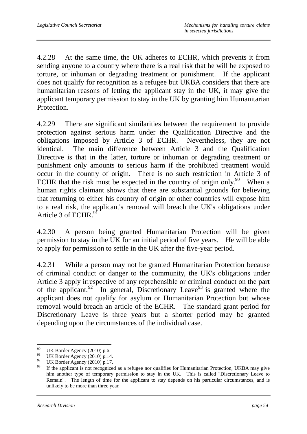4.2.28 At the same time, the UK adheres to ECHR, which prevents it from sending anyone to a country where there is a real risk that he will be exposed to torture, or inhuman or degrading treatment or punishment. If the applicant does not qualify for recognition as a refugee but UKBA considers that there are humanitarian reasons of letting the applicant stay in the UK, it may give the applicant temporary permission to stay in the UK by granting him Humanitarian Protection.

4.2.29 There are significant similarities between the requirement to provide protection against serious harm under the Qualification Directive and the obligations imposed by Article 3 of ECHR. Nevertheless, they are not identical. The main difference between Article 3 and the Qualification Directive is that in the latter, torture or inhuman or degrading treatment or punishment only amounts to serious harm if the prohibited treatment would occur in the country of origin. There is no such restriction in Article 3 of ECHR that the risk must be expected in the country of origin only.<sup>90</sup> When a human rights claimant shows that there are substantial grounds for believing that returning to either his country of origin or other countries will expose him to a real risk, the applicant's removal will breach the UK's obligations under Article 3 of ECHR.<sup>9</sup>

4.2.30 A person being granted Humanitarian Protection will be given permission to stay in the UK for an initial period of five years. He will be able to apply for permission to settle in the UK after the five-year period.

4.2.31 While a person may not be granted Humanitarian Protection because of criminal conduct or danger to the community, the UK's obligations under Article 3 apply irrespective of any reprehensible or criminal conduct on the part of the applicant. $92$  In general, Discretionary Leave<sup>93</sup> is granted where the applicant does not qualify for asylum or Humanitarian Protection but whose removal would breach an article of the ECHR. The standard grant period for Discretionary Leave is three years but a shorter period may be granted depending upon the circumstances of the individual case.

<sup>90</sup> <sup>90</sup> UK Border Agency (2010) p.6.

<sup>&</sup>lt;sup>91</sup> UK Border Agency (2010) p.14.

<sup>&</sup>lt;sup>92</sup> UK Border Agency (2010) p.17.<br><sup>93</sup> H<sub>t</sub> the emblematis not recognize

If the applicant is not recognized as a refugee nor qualifies for Humanitarian Protection, UKBA may give him another type of temporary permission to stay in the UK. This is called "Discretionary Leave to Remain". The length of time for the applicant to stay depends on his particular circumstances, and is unlikely to be more than three year.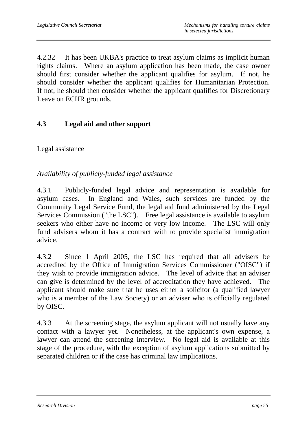4.2.32 It has been UKBA's practice to treat asylum claims as implicit human rights claims. Where an asylum application has been made, the case owner should first consider whether the applicant qualifies for asylum. If not, he should consider whether the applicant qualifies for Humanitarian Protection. If not, he should then consider whether the applicant qualifies for Discretionary Leave on ECHR grounds.

## **4.3 Legal aid and other support**

### Legal assistance

*Availability of publicly-funded legal assistance* 

4.3.1 Publicly-funded legal advice and representation is available for asylum cases. In England and Wales, such services are funded by the Community Legal Service Fund, the legal aid fund administered by the Legal Services Commission ("the LSC"). Free legal assistance is available to asylum seekers who either have no income or very low income. The LSC will only fund advisers whom it has a contract with to provide specialist immigration advice.

4.3.2 Since 1 April 2005, the LSC has required that all advisers be accredited by the Office of Immigration Services Commissioner ("OISC") if they wish to provide immigration advice. The level of advice that an adviser can give is determined by the level of accreditation they have achieved. The applicant should make sure that he uses either a solicitor (a qualified lawyer who is a member of the Law Society) or an adviser who is officially regulated by OISC.

4.3.3 At the screening stage, the asylum applicant will not usually have any contact with a lawyer yet. Nonetheless, at the applicant's own expense, a lawyer can attend the screening interview. No legal aid is available at this stage of the procedure, with the exception of asylum applications submitted by separated children or if the case has criminal law implications.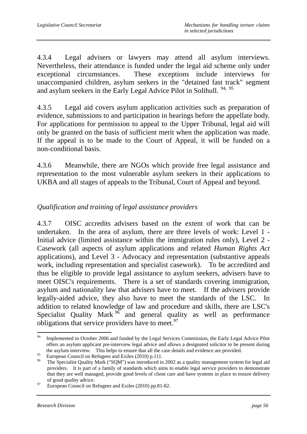4.3.4 Legal advisers or lawyers may attend all asylum interviews. Nevertheless, their attendance is funded under the legal aid scheme only under exceptional circumstances. These exceptions include interviews for unaccompanied children, asylum seekers in the "detained fast track" segment and asylum seekers in the Early Legal Advice Pilot in Solihull. 94, 95

4.3.5 Legal aid covers asylum application activities such as preparation of evidence, submissions to and participation in hearings before the appellate body. For applications for permission to appeal to the Upper Tribunal, legal aid will only be granted on the basis of sufficient merit when the application was made. If the appeal is to be made to the Court of Appeal, it will be funded on a non-conditional basis.

4.3.6 Meanwhile, there are NGOs which provide free legal assistance and representation to the most vulnerable asylum seekers in their applications to UKBA and all stages of appeals to the Tribunal, Court of Appeal and beyond.

## *Qualification and training of legal assistance providers*

4.3.7 OISC accredits advisers based on the extent of work that can be undertaken. In the area of asylum, there are three levels of work: Level 1 - Initial advice (limited assistance within the immigration rules only), Level 2 - Casework (all aspects of asylum applications and related *Human Rights Act* applications), and Level 3 - Advocacy and representation (substantive appeals work, including representation and specialist casework). To be accredited and thus be eligible to provide legal assistance to asylum seekers, advisers have to meet OISC's requirements. There is a set of standards covering immigration, asylum and nationality law that advisers have to meet. If the advisers provide legally-aided advice, they also have to meet the standards of the LSC. In addition to related knowledge of law and procedure and skills, there are LSC's Specialist Quality Mark  $96$  and general quality as well as performance obligations that service providers have to meet.<sup>97</sup>

<sup>94</sup> Implemented in October 2006 and funded by the Legal Services Commission, the Early Legal Advice Pilot offers an asylum applicant pre-interview legal advice and allows a designated solicitor to be present during the asylum interview. This helps to ensure that all the case details and evidence are provided.

<sup>&</sup>lt;sup>95</sup><br>European Council on Refugees and Exiles (2010) p.111.<br><sup>96</sup><br>The Specialist Quality Mede (SOM) pressured in

<sup>96</sup> The Specialist Quality Mark ("SQM") was introduced in 2002 as a quality management system for legal aid providers. It is part of a family of standards which aims to enable legal service providers to demonstrate that they are well managed, provide good levels of client care and have systems in place to ensure delivery of good quality advice.<br><sup>97</sup> European Council on Refugees and Exiles (2010) pp.81-82.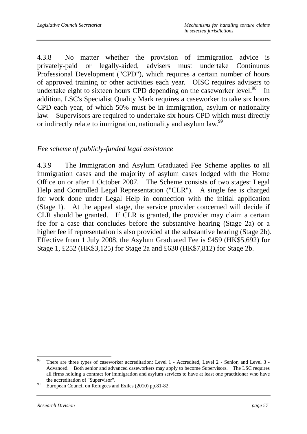4.3.8 No matter whether the provision of immigration advice is privately-paid or legally-aided, advisers must undertake Continuous Professional Development ("CPD"), which requires a certain number of hours of approved training or other activities each year. OISC requires advisers to undertake eight to sixteen hours CPD depending on the caseworker level. $^{98}$  In addition, LSC's Specialist Quality Mark requires a caseworker to take six hours CPD each year, of which 50% must be in immigration, asylum or nationality law. Supervisors are required to undertake six hours CPD which must directly or indirectly relate to immigration, nationality and asylum law.<sup>99</sup>

### *Fee scheme of publicly-funded legal assistance*

4.3.9 The Immigration and Asylum Graduated Fee Scheme applies to all immigration cases and the majority of asylum cases lodged with the Home Office on or after 1 October 2007. The Scheme consists of two stages: Legal Help and Controlled Legal Representation ("CLR"). A single fee is charged for work done under Legal Help in connection with the initial application (Stage 1). At the appeal stage, the service provider concerned will decide if CLR should be granted. If CLR is granted, the provider may claim a certain fee for a case that concludes before the substantive hearing (Stage 2a) or a higher fee if representation is also provided at the substantive hearing (Stage 2b). Effective from 1 July 2008, the Asylum Graduated Fee is £459 (HK\$5,692) for Stage 1, £252 (HK\$3,125) for Stage 2a and £630 (HK\$7,812) for Stage 2b.

 $\overline{a}$ 

<sup>&</sup>lt;sup>98</sup> There are three types of caseworker accreditation: Level 1 - Accredited, Level 2 - Senior, and Level 3 -Advanced. Both senior and advanced caseworkers may apply to become Supervisors. The LSC requires all firms holding a contract for immigration and asylum services to have at least one practitioner who have the accreditation of "Supervisor".<br><sup>99</sup> European Council on Refugees and Exiles (2010) pp.81-82.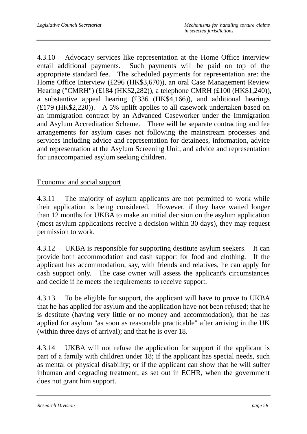4.3.10 Advocacy services like representation at the Home Office interview entail additional payments. Such payments will be paid on top of the appropriate standard fee. The scheduled payments for representation are: the Home Office Interview (£296 (HK\$3,670)), an oral Case Management Review Hearing ("CMRH") (£184 (HK\$2,282)), a telephone CMRH (£100 (HK\$1,240)), a substantive appeal hearing (£336 (HK\$4,166)), and additional hearings (£179 (HK\$2,220)). A 5% uplift applies to all casework undertaken based on an immigration contract by an Advanced Caseworker under the Immigration and Asylum Accreditation Scheme. There will be separate contracting and fee arrangements for asylum cases not following the mainstream processes and services including advice and representation for detainees, information, advice and representation at the Asylum Screening Unit, and advice and representation for unaccompanied asylum seeking children.

### Economic and social support

4.3.11 The majority of asylum applicants are not permitted to work while their application is being considered. However, if they have waited longer than 12 months for UKBA to make an initial decision on the asylum application (most asylum applications receive a decision within 30 days), they may request permission to work.

4.3.12 UKBA is responsible for supporting destitute asylum seekers. It can provide both accommodation and cash support for food and clothing. If the applicant has accommodation, say, with friends and relatives, he can apply for cash support only. The case owner will assess the applicant's circumstances and decide if he meets the requirements to receive support.

4.3.13 To be eligible for support, the applicant will have to prove to UKBA that he has applied for asylum and the application have not been refused; that he is destitute (having very little or no money and accommodation); that he has applied for asylum "as soon as reasonable practicable" after arriving in the UK (within three days of arrival); and that he is over 18.

4.3.14 UKBA will not refuse the application for support if the applicant is part of a family with children under 18; if the applicant has special needs, such as mental or physical disability; or if the applicant can show that he will suffer inhuman and degrading treatment, as set out in ECHR, when the government does not grant him support.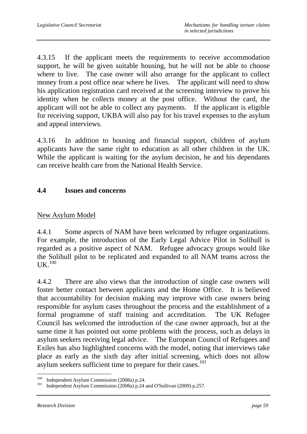4.3.15 If the applicant meets the requirements to receive accommodation support, he will be given suitable housing, but he will not be able to choose where to live. The case owner will also arrange for the applicant to collect money from a post office near where he lives. The applicant will need to show his application registration card received at the screening interview to prove his identity when he collects money at the post office. Without the card, the applicant will not be able to collect any payments. If the applicant is eligible for receiving support, UKBA will also pay for his travel expenses to the asylum and appeal interviews.

4.3.16 In addition to housing and financial support, children of asylum applicants have the same right to education as all other children in the UK. While the applicant is waiting for the asylum decision, he and his dependants can receive health care from the National Health Service.

### **4.4 Issues and concerns**

#### New Asylum Model

4.4.1 Some aspects of NAM have been welcomed by refugee organizations. For example, the introduction of the Early Legal Advice Pilot in Solihull is regarded as a positive aspect of NAM. Refugee advocacy groups would like the Solihull pilot to be replicated and expanded to all NAM teams across the  $I$ IK $^{100}$ 

4.4.2 There are also views that the introduction of single case owners will foster better contact between applicants and the Home Office. It is believed that accountability for decision making may improve with case owners being responsible for asylum cases throughout the process and the establishment of a formal programme of staff training and accreditation. The UK Refugee Council has welcomed the introduction of the case owner approach, but at the same time it has pointed out some problems with the process, such as delays in asylum seekers receiving legal advice. The European Council of Refugees and Exiles has also highlighted concerns with the model, noting that interviews take place as early as the sixth day after initial screening, which does not allow asylum seekers sufficient time to prepare for their cases.<sup>101</sup>

 $\overline{a}$ 

<sup>&</sup>lt;sup>100</sup> Independent Asylum Commission (2008a) p.24.<br><sup>101</sup> Independent Asylum Commission (2008a) p.24 and O'Sullivan (2009) p.257.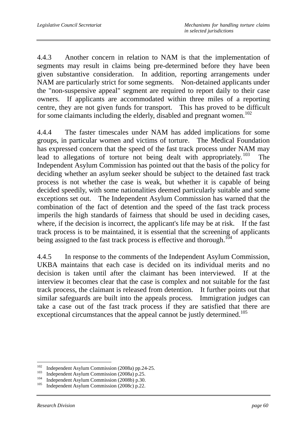4.4.3 Another concern in relation to NAM is that the implementation of segments may result in claims being pre-determined before they have been given substantive consideration. In addition, reporting arrangements under NAM are particularly strict for some segments. Non-detained applicants under the "non-suspensive appeal" segment are required to report daily to their case owners. If applicants are accommodated within three miles of a reporting centre, they are not given funds for transport. This has proved to be difficult for some claimants including the elderly, disabled and pregnant women.<sup>102</sup>

4.4.4 The faster timescales under NAM has added implications for some groups, in particular women and victims of torture. The Medical Foundation has expressed concern that the speed of the fast track process under NAM may lead to allegations of torture not being dealt with appropriately.<sup>103</sup> The Independent Asylum Commission has pointed out that the basis of the policy for deciding whether an asylum seeker should be subject to the detained fast track process is not whether the case is weak, but whether it is capable of being decided speedily, with some nationalities deemed particularly suitable and some exceptions set out. The Independent Asylum Commission has warned that the combination of the fact of detention and the speed of the fast track process imperils the high standards of fairness that should be used in deciding cases, where, if the decision is incorrect, the applicant's life may be at risk. If the fast track process is to be maintained, it is essential that the screening of applicants being assigned to the fast track process is effective and thorough.<sup>104</sup>

4.4.5 In response to the comments of the Independent Asylum Commission, UKBA maintains that each case is decided on its individual merits and no decision is taken until after the claimant has been interviewed. If at the interview it becomes clear that the case is complex and not suitable for the fast track process, the claimant is released from detention. It further points out that similar safeguards are built into the appeals process. Immigration judges can take a case out of the fast track process if they are satisfied that there are exceptional circumstances that the appeal cannot be justly determined.<sup>105</sup>

<sup>102</sup> <sup>102</sup> Independent Asylum Commission (2008a) pp.24-25.<br>
<sup>103</sup> Independent Asylum Commission (2008a) p.25.<br>
<sup>104</sup> Independent Asylum Commission (2008c) p.22.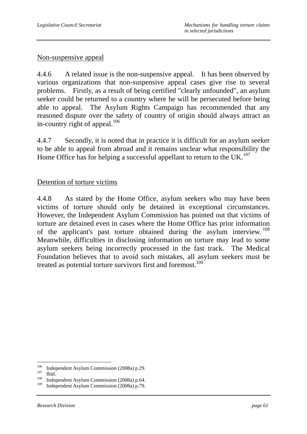#### Non-suspensive appeal

4.4.6 A related issue is the non-suspensive appeal. It has been observed by various organizations that non-suspensive appeal cases give rise to several problems. Firstly, as a result of being certified "clearly unfounded", an asylum seeker could be returned to a country where he will be persecuted before being able to appeal. The Asylum Rights Campaign has recommended that any reasoned dispute over the safety of country of origin should always attract an in-country right of appeal. $106$ 

4.4.7 Secondly, it is noted that in practice it is difficult for an asylum seeker to be able to appeal from abroad and it remains unclear what responsibility the Home Office has for helping a successful appellant to return to the UK.<sup>107</sup>

#### Detention of torture victims

4.4.8 As stated by the Home Office, asylum seekers who may have been victims of torture should only be detained in exceptional circumstances. However, the Independent Asylum Commission has pointed out that victims of torture are detained even in cases where the Home Office has prior information of the applicant's past torture obtained during the asylum interview.<sup>108</sup> Meanwhile, difficulties in disclosing information on torture may lead to some asylum seekers being incorrectly processed in the fast track. The Medical Foundation believes that to avoid such mistakes, all asylum seekers must be treated as potential torture survivors first and foremost.<sup>109</sup>

<sup>106</sup> 

<sup>&</sup>lt;sup>106</sup> Independent Asylum Commission (2008a) p.29.<br><sup>107</sup> Ibid. Independent Asylum Commission (2008a) p.64.<br><sup>109</sup> Independent Asylum Commission (2008a) p.52.

Independent Asylum Commission (2008a) p.79.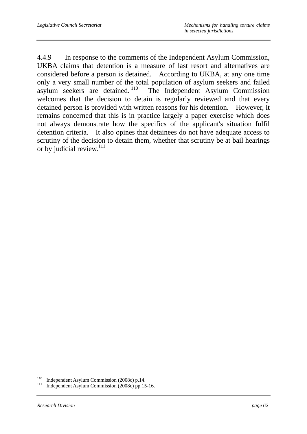4.4.9 In response to the comments of the Independent Asylum Commission, UKBA claims that detention is a measure of last resort and alternatives are considered before a person is detained. According to UKBA, at any one time only a very small number of the total population of asylum seekers and failed asylum seekers are detained.<sup>110</sup> The Independent Asylum Commission The Independent Asylum Commission welcomes that the decision to detain is regularly reviewed and that every detained person is provided with written reasons for his detention. However, it remains concerned that this is in practice largely a paper exercise which does not always demonstrate how the specifics of the applicant's situation fulfil detention criteria. It also opines that detainees do not have adequate access to scrutiny of the decision to detain them, whether that scrutiny be at bail hearings or by judicial review.<sup>111</sup>

 $110\,$ 

<sup>&</sup>lt;sup>110</sup> Independent Asylum Commission (2008c) p.14.<br><sup>111</sup> Independent Asylum Commission (2008c) pp.15-16.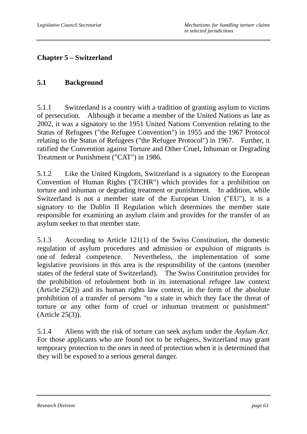# **Chapter 5 – Switzerland**

### **5.1 Background**

5.1.1 Switzerland is a country with a tradition of granting asylum to victims of persecution. Although it became a member of the United Nations as late as 2002, it was a signatory to the 1951 United Nations Convention relating to the Status of Refugees ("the Refugee Convention") in 1955 and the 1967 Protocol relating to the Status of Refugees ("the Refugee Protocol") in 1967. Further, it ratified the Convention against Torture and Other Cruel, Inhuman or Degrading Treatment or Punishment ("CAT") in 1986.

5.1.2 Like the United Kingdom, Switzerland is a signatory to the European Convention of Human Rights ("ECHR") which provides for a prohibition on torture and inhuman or degrading treatment or punishment. In addition, while Switzerland is not a member state of the European Union ("EU"), it is a signatory to the Dublin II Regulation which determines the member state responsible for examining an asylum claim and provides for the transfer of an asylum seeker to that member state.

5.1.3 According to Article 121(1) of the Swiss Constitution, the domestic regulation of asylum procedures and admission or expulsion of migrants is one of federal competence. Nevertheless, the implementation of some legislative provisions in this area is the responsibility of the cantons (member states of the federal state of Switzerland). The Swiss Constitution provides for the prohibition of refoulement both in its international refugee law context (Article 25(2)) and its human rights law context, in the form of the absolute prohibition of a transfer of persons "to a state in which they face the threat of torture or any other form of cruel or inhuman treatment or punishment" (Article 25(3)).

5.1.4 Aliens with the risk of torture can seek asylum under the *Asylum Act*. For those applicants who are found not to be refugees, Switzerland may grant temporary protection to the ones in need of protection when it is determined that they will be exposed to a serious general danger.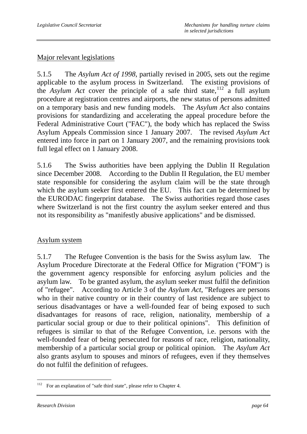### Major relevant legislations

5.1.5 The *Asylum Act of 1998*, partially revised in 2005, sets out the regime applicable to the asylum process in Switzerland. The existing provisions of the *Asylum Act* cover the principle of a safe third state,  $12^{12}$  a full asylum procedure at registration centres and airports, the new status of persons admitted on a temporary basis and new funding models. The *Asylum Act* also contains provisions for standardizing and accelerating the appeal procedure before the Federal Administrative Court ("FAC"), the body which has replaced the Swiss Asylum Appeals Commission since 1 January 2007. The revised *Asylum Act* entered into force in part on 1 January 2007, and the remaining provisions took full legal effect on 1 January 2008.

5.1.6 The Swiss authorities have been applying the Dublin II Regulation since December 2008. According to the Dublin II Regulation, the EU member state responsible for considering the asylum claim will be the state through which the asylum seeker first entered the EU. This fact can be determined by the EURODAC fingerprint database. The Swiss authorities regard those cases where Switzerland is not the first country the asylum seeker entered and thus not its responsibility as "manifestly abusive applications" and be dismissed.

### Asylum system

5.1.7 The Refugee Convention is the basis for the Swiss asylum law. The Asylum Procedure Directorate at the Federal Office for Migration ("FOM") is the government agency responsible for enforcing asylum policies and the asylum law. To be granted asylum, the asylum seeker must fulfil the definition of "refugee". According to Article 3 of the *Asylum Act*, "Refugees are persons who in their native country or in their country of last residence are subject to serious disadvantages or have a well-founded fear of being exposed to such disadvantages for reasons of race, religion, nationality, membership of a particular social group or due to their political opinions". This definition of refugees is similar to that of the Refugee Convention, i.e. persons with the well-founded fear of being persecuted for reasons of race, religion, nationality, membership of a particular social group or political opinion. The *Asylum Act* also grants asylum to spouses and minors of refugees, even if they themselves do not fulfil the definition of refugees.

<sup>112</sup> For an explanation of "safe third state", please refer to Chapter 4.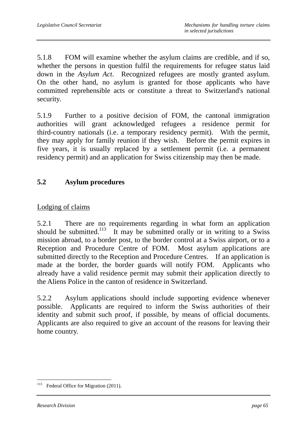5.1.8 FOM will examine whether the asylum claims are credible, and if so, whether the persons in question fulfil the requirements for refugee status laid down in the *Asylum Act*. Recognized refugees are mostly granted asylum. On the other hand, no asylum is granted for those applicants who have committed reprehensible acts or constitute a threat to Switzerland's national security.

5.1.9 Further to a positive decision of FOM, the cantonal immigration authorities will grant acknowledged refugees a residence permit for third-country nationals (i.e. a temporary residency permit). With the permit, they may apply for family reunion if they wish. Before the permit expires in five years, it is usually replaced by a settlement permit (i.e. a permanent residency permit) and an application for Swiss citizenship may then be made.

# **5.2 Asylum procedures**

# Lodging of claims

5.2.1 There are no requirements regarding in what form an application should be submitted.<sup>113</sup> It may be submitted orally or in writing to a Swiss mission abroad, to a border post, to the border control at a Swiss airport, or to a Reception and Procedure Centre of FOM. Most asylum applications are submitted directly to the Reception and Procedure Centres. If an application is made at the border, the border guards will notify FOM. Applicants who already have a valid residence permit may submit their application directly to the Aliens Police in the canton of residence in Switzerland.

5.2.2 Asylum applications should include supporting evidence whenever possible. Applicants are required to inform the Swiss authorities of their identity and submit such proof, if possible, by means of official documents. Applicants are also required to give an account of the reasons for leaving their home country.

 $\overline{a}$ <sup>113</sup> Federal Office for Migration (2011).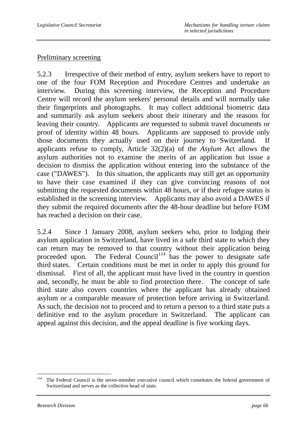#### Preliminary screening

5.2.3 Irrespective of their method of entry, asylum seekers have to report to one of the four FOM Reception and Procedure Centres and undertake an interview. During this screening interview, the Reception and Procedure Centre will record the asylum seekers' personal details and will normally take their fingerprints and photographs. It may collect additional biometric data and summarily ask asylum seekers about their itinerary and the reasons for leaving their country. Applicants are requested to submit travel documents or proof of identity within 48 hours. Applicants are supposed to provide only those documents they actually used on their journey to Switzerland. If applicants refuse to comply, Article 32(2)(a) of the *Asylum Ac*t allows the asylum authorities not to examine the merits of an application but issue a decision to dismiss the application without entering into the substance of the case ("DAWES"). In this situation, the applicants may still get an opportunity to have their case examined if they can give convincing reasons of not submitting the requested documents within 48 hours, or if their refugee status is established in the screening interview. Applicants may also avoid a DAWES if they submit the required documents after the 48-hour deadline but before FOM has reached a decision on their case.

5.2.4 Since 1 January 2008, asylum seekers who, prior to lodging their asylum application in Switzerland, have lived in a safe third state to which they can return may be removed to that country without their application being proceeded upon. The Federal Council<sup>114</sup> has the power to designate safe third states. Certain conditions must be met in order to apply this ground for dismissal. First of all, the applicant must have lived in the country in question and, secondly, he must be able to find protection there. The concept of safe third state also covers countries where the applicant has already obtained asylum or a comparable measure of protection before arriving in Switzerland. As such, the decision not to proceed and to return a person to a third state puts a definitive end to the asylum procedure in Switzerland. The applicant can appeal against this decision, and the appeal deadline is five working days.

 $\overline{a}$ <sup>114</sup> The Federal Council is the seven-member executive council which constitutes the federal government of Switzerland and serves as the collective head of state.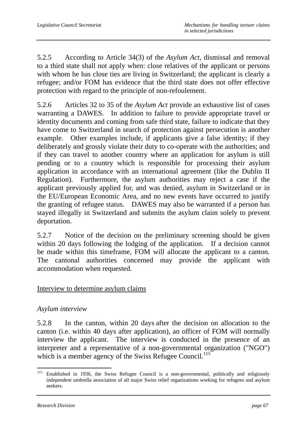5.2.5 According to Article 34(3) of the *Asylum Act*, dismissal and removal to a third state shall not apply when: close relatives of the applicant or persons with whom he has close ties are living in Switzerland; the applicant is clearly a refugee; and/or FOM has evidence that the third state does not offer effective protection with regard to the principle of non-refoulement.

5.2.6 Articles 32 to 35 of the *Asylum Act* provide an exhaustive list of cases warranting a DAWES. In addition to failure to provide appropriate travel or identity documents and coming from safe third state, failure to indicate that they have come to Switzerland in search of protection against persecution is another example. Other examples include, if applicants give a false identity; if they deliberately and grossly violate their duty to co-operate with the authorities; and if they can travel to another country where an application for asylum is still pending or to a country which is responsible for processing their asylum application in accordance with an international agreement (like the Dublin II Regulation). Furthermore, the asylum authorities may reject a case if the applicant previously applied for, and was denied, asylum in Switzerland or in the EU/European Economic Area, and no new events have occurred to justify the granting of refugee status. DAWES may also be warranted if a person has stayed illegally in Switzerland and submits the asylum claim solely to prevent deportation.

5.2.7 Notice of the decision on the preliminary screening should be given within 20 days following the lodging of the application. If a decision cannot be made within this timeframe, FOM will allocate the applicant to a canton. The cantonal authorities concerned may provide the applicant with accommodation when requested.

### Interview to determine asylum claims

### *Asylum interview*

5.2.8 In the canton, within 20 days after the decision on allocation to the canton (i.e. within 40 days after application), an officer of FOM will normally interview the applicant. The interview is conducted in the presence of an interpreter and a representative of a non-governmental organization ("NGO") which is a member agency of the Swiss Refugee Council.<sup>115</sup>

<sup>115</sup> Established in 1936, the Swiss Refugee Council is a non-governmental, politically and religiously independent umbrella association of all major Swiss relief organizations working for refugees and asylum seekers.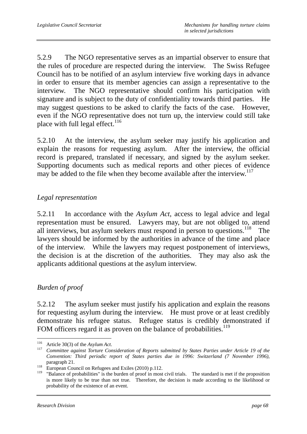5.2.9 The NGO representative serves as an impartial observer to ensure that the rules of procedure are respected during the interview. The Swiss Refugee Council has to be notified of an asylum interview five working days in advance in order to ensure that its member agencies can assign a representative to the interview. The NGO representative should confirm his participation with signature and is subject to the duty of confidentiality towards third parties. He may suggest questions to be asked to clarify the facts of the case. However, even if the NGO representative does not turn up, the interview could still take place with full legal effect. $116$ 

5.2.10 At the interview, the asylum seeker may justify his application and explain the reasons for requesting asylum. After the interview, the official record is prepared, translated if necessary, and signed by the asylum seeker. Supporting documents such as medical reports and other pieces of evidence may be added to the file when they become available after the interview.<sup>117</sup>

## *Legal representation*

5.2.11 In accordance with the *Asylum Act*, access to legal advice and legal representation must be ensured. Lawyers may, but are not obliged to, attend all interviews, but asylum seekers must respond in person to questions.<sup>118</sup> The lawyers should be informed by the authorities in advance of the time and place of the interview. While the lawyers may request postponement of interviews, the decision is at the discretion of the authorities. They may also ask the applicants additional questions at the asylum interview.

### *Burden of proof*

5.2.12 The asylum seeker must justify his application and explain the reasons for requesting asylum during the interview. He must prove or at least credibly demonstrate his refugee status. Refugee status is credibly demonstrated if FOM officers regard it as proven on the balance of probabilities.<sup>119</sup>

<sup>116</sup> 

<sup>116</sup> Article 30(3) of the *Asylum Act*. 117 *Committee against Torture Consideration of Reports submitted by States Parties under Article 19 of the Convention: Third periodic report of States parties due in 1996: Switzerland (7 November 1996)*, paragraph 21.<br><sup>118</sup> European Council on Refugees and Exiles (2010) p.112.

<sup>&</sup>lt;sup>119</sup> "Balance of probabilities" is the burden of proof in most civil trials. The standard is met if the proposition is more likely to be true than not true. Therefore, the decision is made according to the likelihood or probability of the existence of an event.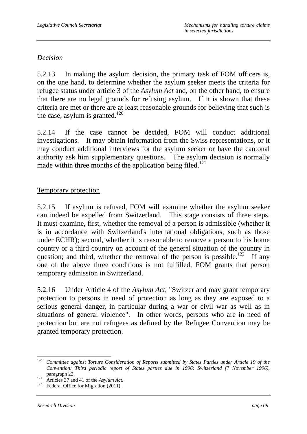### *Decision*

5.2.13 In making the asylum decision, the primary task of FOM officers is, on the one hand, to determine whether the asylum seeker meets the criteria for refugee status under article 3 of the *Asylum Act* and, on the other hand, to ensure that there are no legal grounds for refusing asylum. If it is shown that these criteria are met or there are at least reasonable grounds for believing that such is the case, asylum is granted.<sup>120</sup>

5.2.14 If the case cannot be decided, FOM will conduct additional investigations. It may obtain information from the Swiss representations, or it may conduct additional interviews for the asylum seeker or have the cantonal authority ask him supplementary questions. The asylum decision is normally made within three months of the application being filed.<sup>121</sup>

### Temporary protection

5.2.15 If asylum is refused, FOM will examine whether the asylum seeker can indeed be expelled from Switzerland. This stage consists of three steps. It must examine, first, whether the removal of a person is admissible (whether it is in accordance with Switzerland's international obligations, such as those under ECHR); second, whether it is reasonable to remove a person to his home country or a third country on account of the general situation of the country in question; and third, whether the removal of the person is possible.<sup>122</sup> If any one of the above three conditions is not fulfilled, FOM grants that person temporary admission in Switzerland.

5.2.16 Under Article 4 of the *Asylum Act*, "Switzerland may grant temporary protection to persons in need of protection as long as they are exposed to a serious general danger, in particular during a war or civil war as well as in situations of general violence". In other words, persons who are in need of protection but are not refugees as defined by the Refugee Convention may be granted temporary protection.

<sup>120</sup> <sup>120</sup> *Committee against Torture Consideration of Reports submitted by States Parties under Article 19 of the Convention: Third periodic report of States parties due in 1996: Switzerland (7 November 1996)*,

paragraph 22.<br><sup>121</sup> Articles 37 and 41 of the *Asylum Act*.<br><sup>122</sup> Federal Office for Migration (2011).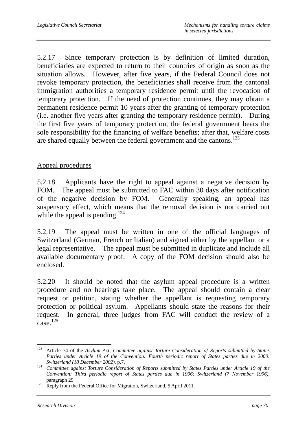5.2.17 Since temporary protection is by definition of limited duration, beneficiaries are expected to return to their countries of origin as soon as the situation allows. However, after five years, if the Federal Council does not revoke temporary protection, the beneficiaries shall receive from the cantonal immigration authorities a temporary residence permit until the revocation of temporary protection. If the need of protection continues, they may obtain a permanent residence permit 10 years after the granting of temporary protection (i.e. another five years after granting the temporary residence permit). During the first five years of temporary protection, the federal government bears the sole responsibility for the financing of welfare benefits; after that, welfare costs are shared equally between the federal government and the cantons.<sup>123</sup>

#### Appeal procedures

5.2.18 Applicants have the right to appeal against a negative decision by FOM. The appeal must be submitted to FAC within 30 days after notification of the negative decision by FOM. Generally speaking, an appeal has suspensory effect, which means that the removal decision is not carried out while the appeal is pending.<sup>124</sup>

5.2.19 The appeal must be written in one of the official languages of Switzerland (German, French or Italian) and signed either by the appellant or a legal representative. The appeal must be submitted in duplicate and include all available documentary proof. A copy of the FOM decision should also be enclosed.

5.2.20 It should be noted that the asylum appeal procedure is a written procedure and no hearings take place. The appeal should contain a clear request or petition, stating whether the appellant is requesting temporary protection or political asylum. Appellants should state the reasons for their request. In general, three judges from FAC will conduct the review of a  $\text{case}$ .<sup>125</sup>

 $\overline{a}$ 123 Article 74 of the *Asylum Act*; *Committee against Torture Consideration of Reports submitted by States*  Parties under Article 19 of the Convention: Fourth periodic report of States parties due in 2000:

*Switzerland (18 December 2002)*, p.7. 124 *Committee against Torture Consideration of Reports submitted by States Parties under Article 19 of the Convention: Third periodic report of States parties due in 1996: Switzerland (7 November 1996)*,

paragraph 29.<br><sup>125</sup> Reply from the Federal Office for Migration, Switzerland, 5 April 2011.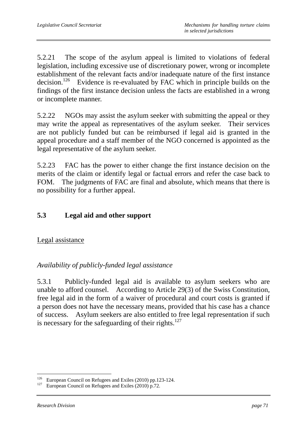5.2.21 The scope of the asylum appeal is limited to violations of federal legislation, including excessive use of discretionary power, wrong or incomplete establishment of the relevant facts and/or inadequate nature of the first instance decision.<sup>126</sup> Evidence is re-evaluated by FAC which in principle builds on the findings of the first instance decision unless the facts are established in a wrong or incomplete manner.

5.2.22 NGOs may assist the asylum seeker with submitting the appeal or they may write the appeal as representatives of the asylum seeker. Their services are not publicly funded but can be reimbursed if legal aid is granted in the appeal procedure and a staff member of the NGO concerned is appointed as the legal representative of the asylum seeker.

5.2.23 FAC has the power to either change the first instance decision on the merits of the claim or identify legal or factual errors and refer the case back to FOM. The judgments of FAC are final and absolute, which means that there is no possibility for a further appeal.

# **5.3 Legal aid and other support**

Legal assistance

### *Availability of publicly-funded legal assistance*

5.3.1 Publicly-funded legal aid is available to asylum seekers who are unable to afford counsel. According to Article 29(3) of the Swiss Constitution, free legal aid in the form of a waiver of procedural and court costs is granted if a person does not have the necessary means, provided that his case has a chance of success. Asylum seekers are also entitled to free legal representation if such is necessary for the safeguarding of their rights. $127$ 

 $126\,$ <sup>126</sup> European Council on Refugees and Exiles (2010) pp.123-124.<br><sup>127</sup> European Council on Refugees and Exiles (2010) p.72.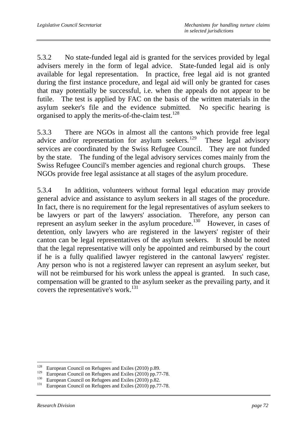5.3.2 No state-funded legal aid is granted for the services provided by legal advisers merely in the form of legal advice. State-funded legal aid is only available for legal representation. In practice, free legal aid is not granted during the first instance procedure, and legal aid will only be granted for cases that may potentially be successful, i.e. when the appeals do not appear to be futile. The test is applied by FAC on the basis of the written materials in the asylum seeker's file and the evidence submitted. No specific hearing is organised to apply the merits-of-the-claim test.<sup>128</sup>

5.3.3 There are NGOs in almost all the cantons which provide free legal advice and/or representation for asylum seekers. <sup>129</sup> These legal advisory services are coordinated by the Swiss Refugee Council. They are not funded by the state. The funding of the legal advisory services comes mainly from the Swiss Refugee Council's member agencies and regional church groups. These NGOs provide free legal assistance at all stages of the asylum procedure.

5.3.4 In addition, volunteers without formal legal education may provide general advice and assistance to asylum seekers in all stages of the procedure. In fact, there is no requirement for the legal representatives of asylum seekers to be lawyers or part of the lawyers' association. Therefore, any person can represent an asylum seeker in the asylum procedure.<sup>130</sup> However, in cases of detention, only lawyers who are registered in the lawyers' register of their canton can be legal representatives of the asylum seekers. It should be noted that the legal representative will only be appointed and reimbursed by the court if he is a fully qualified lawyer registered in the cantonal lawyers' register. Any person who is not a registered lawyer can represent an asylum seeker, but will not be reimbursed for his work unless the appeal is granted. In such case, compensation will be granted to the asylum seeker as the prevailing party, and it covers the representative's work.<sup>131</sup>

<sup>128</sup> <sup>128</sup> European Council on Refugees and Exiles (2010) p.89.<br><sup>129</sup> European Council on Reference and Exiles (2010) pp. 77

<sup>&</sup>lt;sup>129</sup> European Council on Refugees and Exiles (2010) pp.77-78.<br><sup>130</sup> European Council on Refugees and Exiles (2010) p.82.<br><sup>131</sup> European Council on Refugees and Exiles (2010) pp.77-78.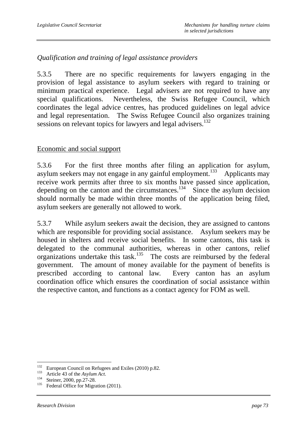## *Qualification and training of legal assistance providers*

5.3.5 There are no specific requirements for lawyers engaging in the provision of legal assistance to asylum seekers with regard to training or minimum practical experience. Legal advisers are not required to have any special qualifications. Nevertheless, the Swiss Refugee Council, which coordinates the legal advice centres, has produced guidelines on legal advice and legal representation. The Swiss Refugee Council also organizes training sessions on relevant topics for lawyers and legal advisers.<sup>132</sup>

### Economic and social support

5.3.6 For the first three months after filing an application for asylum, asylum seekers may not engage in any gainful employment.<sup>133</sup> Applicants may receive work permits after three to six months have passed since application, depending on the canton and the circumstances.<sup>134</sup> Since the asylum decision should normally be made within three months of the application being filed, asylum seekers are generally not allowed to work.

5.3.7 While asylum seekers await the decision, they are assigned to cantons which are responsible for providing social assistance. Asylum seekers may be housed in shelters and receive social benefits. In some cantons, this task is delegated to the communal authorities, whereas in other cantons, relief organizations undertake this task.<sup>135</sup> The costs are reimbursed by the federal government. The amount of money available for the payment of benefits is prescribed according to cantonal law. Every canton has an asylum coordination office which ensures the coordination of social assistance within the respective canton, and functions as a contact agency for FOM as well.

<sup>132</sup> <sup>132</sup> European Council on Refugees and Exiles (2010) p.82.<br><sup>133</sup> Article 43 of the *Asylum Act*.<br><sup>134</sup> Steiner, 2000, pp.27-28.<br><sup>135</sup> Federal Office for Migration (2011).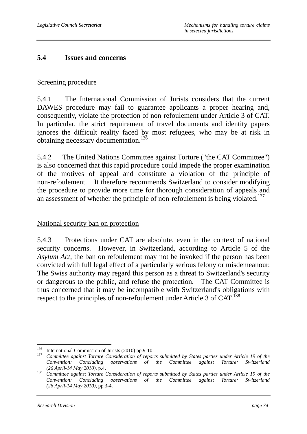#### **5.4 Issues and concerns**

#### Screening procedure

5.4.1 The International Commission of Jurists considers that the current DAWES procedure may fail to guarantee applicants a proper hearing and, consequently, violate the protection of non-refoulement under Article 3 of CAT. In particular, the strict requirement of travel documents and identity papers ignores the difficult reality faced by most refugees, who may be at risk in obtaining necessary documentation.<sup>136</sup>

5.4.2 The United Nations Committee against Torture ("the CAT Committee") is also concerned that this rapid procedure could impede the proper examination of the motives of appeal and constitute a violation of the principle of non-refoulement. It therefore recommends Switzerland to consider modifying the procedure to provide more time for thorough consideration of appeals and an assessment of whether the principle of non-refoulement is being violated.<sup>137</sup>

### National security ban on protection

5.4.3 Protections under CAT are absolute, even in the context of national security concerns. However, in Switzerland, according to Article 5 of the *Asylum Act*, the ban on refoulement may not be invoked if the person has been convicted with full legal effect of a particularly serious felony or misdemeanour. The Swiss authority may regard this person as a threat to Switzerland's security or dangerous to the public, and refuse the protection. The CAT Committee is thus concerned that it may be incompatible with Switzerland's obligations with respect to the principles of non-refoulement under Article 3 of CAT.<sup>138</sup>

<sup>136</sup> 

<sup>136</sup> International Commission of Jurists (2010) pp.9-10. 137 *Committee against Torture Consideration of reports submitted by States parties under Article 19 of the Convention: Concluding observations of the Committee against Torture: Switzerland (26 April-14 May 2010)*, p.4. 138 *Committee against Torture Consideration of reports submitted by States parties under Article 19 of the* 

*Convention: Concluding observations of the Committee against Torture: Switzerland (26 April-14 May 2010)*, pp.3-4.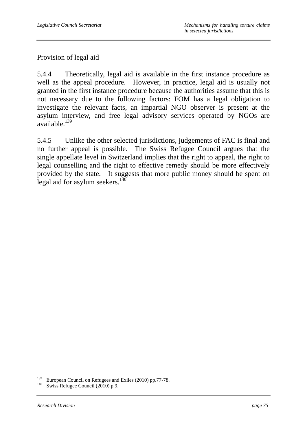### Provision of legal aid

5.4.4 Theoretically, legal aid is available in the first instance procedure as well as the appeal procedure. However, in practice, legal aid is usually not granted in the first instance procedure because the authorities assume that this is not necessary due to the following factors: FOM has a legal obligation to investigate the relevant facts, an impartial NGO observer is present at the asylum interview, and free legal advisory services operated by NGOs are available.<sup>139</sup>

5.4.5 Unlike the other selected jurisdictions, judgements of FAC is final and no further appeal is possible. The Swiss Refugee Council argues that the single appellate level in Switzerland implies that the right to appeal, the right to legal counselling and the right to effective remedy should be more effectively provided by the state. It suggests that more public money should be spent on legal aid for asylum seekers.<sup>140</sup>

 $\overline{a}$ 

<sup>&</sup>lt;sup>139</sup> European Council on Refugees and Exiles (2010) pp.77-78.<br><sup>140</sup> Swiss Refugee Council (2010) p.9.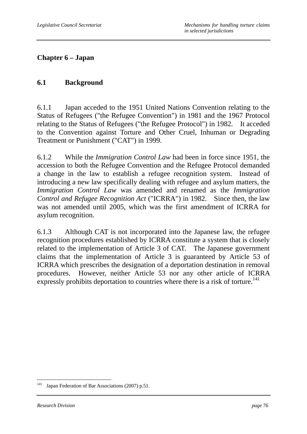# **Chapter 6 – Japan**

### **6.1 Background**

6.1.1 Japan acceded to the 1951 United Nations Convention relating to the Status of Refugees ("the Refugee Convention") in 1981 and the 1967 Protocol relating to the Status of Refugees ("the Refugee Protocol") in 1982. It acceded to the Convention against Torture and Other Cruel, Inhuman or Degrading Treatment or Punishment ("CAT") in 1999.

6.1.2 While the *Immigration Control Law* had been in force since 1951, the accession to both the Refugee Convention and the Refugee Protocol demanded a change in the law to establish a refugee recognition system. Instead of introducing a new law specifically dealing with refugee and asylum matters, the *Immigration Control Law* was amended and renamed as the *Immigration Control and Refugee Recognition Act* ("ICRRA") in 1982. Since then, the law was not amended until 2005, which was the first amendment of ICRRA for asylum recognition.

6.1.3 Although CAT is not incorporated into the Japanese law, the refugee recognition procedures established by ICRRA constitute a system that is closely related to the implementation of Article 3 of CAT. The Japanese government claims that the implementation of Article 3 is guaranteed by Article 53 of ICRRA which prescribes the designation of a deportation destination in removal procedures. However, neither Article 53 nor any other article of ICRRA expressly prohibits deportation to countries where there is a risk of torture.<sup>141</sup>

<sup>141</sup> Japan Federation of Bar Associations (2007) p.51.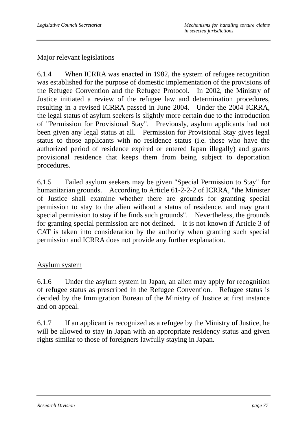### Major relevant legislations

6.1.4 When ICRRA was enacted in 1982, the system of refugee recognition was established for the purpose of domestic implementation of the provisions of the Refugee Convention and the Refugee Protocol. In 2002, the Ministry of Justice initiated a review of the refugee law and determination procedures, resulting in a revised ICRRA passed in June 2004. Under the 2004 ICRRA, the legal status of asylum seekers is slightly more certain due to the introduction of "Permission for Provisional Stay". Previously, asylum applicants had not been given any legal status at all. Permission for Provisional Stay gives legal status to those applicants with no residence status (i.e. those who have the authorized period of residence expired or entered Japan illegally) and grants provisional residence that keeps them from being subject to deportation procedures.

6.1.5 Failed asylum seekers may be given "Special Permission to Stay" for humanitarian grounds. According to Article 61-2-2-2 of ICRRA, "the Minister of Justice shall examine whether there are grounds for granting special permission to stay to the alien without a status of residence, and may grant special permission to stay if he finds such grounds". Nevertheless, the grounds for granting special permission are not defined. It is not known if Article 3 of CAT is taken into consideration by the authority when granting such special permission and ICRRA does not provide any further explanation.

### Asylum system

6.1.6 Under the asylum system in Japan, an alien may apply for recognition of refugee status as prescribed in the Refugee Convention. Refugee status is decided by the Immigration Bureau of the Ministry of Justice at first instance and on appeal.

6.1.7 If an applicant is recognized as a refugee by the Ministry of Justice, he will be allowed to stay in Japan with an appropriate residency status and given rights similar to those of foreigners lawfully staying in Japan.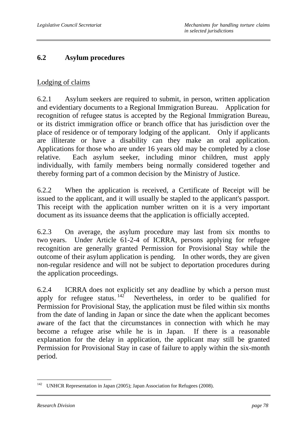### **6.2 Asylum procedures**

### Lodging of claims

6.2.1 Asylum seekers are required to submit, in person, written application and evidentiary documents to a Regional Immigration Bureau. Application for recognition of refugee status is accepted by the Regional Immigration Bureau, or its district immigration office or branch office that has jurisdiction over the place of residence or of temporary lodging of the applicant. Only if applicants are illiterate or have a disability can they make an oral application. Applications for those who are under 16 years old may be completed by a close relative. Each asylum seeker, including minor children, must apply individually, with family members being normally considered together and thereby forming part of a common decision by the Ministry of Justice.

6.2.2 When the application is received, a Certificate of Receipt will be issued to the applicant, and it will usually be stapled to the applicant's passport. This receipt with the application number written on it is a very important document as its issuance deems that the application is officially accepted.

6.2.3 On average, the asylum procedure may last from six months to two years. Under Article 61-2-4 of ICRRA, persons applying for refugee recognition are generally granted Permission for Provisional Stay while the outcome of their asylum application is pending. In other words, they are given non-regular residence and will not be subject to deportation procedures during the application proceedings.

6.2.4 ICRRA does not explicitly set any deadline by which a person must apply for refugee status.  $142$  Nevertheless, in order to be qualified for Permission for Provisional Stay, the application must be filed within six months from the date of landing in Japan or since the date when the applicant becomes aware of the fact that the circumstances in connection with which he may become a refugee arise while he is in Japan. If there is a reasonable explanation for the delay in application, the applicant may still be granted Permission for Provisional Stay in case of failure to apply within the six-month period.

 $\overline{a}$ <sup>142</sup> UNHCR Representation in Japan (2005); Japan Association for Refugees (2008).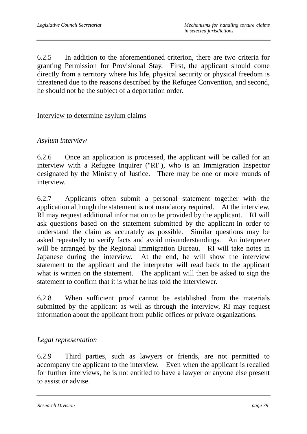6.2.5 In addition to the aforementioned criterion, there are two criteria for granting Permission for Provisional Stay. First, the applicant should come directly from a territory where his life, physical security or physical freedom is threatened due to the reasons described by the Refugee Convention, and second, he should not be the subject of a deportation order.

#### Interview to determine asylum claims

#### *Asylum interview*

6.2.6 Once an application is processed, the applicant will be called for an interview with a Refugee Inquirer ("RI"), who is an Immigration Inspector designated by the Ministry of Justice. There may be one or more rounds of interview.

6.2.7 Applicants often submit a personal statement together with the application although the statement is not mandatory required. At the interview, RI may request additional information to be provided by the applicant. RI will ask questions based on the statement submitted by the applicant in order to understand the claim as accurately as possible. Similar questions may be asked repeatedly to verify facts and avoid misunderstandings. An interpreter will be arranged by the Regional Immigration Bureau. RI will take notes in Japanese during the interview. At the end, he will show the interview statement to the applicant and the interpreter will read back to the applicant what is written on the statement. The applicant will then be asked to sign the statement to confirm that it is what he has told the interviewer.

6.2.8 When sufficient proof cannot be established from the materials submitted by the applicant as well as through the interview, RI may request information about the applicant from public offices or private organizations.

### *Legal representation*

6.2.9 Third parties, such as lawyers or friends, are not permitted to accompany the applicant to the interview. Even when the applicant is recalled for further interviews, he is not entitled to have a lawyer or anyone else present to assist or advise.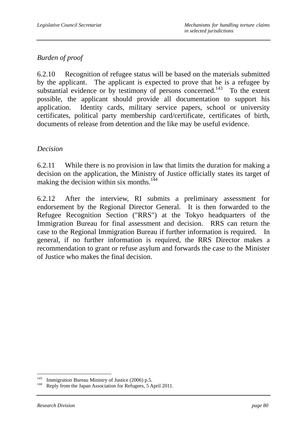# *Burden of proof*

6.2.10 Recognition of refugee status will be based on the materials submitted by the applicant. The applicant is expected to prove that he is a refugee by substantial evidence or by testimony of persons concerned.<sup>143</sup> To the extent possible, the applicant should provide all documentation to support his application. Identity cards, military service papers, school or university certificates, political party membership card/certificate, certificates of birth, documents of release from detention and the like may be useful evidence.

## *Decision*

6.2.11 While there is no provision in law that limits the duration for making a decision on the application, the Ministry of Justice officially states its target of making the decision within six months.<sup>144</sup>

6.2.12 After the interview, RI submits a preliminary assessment for endorsement by the Regional Director General. It is then forwarded to the Refugee Recognition Section ("RRS") at the Tokyo headquarters of the Immigration Bureau for final assessment and decision. RRS can return the case to the Regional Immigration Bureau if further information is required. In general, if no further information is required, the RRS Director makes a recommendation to grant or refuse asylum and forwards the case to the Minister of Justice who makes the final decision.

 $\overline{a}$ 

Immigration Bureau Ministry of Justice (2006) p.5. Reply from the Japan Association for Refugees, 5 April 2011.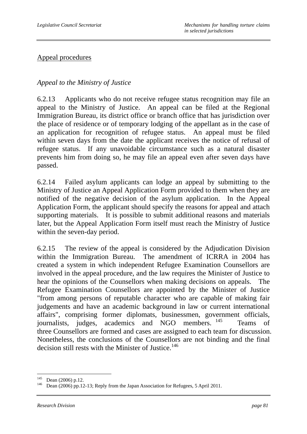### Appeal procedures

## *Appeal to the Ministry of Justice*

6.2.13 Applicants who do not receive refugee status recognition may file an appeal to the Ministry of Justice. An appeal can be filed at the Regional Immigration Bureau, its district office or branch office that has jurisdiction over the place of residence or of temporary lodging of the appellant as in the case of an application for recognition of refugee status. An appeal must be filed within seven days from the date the applicant receives the notice of refusal of refugee status. If any unavoidable circumstance such as a natural disaster prevents him from doing so, he may file an appeal even after seven days have passed.

6.2.14 Failed asylum applicants can lodge an appeal by submitting to the Ministry of Justice an Appeal Application Form provided to them when they are notified of the negative decision of the asylum application. In the Appeal Application Form, the applicant should specify the reasons for appeal and attach supporting materials. It is possible to submit additional reasons and materials later, but the Appeal Application Form itself must reach the Ministry of Justice within the seven-day period.

6.2.15 The review of the appeal is considered by the Adjudication Division within the Immigration Bureau. The amendment of ICRRA in 2004 has created a system in which independent Refugee Examination Counsellors are involved in the appeal procedure, and the law requires the Minister of Justice to hear the opinions of the Counsellors when making decisions on appeals. The Refugee Examination Counsellors are appointed by the Minister of Justice "from among persons of reputable character who are capable of making fair judgements and have an academic background in law or current international affairs", comprising former diplomats, businessmen, government officials, internalists indees academics and NGO members  $^{145}$  Teams of journalists, judges, academics and NGO members. <sup>145</sup> Teams of three Counsellors are formed and cases are assigned to each team for discussion. Nonetheless, the conclusions of the Counsellors are not binding and the final decision still rests with the Minister of Justice.<sup>146</sup>

<sup>145</sup> 

Dean (2006) p.12.<br>Dean (2006) pp.12-13; Reply from the Japan Association for Refugees, 5 April 2011.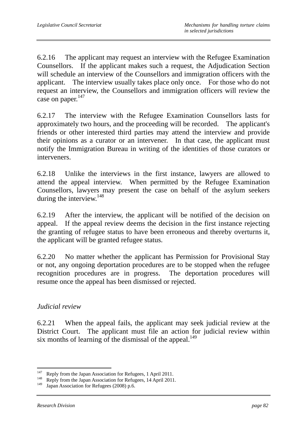6.2.16 The applicant may request an interview with the Refugee Examination Counsellors. If the applicant makes such a request, the Adjudication Section will schedule an interview of the Counsellors and immigration officers with the applicant. The interview usually takes place only once. For those who do not request an interview, the Counsellors and immigration officers will review the case on paper.<sup>147</sup>

6.2.17 The interview with the Refugee Examination Counsellors lasts for approximately two hours, and the proceeding will be recorded. The applicant's friends or other interested third parties may attend the interview and provide their opinions as a curator or an intervener. In that case, the applicant must notify the Immigration Bureau in writing of the identities of those curators or interveners.

6.2.18 Unlike the interviews in the first instance, lawyers are allowed to attend the appeal interview. When permitted by the Refugee Examination Counsellors, lawyers may present the case on behalf of the asylum seekers during the interview.<sup>148</sup>

6.2.19 After the interview, the applicant will be notified of the decision on appeal. If the appeal review deems the decision in the first instance rejecting the granting of refugee status to have been erroneous and thereby overturns it, the applicant will be granted refugee status.

6.2.20 No matter whether the applicant has Permission for Provisional Stay or not, any ongoing deportation procedures are to be stopped when the refugee recognition procedures are in progress. The deportation procedures will resume once the appeal has been dismissed or rejected.

# *Judicial review*

6.2.21 When the appeal fails, the applicant may seek judicial review at the District Court. The applicant must file an action for judicial review within six months of learning of the dismissal of the appeal.<sup>149</sup>

<sup>147</sup> 

<sup>&</sup>lt;sup>147</sup> Reply from the Japan Association for Refugees, 1 April 2011.<br><sup>148</sup> Reply from the Japan Association for Refugees, 14 April 2011.

Japan Association for Refugees (2008) p.6.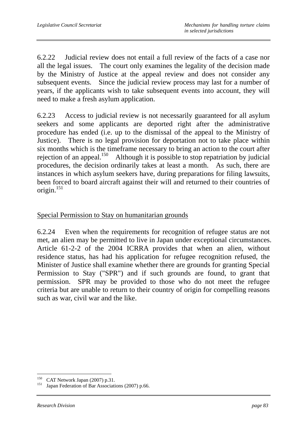6.2.22 Judicial review does not entail a full review of the facts of a case nor all the legal issues. The court only examines the legality of the decision made by the Ministry of Justice at the appeal review and does not consider any subsequent events. Since the judicial review process may last for a number of years, if the applicants wish to take subsequent events into account, they will need to make a fresh asylum application.

6.2.23 Access to judicial review is not necessarily guaranteed for all asylum seekers and some applicants are deported right after the administrative procedure has ended (i.e. up to the dismissal of the appeal to the Ministry of Justice). There is no legal provision for deportation not to take place within six months which is the timeframe necessary to bring an action to the court after rejection of an appeal.<sup>150</sup> Although it is possible to stop repatriation by judicial procedures, the decision ordinarily takes at least a month. As such, there are instances in which asylum seekers have, during preparations for filing lawsuits, been forced to board aircraft against their will and returned to their countries of origin.<sup>151</sup>

### Special Permission to Stay on humanitarian grounds

6.2.24 Even when the requirements for recognition of refugee status are not met, an alien may be permitted to live in Japan under exceptional circumstances. Article 61-2-2 of the 2004 ICRRA provides that when an alien, without residence status, has had his application for refugee recognition refused, the Minister of Justice shall examine whether there are grounds for granting Special Permission to Stay ("SPR") and if such grounds are found, to grant that permission. SPR may be provided to those who do not meet the refugee criteria but are unable to return to their country of origin for compelling reasons such as war, civil war and the like.

<sup>150</sup> 

<sup>&</sup>lt;sup>150</sup> CAT Network Japan (2007) p.31.<br><sup>151</sup> Japan Federation of Bar Associations (2007) p.66.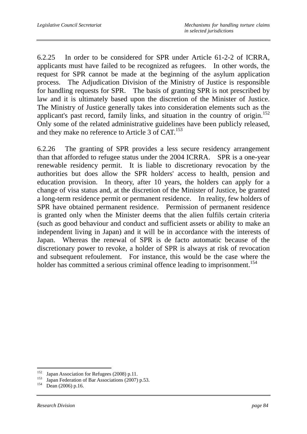6.2.25 In order to be considered for SPR under Article 61-2-2 of ICRRA, applicants must have failed to be recognized as refugees. In other words, the request for SPR cannot be made at the beginning of the asylum application process. The Adjudication Division of the Ministry of Justice is responsible for handling requests for SPR. The basis of granting SPR is not prescribed by law and it is ultimately based upon the discretion of the Minister of Justice. The Ministry of Justice generally takes into consideration elements such as the applicant's past record, family links, and situation in the country of origin.<sup>152</sup> Only some of the related administrative guidelines have been publicly released, and they make no reference to Article 3 of CAT.<sup>153</sup>

6.2.26 The granting of SPR provides a less secure residency arrangement than that afforded to refugee status under the 2004 ICRRA. SPR is a one-year renewable residency permit. It is liable to discretionary revocation by the authorities but does allow the SPR holders' access to health, pension and education provision. In theory, after 10 years, the holders can apply for a change of visa status and, at the discretion of the Minister of Justice, be granted a long-term residence permit or permanent residence. In reality, few holders of SPR have obtained permanent residence. Permission of permanent residence is granted only when the Minister deems that the alien fulfils certain criteria (such as good behaviour and conduct and sufficient assets or ability to make an independent living in Japan) and it will be in accordance with the interests of Japan. Whereas the renewal of SPR is de facto automatic because of the discretionary power to revoke, a holder of SPR is always at risk of revocation and subsequent refoulement. For instance, this would be the case where the holder has committed a serious criminal offence leading to imprisonment.<sup>154</sup>

<sup>152</sup> 

<sup>&</sup>lt;sup>152</sup> Japan Association for Refugees (2008) p.11.<br><sup>153</sup> Japan Federation of Bar Associations (2007) p.53.<br><sup>154</sup> Dean (2006) p.16.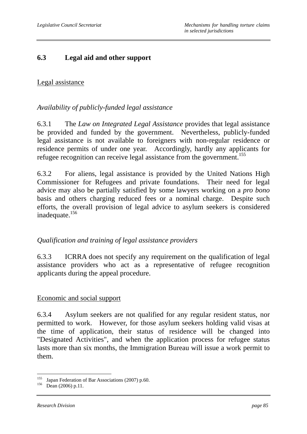### **6.3 Legal aid and other support**

### Legal assistance

### *Availability of publicly-funded legal assistance*

6.3.1 The *Law on Integrated Legal Assistance* provides that legal assistance be provided and funded by the government. Nevertheless, publicly-funded legal assistance is not available to foreigners with non-regular residence or residence permits of under one year. Accordingly, hardly any applicants for refugee recognition can receive legal assistance from the government.<sup>155</sup>

6.3.2 For aliens, legal assistance is provided by the United Nations High Commissioner for Refugees and private foundations. Their need for legal advice may also be partially satisfied by some lawyers working on a *pro bono* basis and others charging reduced fees or a nominal charge. Despite such efforts, the overall provision of legal advice to asylum seekers is considered inadequate.156

### *Qualification and training of legal assistance providers*

6.3.3 ICRRA does not specify any requirement on the qualification of legal assistance providers who act as a representative of refugee recognition applicants during the appeal procedure.

### Economic and social support

6.3.4 Asylum seekers are not qualified for any regular resident status, nor permitted to work. However, for those asylum seekers holding valid visas at the time of application, their status of residence will be changed into "Designated Activities", and when the application process for refugee status lasts more than six months, the Immigration Bureau will issue a work permit to them.

 $\overline{a}$ <sup>155</sup> Japan Federation of Bar Associations (2007) p.60.<br><sup>156</sup> Dean (2006) p.11.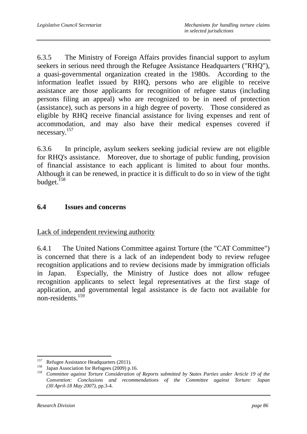6.3.5 The Ministry of Foreign Affairs provides financial support to asylum seekers in serious need through the Refugee Assistance Headquarters ("RHO"). a quasi-governmental organization created in the 1980s. According to the information leaflet issued by RHQ, persons who are eligible to receive assistance are those applicants for recognition of refugee status (including persons filing an appeal) who are recognized to be in need of protection (assistance), such as persons in a high degree of poverty. Those considered as eligible by RHQ receive financial assistance for living expenses and rent of accommodation, and may also have their medical expenses covered if necessary.157

6.3.6 In principle, asylum seekers seeking judicial review are not eligible for RHQ's assistance. Moreover, due to shortage of public funding, provision of financial assistance to each applicant is limited to about four months. Although it can be renewed, in practice it is difficult to do so in view of the tight budget.<sup>158</sup>

## **6.4 Issues and concerns**

Lack of independent reviewing authority

6.4.1 The United Nations Committee against Torture (the "CAT Committee") is concerned that there is a lack of an independent body to review refugee recognition applications and to review decisions made by immigration officials in Japan. Especially, the Ministry of Justice does not allow refugee recognition applicants to select legal representatives at the first stage of application, and governmental legal assistance is de facto not available for non-residents.159

<sup>157</sup> 

<sup>&</sup>lt;sup>157</sup> Refugee Assistance Headquarters (2011).<br><sup>158</sup> Japan Association for Refugees (2009) p.16.<br><sup>159</sup> Committee against Torture Consideration of

<sup>159</sup> *Committee against Torture Consideration of Reports submitted by States Parties under Article 19 of the Convention: Conclusions and recommendations of the Committee against Torture: Japan (30 April-18 May 2007)*, pp.3-4.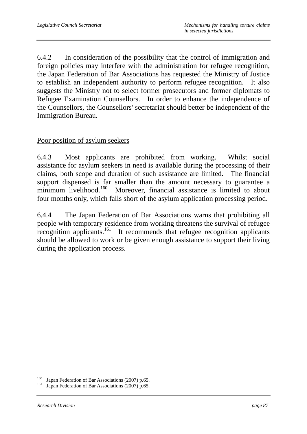6.4.2 In consideration of the possibility that the control of immigration and foreign policies may interfere with the administration for refugee recognition, the Japan Federation of Bar Associations has requested the Ministry of Justice to establish an independent authority to perform refugee recognition. It also suggests the Ministry not to select former prosecutors and former diplomats to Refugee Examination Counsellors. In order to enhance the independence of the Counsellors, the Counsellors' secretariat should better be independent of the Immigration Bureau.

#### Poor position of asylum seekers

6.4.3 Most applicants are prohibited from working. Whilst social assistance for asylum seekers in need is available during the processing of their claims, both scope and duration of such assistance are limited. The financial support dispensed is far smaller than the amount necessary to guarantee a minimum livelihood.<sup>160</sup> Moreover, financial assistance is limited to about four months only, which falls short of the asylum application processing period.

6.4.4 The Japan Federation of Bar Associations warns that prohibiting all people with temporary residence from working threatens the survival of refugee recognition applicants.161 It recommends that refugee recognition applicants should be allowed to work or be given enough assistance to support their living during the application process.

 $\overline{a}$ 

<sup>&</sup>lt;sup>160</sup> Japan Federation of Bar Associations (2007) p.65.<br><sup>161</sup> Japan Federation of Bar Associations (2007) p.65.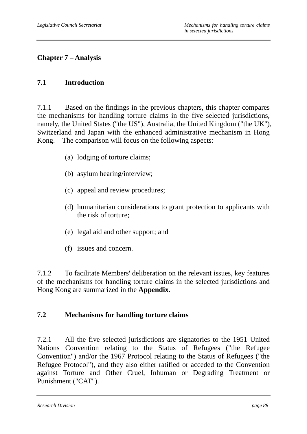# **Chapter 7 – Analysis**

## **7.1 Introduction**

7.1.1 Based on the findings in the previous chapters, this chapter compares the mechanisms for handling torture claims in the five selected jurisdictions, namely, the United States ("the US"), Australia, the United Kingdom ("the UK"), Switzerland and Japan with the enhanced administrative mechanism in Hong Kong. The comparison will focus on the following aspects:

- (a) lodging of torture claims;
- (b) asylum hearing/interview;
- (c) appeal and review procedures;
- (d) humanitarian considerations to grant protection to applicants with the risk of torture;
- (e) legal aid and other support; and
- (f) issues and concern.

7.1.2 To facilitate Members' deliberation on the relevant issues, key features of the mechanisms for handling torture claims in the selected jurisdictions and Hong Kong are summarized in the **Appendix**.

### **7.2 Mechanisms for handling torture claims**

7.2.1 All the five selected jurisdictions are signatories to the 1951 United Nations Convention relating to the Status of Refugees ("the Refugee Convention") and/or the 1967 Protocol relating to the Status of Refugees ("the Refugee Protocol"), and they also either ratified or acceded to the Convention against Torture and Other Cruel, Inhuman or Degrading Treatment or Punishment ("CAT").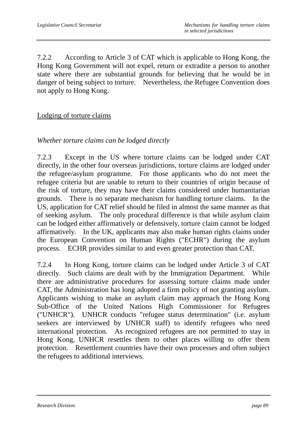7.2.2 According to Article 3 of CAT which is applicable to Hong Kong, the Hong Kong Government will not expel, return or extradite a person to another state where there are substantial grounds for believing that he would be in danger of being subject to torture. Nevertheless, the Refugee Convention does not apply to Hong Kong.

### Lodging of torture claims

### *Whether torture claims can be lodged directly*

7.2.3 Except in the US where torture claims can be lodged under CAT directly, in the other four overseas jurisdictions, torture claims are lodged under the refugee/asylum programme. For those applicants who do not meet the refugee criteria but are unable to return to their countries of origin because of the risk of torture, they may have their claims considered under humanitarian grounds. There is no separate mechanism for handling torture claims. In the US, application for CAT relief should be filed in almost the same manner as that of seeking asylum. The only procedural difference is that while asylum claim can be lodged either affirmatively or defensively, torture claim cannot be lodged affirmatively. In the UK, applicants may also make human rights claims under the European Convention on Human Rights ("ECHR") during the asylum process. ECHR provides similar to and even greater protection than CAT.

7.2.4 In Hong Kong, torture claims can be lodged under Article 3 of CAT directly. Such claims are dealt with by the Immigration Department. While there are administrative procedures for assessing torture claims made under CAT, the Administration has long adopted a firm policy of not granting asylum. Applicants wishing to make an asylum claim may approach the Hong Kong Sub-Office of the United Nations High Commissioner for Refugees ("UNHCR"). UNHCR conducts "refugee status determination" (i.e. asylum seekers are interviewed by UNHCR staff) to identify refugees who need international protection. As recognized refugees are not permitted to stay in Hong Kong, UNHCR resettles them to other places willing to offer them protection. Resettlement countries have their own processes and often subject the refugees to additional interviews.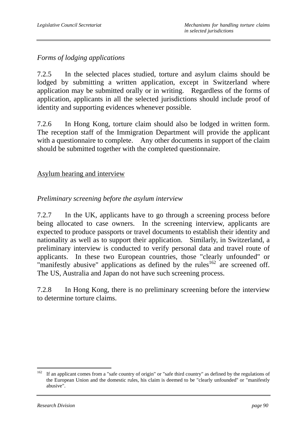# *Forms of lodging applications*

7.2.5 In the selected places studied, torture and asylum claims should be lodged by submitting a written application, except in Switzerland where application may be submitted orally or in writing. Regardless of the forms of application, applicants in all the selected jurisdictions should include proof of identity and supporting evidences whenever possible.

7.2.6 In Hong Kong, torture claim should also be lodged in written form. The reception staff of the Immigration Department will provide the applicant with a questionnaire to complete. Any other documents in support of the claim should be submitted together with the completed questionnaire.

#### Asylum hearing and interview

#### *Preliminary screening before the asylum interview*

7.2.7 In the UK, applicants have to go through a screening process before being allocated to case owners. In the screening interview, applicants are expected to produce passports or travel documents to establish their identity and nationality as well as to support their application. Similarly, in Switzerland, a preliminary interview is conducted to verify personal data and travel route of applicants. In these two European countries, those "clearly unfounded" or "manifestly abusive" applications as defined by the rules<sup>162</sup> are screened off. The US, Australia and Japan do not have such screening process.

7.2.8 In Hong Kong, there is no preliminary screening before the interview to determine torture claims.

<sup>162</sup> If an applicant comes from a "safe country of origin" or "safe third country" as defined by the regulations of the European Union and the domestic rules, his claim is deemed to be "clearly unfounded'' or "manifestly abusive".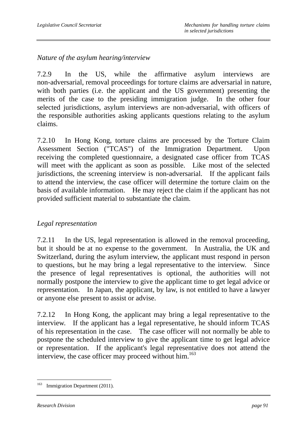*Nature of the asylum hearing/interview* 

7.2.9 In the US, while the affirmative asylum interviews are non-adversarial, removal proceedings for torture claims are adversarial in nature, with both parties (i.e. the applicant and the US government) presenting the merits of the case to the presiding immigration judge. In the other four selected jurisdictions, asylum interviews are non-adversarial, with officers of the responsible authorities asking applicants questions relating to the asylum claims.

7.2.10 In Hong Kong, torture claims are processed by the Torture Claim Assessment Section ("TCAS") of the Immigration Department. Upon receiving the completed questionnaire, a designated case officer from TCAS will meet with the applicant as soon as possible. Like most of the selected jurisdictions, the screening interview is non-adversarial. If the applicant fails to attend the interview, the case officer will determine the torture claim on the basis of available information. He may reject the claim if the applicant has not provided sufficient material to substantiate the claim.

### *Legal representation*

7.2.11 In the US, legal representation is allowed in the removal proceeding, but it should be at no expense to the government. In Australia, the UK and Switzerland, during the asylum interview, the applicant must respond in person to questions, but he may bring a legal representative to the interview. Since the presence of legal representatives is optional, the authorities will not normally postpone the interview to give the applicant time to get legal advice or representation. In Japan, the applicant, by law, is not entitled to have a lawyer or anyone else present to assist or advise.

7.2.12 In Hong Kong, the applicant may bring a legal representative to the interview. If the applicant has a legal representative, he should inform TCAS of his representation in the case. The case officer will not normally be able to postpone the scheduled interview to give the applicant time to get legal advice or representation. If the applicant's legal representative does not attend the interview, the case officer may proceed without him.<sup>163</sup>

 $\overline{a}$ <sup>163</sup> Immigration Department (2011).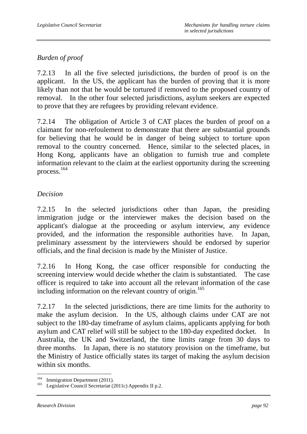# *Burden of proof*

7.2.13 In all the five selected jurisdictions, the burden of proof is on the applicant. In the US, the applicant has the burden of proving that it is more likely than not that he would be tortured if removed to the proposed country of removal. In the other four selected jurisdictions, asylum seekers are expected to prove that they are refugees by providing relevant evidence.

7.2.14 The obligation of Article 3 of CAT places the burden of proof on a claimant for non-refoulement to demonstrate that there are substantial grounds for believing that he would be in danger of being subject to torture upon removal to the country concerned. Hence, similar to the selected places, in Hong Kong, applicants have an obligation to furnish true and complete information relevant to the claim at the earliest opportunity during the screening process.164

## *Decision*

7.2.15 In the selected jurisdictions other than Japan, the presiding immigration judge or the interviewer makes the decision based on the applicant's dialogue at the proceeding or asylum interview, any evidence provided, and the information the responsible authorities have. In Japan, preliminary assessment by the interviewers should be endorsed by superior officials, and the final decision is made by the Minister of Justice.

7.2.16 In Hong Kong, the case officer responsible for conducting the screening interview would decide whether the claim is substantiated. The case officer is required to take into account all the relevant information of the case including information on the relevant country of origin.<sup>165</sup>

7.2.17 In the selected jurisdictions, there are time limits for the authority to make the asylum decision. In the US, although claims under CAT are not subject to the 180-day timeframe of asylum claims, applicants applying for both asylum and CAT relief will still be subject to the 180-day expedited docket. Australia, the UK and Switzerland, the time limits range from 30 days to three months. In Japan, there is no statutory provision on the timeframe, but the Ministry of Justice officially states its target of making the asylum decision within six months.

<sup>164</sup> 

<sup>&</sup>lt;sup>164</sup> Immigration Department (2011).<br><sup>165</sup> Legislative Council Secretariat (2011c) Appendix II p.2.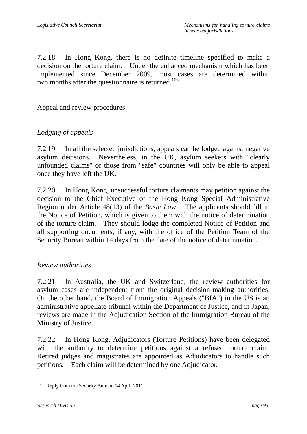7.2.18 In Hong Kong, there is no definite timeline specified to make a decision on the torture claim. Under the enhanced mechanism which has been implemented since December 2009, most cases are determined within two months after the questionnaire is returned.<sup>166</sup>

Appeal and review procedures

## *Lodging of appeals*

7.2.19 In all the selected jurisdictions, appeals can be lodged against negative asylum decisions. Nevertheless, in the UK, asylum seekers with "clearly unfounded claims" or those from "safe" countries will only be able to appeal once they have left the UK.

7.2.20 In Hong Kong, unsuccessful torture claimants may petition against the decision to the Chief Executive of the Hong Kong Special Administrative Region under Article 48(13) of the *Basic Law*. The applicants should fill in the Notice of Petition, which is given to them with the notice of determination of the torture claim. They should lodge the completed Notice of Petition and all supporting documents, if any, with the office of the Petition Team of the Security Bureau within 14 days from the date of the notice of determination.

#### *Review authorities*

7.2.21 In Australia, the UK and Switzerland, the review authorities for asylum cases are independent from the original decision-making authorities. On the other hand, the Board of Immigration Appeals ("BIA") in the US is an administrative appellate tribunal within the Department of Justice, and in Japan, reviews are made in the Adjudication Section of the Immigration Bureau of the Ministry of Justice.

7.2.22 In Hong Kong, Adjudicators (Torture Petitions) have been delegated with the authority to determine petitions against a refused torture claim. Retired judges and magistrates are appointed as Adjudicators to handle such petitions. Each claim will be determined by one Adjudicator.

 $\overline{a}$ <sup>166</sup> Reply from the Security Bureau, 14 April 2011.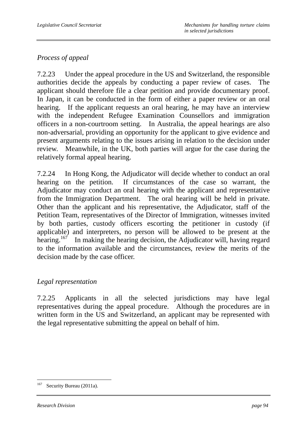# *Process of appeal*

7.2.23 Under the appeal procedure in the US and Switzerland, the responsible authorities decide the appeals by conducting a paper review of cases. The applicant should therefore file a clear petition and provide documentary proof. In Japan, it can be conducted in the form of either a paper review or an oral hearing. If the applicant requests an oral hearing, he may have an interview with the independent Refugee Examination Counsellors and immigration officers in a non-courtroom setting. In Australia, the appeal hearings are also non-adversarial, providing an opportunity for the applicant to give evidence and present arguments relating to the issues arising in relation to the decision under review. Meanwhile, in the UK, both parties will argue for the case during the relatively formal appeal hearing.

7.2.24 In Hong Kong, the Adjudicator will decide whether to conduct an oral hearing on the petition. If circumstances of the case so warrant, the Adjudicator may conduct an oral hearing with the applicant and representative from the Immigration Department. The oral hearing will be held in private. Other than the applicant and his representative, the Adjudicator, staff of the Petition Team, representatives of the Director of Immigration, witnesses invited by both parties, custody officers escorting the petitioner in custody (if applicable) and interpreters, no person will be allowed to be present at the hearing.<sup>167</sup> In making the hearing decision, the Adjudicator will, having regard to the information available and the circumstances, review the merits of the decision made by the case officer.

### *Legal representation*

7.2.25 Applicants in all the selected jurisdictions may have legal representatives during the appeal procedure. Although the procedures are in written form in the US and Switzerland, an applicant may be represented with the legal representative submitting the appeal on behalf of him.

 $\overline{a}$ <sup>167</sup> Security Bureau (2011a).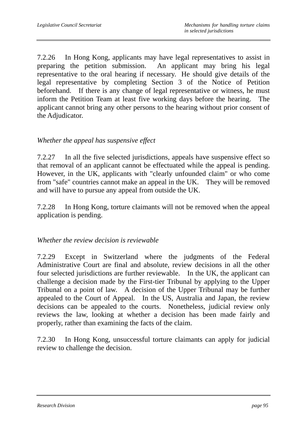7.2.26 In Hong Kong, applicants may have legal representatives to assist in preparing the petition submission. An applicant may bring his legal representative to the oral hearing if necessary.He should give details of the legal representative by completing Section 3 of the Notice of Petition beforehand. If there is any change of legal representative or witness, he must inform the Petition Team at least five working days before the hearing. The applicant cannot bring any other persons to the hearing without prior consent of the Adjudicator.

#### *Whether the appeal has suspensive effect*

7.2.27 In all the five selected jurisdictions, appeals have suspensive effect so that removal of an applicant cannot be effectuated while the appeal is pending. However, in the UK, applicants with "clearly unfounded claim" or who come from "safe" countries cannot make an appeal in the UK. They will be removed and will have to pursue any appeal from outside the UK.

7.2.28 In Hong Kong, torture claimants will not be removed when the appeal application is pending.

#### *Whether the review decision is reviewable*

7.2.29 Except in Switzerland where the judgments of the Federal Administrative Court are final and absolute, review decisions in all the other four selected jurisdictions are further reviewable. In the UK, the applicant can challenge a decision made by the First-tier Tribunal by applying to the Upper Tribunal on a point of law. A decision of the Upper Tribunal may be further appealed to the Court of Appeal. In the US, Australia and Japan, the review decisions can be appealed to the courts. Nonetheless, judicial review only reviews the law, looking at whether a decision has been made fairly and properly, rather than examining the facts of the claim.

7.2.30 In Hong Kong, unsuccessful torture claimants can apply for judicial review to challenge the decision.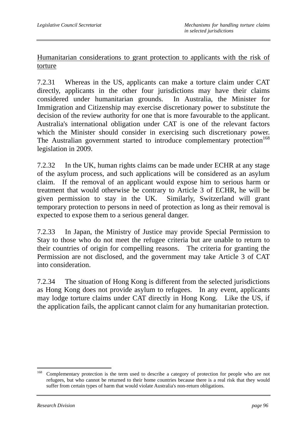Humanitarian considerations to grant protection to applicants with the risk of torture

7.2.31 Whereas in the US, applicants can make a torture claim under CAT directly, applicants in the other four jurisdictions may have their claims considered under humanitarian grounds. In Australia, the Minister for Immigration and Citizenship may exercise discretionary power to substitute the decision of the review authority for one that is more favourable to the applicant. Australia's international obligation under CAT is one of the relevant factors which the Minister should consider in exercising such discretionary power. The Australian government started to introduce complementary protection<sup>168</sup> legislation in 2009.

7.2.32 In the UK, human rights claims can be made under ECHR at any stage of the asylum process, and such applications will be considered as an asylum claim. If the removal of an applicant would expose him to serious harm or treatment that would otherwise be contrary to Article 3 of ECHR, he will be given permission to stay in the UK. Similarly, Switzerland will grant temporary protection to persons in need of protection as long as their removal is expected to expose them to a serious general danger.

7.2.33 In Japan, the Ministry of Justice may provide Special Permission to Stay to those who do not meet the refugee criteria but are unable to return to their countries of origin for compelling reasons. The criteria for granting the Permission are not disclosed, and the government may take Article 3 of CAT into consideration.

7.2.34 The situation of Hong Kong is different from the selected jurisdictions as Hong Kong does not provide asylum to refugees. In any event, applicants may lodge torture claims under CAT directly in Hong Kong. Like the US, if the application fails, the applicant cannot claim for any humanitarian protection.

<sup>168</sup> Complementary protection is the term used to describe a category of protection for people who are not refugees, but who cannot be returned to their home countries because there is a real risk that they would suffer from certain types of harm that would violate Australia's non-return obligations.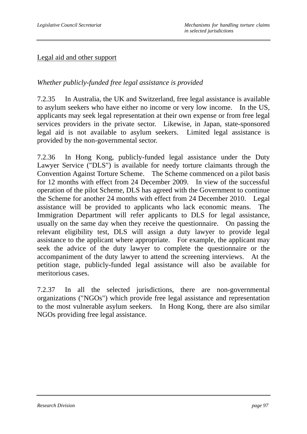#### Legal aid and other support

### *Whether publicly-funded free legal assistance is provided*

7.2.35 In Australia, the UK and Switzerland, free legal assistance is available to asylum seekers who have either no income or very low income. In the US, applicants may seek legal representation at their own expense or from free legal services providers in the private sector. Likewise, in Japan, state-sponsored legal aid is not available to asylum seekers. Limited legal assistance is provided by the non-governmental sector.

7.2.36 In Hong Kong, publicly-funded legal assistance under the Duty Lawyer Service ("DLS") is available for needy torture claimants through the Convention Against Torture Scheme. The Scheme commenced on a pilot basis for 12 months with effect from 24 December 2009. In view of the successful operation of the pilot Scheme, DLS has agreed with the Government to continue the Scheme for another 24 months with effect from 24 December 2010. Legal assistance will be provided to applicants who lack economic means. The Immigration Department will refer applicants to DLS for legal assistance, usually on the same day when they receive the questionnaire. On passing the relevant eligibility test, DLS will assign a duty lawyer to provide legal assistance to the applicant where appropriate. For example, the applicant may seek the advice of the duty lawyer to complete the questionnaire or the accompaniment of the duty lawyer to attend the screening interviews. At the petition stage, publicly-funded legal assistance will also be available for meritorious cases.

7.2.37 In all the selected jurisdictions, there are non-governmental organizations ("NGOs") which provide free legal assistance and representation to the most vulnerable asylum seekers. In Hong Kong, there are also similar NGOs providing free legal assistance.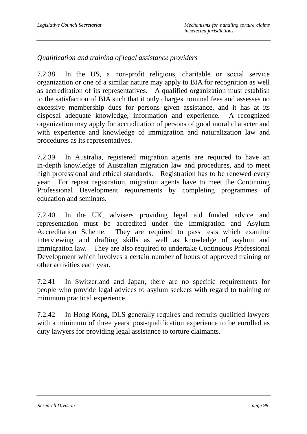## *Qualification and training of legal assistance providers*

7.2.38 In the US, a non-profit religious, charitable or social service organization or one of a similar nature may apply to BIA for recognition as well as accreditation of its representatives. A qualified organization must establish to the satisfaction of BIA such that it only charges nominal fees and assesses no excessive membership dues for persons given assistance, and it has at its disposal adequate knowledge, information and experience. A recognized organization may apply for accreditation of persons of good moral character and with experience and knowledge of immigration and naturalization law and procedures as its representatives.

7.2.39 In Australia, registered migration agents are required to have an in-depth knowledge of Australian migration law and procedures, and to meet high professional and ethical standards. Registration has to be renewed every year. For repeat registration, migration agents have to meet the Continuing Professional Development requirements by completing programmes of education and seminars.

7.2.40 In the UK, advisers providing legal aid funded advice and representation must be accredited under the Immigration and Asylum Accreditation Scheme. They are required to pass tests which examine interviewing and drafting skills as well as knowledge of asylum and immigration law. They are also required to undertake Continuous Professional Development which involves a certain number of hours of approved training or other activities each year.

7.2.41 In Switzerland and Japan, there are no specific requirements for people who provide legal advices to asylum seekers with regard to training or minimum practical experience.

7.2.42 In Hong Kong, DLS generally requires and recruits qualified lawyers with a minimum of three years' post-qualification experience to be enrolled as duty lawyers for providing legal assistance to torture claimants.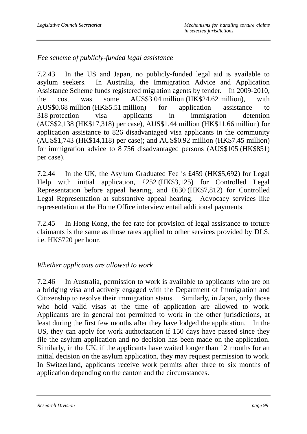## *Fee scheme of publicly-funded legal assistance*

7.2.43 In the US and Japan, no publicly-funded legal aid is available to asylum seekers. In Australia, the Immigration Advice and Application Assistance Scheme funds registered migration agents by tender. In 2009-2010, the cost was some AUS\$3.04 million (HK\$24.62 million), with AUS\$0.68 million (HK\$5.51 million) for application assistance to 318 protection visa applicants in immigration detention (AUS\$2,138 (HK\$17,318) per case), AUS\$1.44 million (HK\$11.66 million) for application assistance to 826 disadvantaged visa applicants in the community (AUS\$1,743 (HK\$14,118) per case); and AUS\$0.92 million (HK\$7.45 million) for immigration advice to 8 756 disadvantaged persons (AUS\$105 (HK\$851) per case).

7.2.44 In the UK, the Asylum Graduated Fee is £459 (HK\$5,692) for Legal Help with initial application, £252 (HK\$3,125) for Controlled Legal Representation before appeal hearing, and £630 (HK\$7,812) for Controlled Legal Representation at substantive appeal hearing. Advocacy services like representation at the Home Office interview entail additional payments.

7.2.45 In Hong Kong, the fee rate for provision of legal assistance to torture claimants is the same as those rates applied to other services provided by DLS, i.e. HK\$720 per hour.

### *Whether applicants are allowed to work*

7.2.46 In Australia, permission to work is available to applicants who are on a bridging visa and actively engaged with the Department of Immigration and Citizenship to resolve their immigration status. Similarly, in Japan, only those who hold valid visas at the time of application are allowed to work. Applicants are in general not permitted to work in the other jurisdictions, at least during the first few months after they have lodged the application. In the US, they can apply for work authorization if 150 days have passed since they file the asylum application and no decision has been made on the application. Similarly, in the UK, if the applicants have waited longer than 12 months for an initial decision on the asylum application, they may request permission to work. In Switzerland, applicants receive work permits after three to six months of application depending on the canton and the circumstances.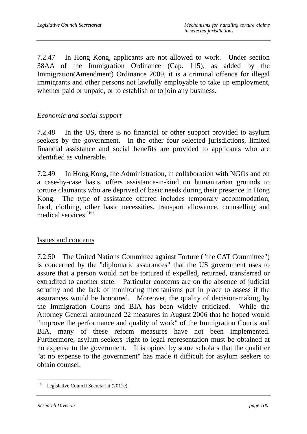7.2.47 In Hong Kong, applicants are not allowed to work. Under section 38AA of the Immigration Ordinance (Cap. 115), as added by the Immigration(Amendment) Ordinance 2009, it is a criminal offence for illegal immigrants and other persons not lawfully employable to take up employment, whether paid or unpaid, or to establish or to join any business.

#### *Economic and social support*

7.2.48 In the US, there is no financial or other support provided to asylum seekers by the government. In the other four selected jurisdictions, limited financial assistance and social benefits are provided to applicants who are identified as vulnerable.

7.2.49 In Hong Kong, the Administration, in collaboration with NGOs and on a case-by-case basis, offers assistance-in-kind on humanitarian grounds to torture claimants who are deprived of basic needs during their presence in Hong Kong. The type of assistance offered includes temporary accommodation, food, clothing, other basic necessities, transport allowance, counselling and medical services.<sup>169</sup>

#### Issues and concerns

7.2.50 The United Nations Committee against Torture ("the CAT Committee") is concerned by the "diplomatic assurances" that the US government uses to assure that a person would not be tortured if expelled, returned, transferred or extradited to another state. Particular concerns are on the absence of judicial scrutiny and the lack of monitoring mechanisms put in place to assess if the assurances would be honoured. Moreover, the quality of decision-making by the Immigration Courts and BIA has been widely criticized. While the Attorney General announced 22 measures in August 2006 that he hoped would "improve the performance and quality of work" of the Immigration Courts and BIA, many of these reform measures have not been implemented. Furthermore, asylum seekers' right to legal representation must be obtained at no expense to the government. It is opined by some scholars that the qualifier "at no expense to the government" has made it difficult for asylum seekers to obtain counsel.

 $\overline{a}$ <sup>169</sup> Legislative Council Secretariat (2011c).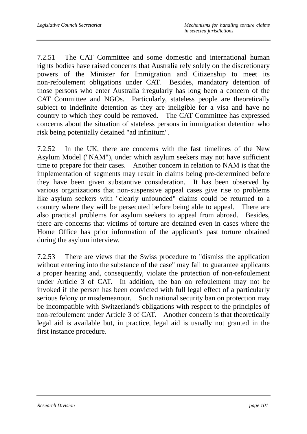7.2.51 The CAT Committee and some domestic and international human rights bodies have raised concerns that Australia rely solely on the discretionary powers of the Minister for Immigration and Citizenship to meet its non-refoulement obligations under CAT. Besides, mandatory detention of those persons who enter Australia irregularly has long been a concern of the CAT Committee and NGOs. Particularly, stateless people are theoretically subject to indefinite detention as they are ineligible for a visa and have no country to which they could be removed. The CAT Committee has expressed concerns about the situation of stateless persons in immigration detention who risk being potentially detained "ad infinitum".

7.2.52 In the UK, there are concerns with the fast timelines of the New Asylum Model ("NAM"), under which asylum seekers may not have sufficient time to prepare for their cases. Another concern in relation to NAM is that the implementation of segments may result in claims being pre-determined before they have been given substantive consideration. It has been observed by various organizations that non-suspensive appeal cases give rise to problems like asylum seekers with "clearly unfounded" claims could be returned to a country where they will be persecuted before being able to appeal. There are also practical problems for asylum seekers to appeal from abroad. Besides, there are concerns that victims of torture are detained even in cases where the Home Office has prior information of the applicant's past torture obtained during the asylum interview.

7.2.53 There are views that the Swiss procedure to "dismiss the application without entering into the substance of the case" may fail to guarantee applicants a proper hearing and, consequently, violate the protection of non-refoulement under Article 3 of CAT. In addition, the ban on refoulement may not be invoked if the person has been convicted with full legal effect of a particularly serious felony or misdemeanour. Such national security ban on protection may be incompatible with Switzerland's obligations with respect to the principles of non-refoulement under Article 3 of CAT. Another concern is that theoretically legal aid is available but, in practice, legal aid is usually not granted in the first instance procedure.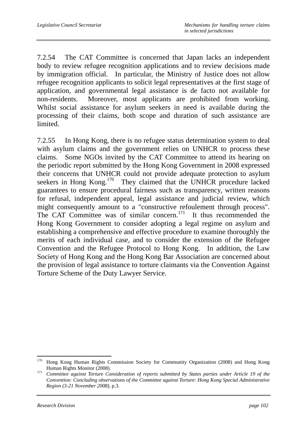7.2.54 The CAT Committee is concerned that Japan lacks an independent body to review refugee recognition applications and to review decisions made by immigration official. In particular, the Ministry of Justice does not allow refugee recognition applicants to solicit legal representatives at the first stage of application, and governmental legal assistance is de facto not available for non-residents. Moreover, most applicants are prohibited from working. Whilst social assistance for asylum seekers in need is available during the processing of their claims, both scope and duration of such assistance are limited.

7.2.55 In Hong Kong, there is no refugee status determination system to deal with asylum claims and the government relies on UNHCR to process these claims. Some NGOs invited by the CAT Committee to attend its hearing on the periodic report submitted by the Hong Kong Government in 2008 expressed their concerns that UNHCR could not provide adequate protection to asylum seekers in Hong Kong.<sup>170</sup> They claimed that the UNHCR procedure lacked guarantees to ensure procedural fairness such as transparency, written reasons for refusal, independent appeal, legal assistance and judicial review, which might consequently amount to a "constructive refoulement through process". The CAT Committee was of similar concern.<sup>171</sup> It thus recommended the Hong Kong Government to consider adopting a legal regime on asylum and establishing a comprehensive and effective procedure to examine thoroughly the merits of each individual case, and to consider the extension of the Refugee Convention and the Refugee Protocol to Hong Kong. In addition, the Law Society of Hong Kong and the Hong Kong Bar Association are concerned about the provision of legal assistance to torture claimants via the Convention Against Torture Scheme of the Duty Lawyer Service.

<sup>170</sup> 170 Hong Kong Human Rights Commission Society for Community Organization (2008) and Hong Kong

Human Rights Monitor (2008). 171 *Committee against Torture Consideration of reports submitted by States parties under Article 19 of the Convention: Concluding observations of the Committee against Torture: Hong Kong Special Administrative Region (3-21 November 2008)*, p.3.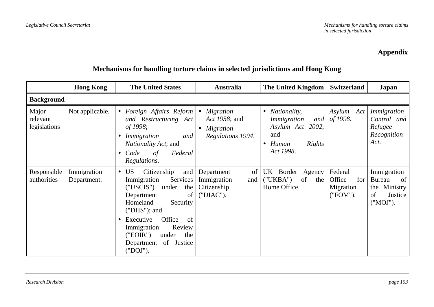## **Appendix**

|                                   | <b>Hong Kong</b>           | <b>The United States</b>                                                                                                                                                                                                                                                                        | <b>Australia</b>                                                    | The United Kingdom                                                                                                     | Switzerland                                       | Japan                                                                           |
|-----------------------------------|----------------------------|-------------------------------------------------------------------------------------------------------------------------------------------------------------------------------------------------------------------------------------------------------------------------------------------------|---------------------------------------------------------------------|------------------------------------------------------------------------------------------------------------------------|---------------------------------------------------|---------------------------------------------------------------------------------|
| <b>Background</b>                 |                            |                                                                                                                                                                                                                                                                                                 |                                                                     |                                                                                                                        |                                                   |                                                                                 |
| Major<br>relevant<br>legislations | Not applicable.            | • Foreign Affairs Reform<br>and Restructuring Act<br>of 1998;<br>Immigration<br>and<br>$\bullet$<br><i>Nationality Act</i> ; and<br>Code<br>Federal<br>$\sigma f$<br>$\bullet$<br>Regulations.                                                                                                  | <i>Migration</i><br>Act 1958; and<br>Migration<br>Regulations 1994. | <i>Nationality,</i><br>٠<br>Immigration<br>and<br>Asylum Act 2002;<br>and<br>Human<br>Rights<br>$\bullet$<br>Act 1998. | Asylum Act<br>of 1998.                            | Immigration<br>Control and<br>Refugee<br>Recognition<br>Act.                    |
| Responsible<br>authorities        | Immigration<br>Department. | US <sup>-</sup><br>Citizenship<br>and<br>$\bullet$<br>Immigration<br>Services<br>("USCIS")<br>under<br>the<br>Department<br>of<br>Homeland<br>Security<br>$("DHS");$ and<br>Office<br>Executive<br>of<br>Immigration<br>Review<br>("EOIR")<br>under<br>the<br>Department of Justice<br>("DOJ"). | of<br>Department<br>Immigration<br>and<br>Citizenship<br>("DIAC").  | UK Border Agency<br>("UKBA")<br>of<br>the<br>Home Office.                                                              | Federal<br>Office<br>for<br>Migration<br>("FOM"). | Immigration<br><b>Bureau</b><br>of<br>the Ministry<br>of<br>Justice<br>("MOJ"). |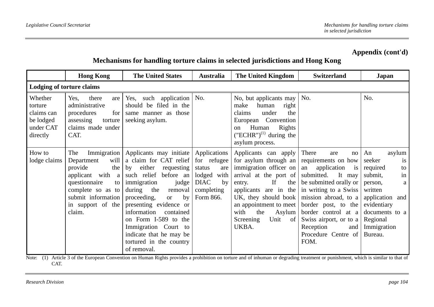### **Mechanisms for handling torture claims in selected jurisdictions and Hong Kong**

|                                                                        | <b>Hong Kong</b>                                                                                                                                                       | <b>The United States</b>                                                                                                                                                                                                                                                                                                                                                                   | <b>Australia</b>                                                                                            | The United Kingdom                                                                                                                                                                                                                                               | <b>Switzerland</b>                                                                                                                                                                                                                                                                                         | Japan                                                                                                                                                                                |
|------------------------------------------------------------------------|------------------------------------------------------------------------------------------------------------------------------------------------------------------------|--------------------------------------------------------------------------------------------------------------------------------------------------------------------------------------------------------------------------------------------------------------------------------------------------------------------------------------------------------------------------------------------|-------------------------------------------------------------------------------------------------------------|------------------------------------------------------------------------------------------------------------------------------------------------------------------------------------------------------------------------------------------------------------------|------------------------------------------------------------------------------------------------------------------------------------------------------------------------------------------------------------------------------------------------------------------------------------------------------------|--------------------------------------------------------------------------------------------------------------------------------------------------------------------------------------|
| <b>Lodging of torture claims</b>                                       |                                                                                                                                                                        |                                                                                                                                                                                                                                                                                                                                                                                            |                                                                                                             |                                                                                                                                                                                                                                                                  |                                                                                                                                                                                                                                                                                                            |                                                                                                                                                                                      |
| Whether<br>torture<br>claims can<br>be lodged<br>under CAT<br>directly | Yes,<br>there<br>are<br>administrative<br>procedures<br>for<br>assessing<br>torture<br>claims made under<br>CAT.                                                       | Yes, such application<br>should be filed in the<br>same manner as those<br>seeking asylum.                                                                                                                                                                                                                                                                                                 | No.                                                                                                         | No, but applicants may<br>human<br>right<br>make<br>claims<br>under<br>the<br>European Convention<br>Human<br>Rights<br>on<br>$("ECHR")^{(1)}$ during the<br>asylum process.                                                                                     | No.                                                                                                                                                                                                                                                                                                        | No.                                                                                                                                                                                  |
| How to<br>lodge claims                                                 | The<br>will<br>Department<br>provide<br>the  <br>applicant with $a$<br>questionnaire<br>to  <br>complete so as to<br>submit information<br>in support of the<br>claim. | Immigration   Applicants may initiate  <br>a claim for CAT relief<br>requesting<br>either<br>by<br>such relief before an<br>immigration<br>judge<br>during the<br>removal<br>proceeding,<br>by<br><sub>or</sub><br>presenting evidence or<br>information<br>contained<br>on Form I-589 to the<br>Immigration Court to<br>indicate that he may be<br>tortured in the country<br>of removal. | Applications<br>for refugee<br>status<br>are<br>lodged with<br><b>DIAC</b><br>by<br>completing<br>Form 866. | Applicants can apply<br>for asylum through an<br>immigration officer on<br>arrival at the port of<br>If<br>the<br>entry.<br>applicants are in the<br>UK, they should book<br>an appointment to meet<br>with<br>the<br>Asylum<br>Screening<br>Unit<br>of<br>UKBA. | There<br>are<br>no<br>requirements on how<br>an application<br>$\frac{1}{1}$<br>submitted.<br>It may<br>be submitted orally or<br>in writing to a Swiss<br>mission abroad, to a<br>border post, to the<br>border control at a<br>Swiss airport, or to a<br>Reception<br>and<br>Procedure Centre of<br>FOM. | An<br>asylum<br>seeker<br>is<br>required<br>to<br>in<br>submit,<br>person,<br>a<br>written<br>application and<br>evidentiary<br>documents to a<br>Regional<br>Immigration<br>Bureau. |

Note: (1) Article 3 of the European Convention on Human Rights provides a prohibition on torture and of inhuman or degrading treatment or punishment, which is similar to that of CAT.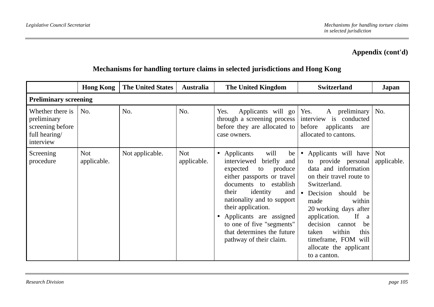|                                                                                   | <b>Hong Kong</b>          | <b>The United States</b> | <b>Australia</b>          | <b>The United Kingdom</b>                                                                                                                                                                                                                                                                                                                                                     | <b>Switzerland</b>                                                                                                                                                                                                                                                                                                                     | Japan                     |
|-----------------------------------------------------------------------------------|---------------------------|--------------------------|---------------------------|-------------------------------------------------------------------------------------------------------------------------------------------------------------------------------------------------------------------------------------------------------------------------------------------------------------------------------------------------------------------------------|----------------------------------------------------------------------------------------------------------------------------------------------------------------------------------------------------------------------------------------------------------------------------------------------------------------------------------------|---------------------------|
| <b>Preliminary screening</b>                                                      |                           |                          |                           |                                                                                                                                                                                                                                                                                                                                                                               |                                                                                                                                                                                                                                                                                                                                        |                           |
| Whether there is<br>preliminary<br>screening before<br>full hearing/<br>interview | No.                       | No.                      | No.                       | Applicants will go Yes.<br>Yes.<br>through a screening process  <br>before they are allocated to<br>case owners.                                                                                                                                                                                                                                                              | A preliminary<br>interview is conducted<br>before<br>applicants<br>are<br>allocated to cantons.                                                                                                                                                                                                                                        | No.                       |
| Screening<br>procedure                                                            | <b>Not</b><br>applicable. | Not applicable.          | <b>Not</b><br>applicable. | Applicants<br>will<br>be  <br>$\bullet$<br>interviewed<br>briefly<br>and<br>produce<br>expected<br>to<br>either passports or travel<br>documents to establish<br>identity<br>their<br>and  <br>nationality and to support<br>their application.<br>Applicants are assigned<br>$\bullet$<br>to one of five "segments"<br>that determines the future<br>pathway of their claim. | Applicants will have<br>to provide personal<br>data and information<br>on their travel route to<br>Switzerland.<br>Decision should<br>be<br>within<br>made<br>20 working days after<br>application.<br>If<br>a<br>decision<br>cannot<br>be<br>within<br>taken<br>this<br>timeframe, FOM will<br>allocate the applicant<br>to a canton. | <b>Not</b><br>applicable. |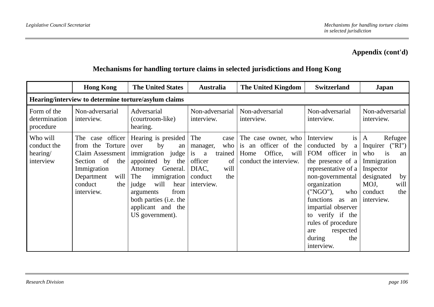|                                                  | <b>Hong Kong</b>                                                                                                                                               | <b>The United States</b>                                                                                                                                                                                                                                     | <b>Australia</b>                                                                                                       | The United Kingdom                                                                               | <b>Switzerland</b>                                                                                                                                                                                                                                                                                 | <b>Japan</b>                                                                                                                                          |
|--------------------------------------------------|----------------------------------------------------------------------------------------------------------------------------------------------------------------|--------------------------------------------------------------------------------------------------------------------------------------------------------------------------------------------------------------------------------------------------------------|------------------------------------------------------------------------------------------------------------------------|--------------------------------------------------------------------------------------------------|----------------------------------------------------------------------------------------------------------------------------------------------------------------------------------------------------------------------------------------------------------------------------------------------------|-------------------------------------------------------------------------------------------------------------------------------------------------------|
|                                                  |                                                                                                                                                                | Hearing/interview to determine torture/asylum claims                                                                                                                                                                                                         |                                                                                                                        |                                                                                                  |                                                                                                                                                                                                                                                                                                    |                                                                                                                                                       |
| Form of the<br>determination<br>procedure        | Non-adversarial<br>interview.                                                                                                                                  | Adversarial<br>(courtroom-like)<br>hearing.                                                                                                                                                                                                                  | Non-adversarial<br>interview.                                                                                          | Non-adversarial<br>interview.                                                                    | Non-adversarial<br>interview.                                                                                                                                                                                                                                                                      | Non-adversarial<br>interview.                                                                                                                         |
| Who will<br>conduct the<br>hearing/<br>interview | case officer<br>The<br>Torture<br>the<br>from<br>Claim Assessment<br>of<br>the<br>Section<br>Immigration<br>Department<br>will<br>conduct<br>the<br>interview. | Hearing is presided<br>by<br>over<br>an<br>immigration judge<br>appointed<br>by<br>the<br>General.<br>Attorney<br>immigration<br>The<br>will<br>judge<br>hear<br>from<br>arguments<br>both parties ( <i>i.e.</i> the<br>applicant and the<br>US government). | The<br>case<br>who<br>manager,<br>trained<br>a<br>is<br>officer<br>of<br>will<br>DIAC,<br>the<br>conduct<br>interview. | The case owner, who<br>is an officer of the<br>Office,<br>Home<br>will<br>conduct the interview. | Interview<br>is<br>conducted by<br>a<br>FOM officer in<br>the presence of a<br>representative of a<br>non-governmental<br>organization<br>("NGO").<br>who<br>functions as<br>an<br>impartial observer<br>to verify if the<br>rules of procedure<br>respected<br>are<br>during<br>the<br>interview. | Refugee<br>A<br>("RI")<br>Inquirer<br>is<br>who<br>an<br>Immigration<br>Inspector<br>designated<br>by<br>MOJ,<br>will<br>the<br>conduct<br>interview. |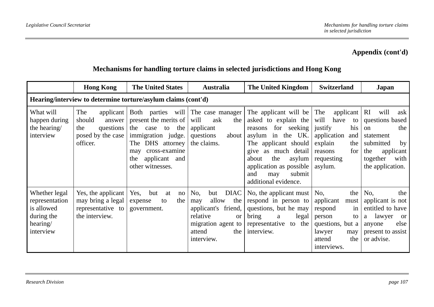|                                                                                      | <b>Hong Kong</b>                                                                            | <b>The United States</b>                                                                                                                                                                        | <b>Australia</b>                                                                                                                       | The United Kingdom                                                                                                                                                                                                                               | <b>Switzerland</b>                                                                                                                                     | Japan                                                                                                                                              |
|--------------------------------------------------------------------------------------|---------------------------------------------------------------------------------------------|-------------------------------------------------------------------------------------------------------------------------------------------------------------------------------------------------|----------------------------------------------------------------------------------------------------------------------------------------|--------------------------------------------------------------------------------------------------------------------------------------------------------------------------------------------------------------------------------------------------|--------------------------------------------------------------------------------------------------------------------------------------------------------|----------------------------------------------------------------------------------------------------------------------------------------------------|
|                                                                                      |                                                                                             | Hearing/interview to determine torture/asylum claims (cont'd)                                                                                                                                   |                                                                                                                                        |                                                                                                                                                                                                                                                  |                                                                                                                                                        |                                                                                                                                                    |
| What will<br>happen during<br>the hearing/<br>interview                              | The<br>applicant  <br>should<br>answer<br>questions<br>the<br>posed by the case<br>officer. | Both parties will The case manager<br>present the merits of<br>the<br>the case to<br>immigration judge.<br>The DHS attorney<br>cross-examine<br>may<br>applicant and<br>the<br>other witnesses. | will<br>ask<br>the<br>applicant<br>questions<br>about<br>the claims.                                                                   | The applicant will be<br>asked to explain the<br>for seeking<br>reasons<br>asylum in the UK.<br>The applicant should<br>give as much detail<br>the<br>about<br>asylum<br>application as possible<br>submit<br>and<br>may<br>additional evidence. | The<br>applicant $\vert$ RI<br>will<br>have<br>to<br>justify<br>his<br>application<br>and<br>explain<br>the<br>for<br>reasons<br>requesting<br>asylum. | will<br>ask<br>questions based<br>the<br><sub>on</sub><br>statement<br>submitted<br>by<br>the<br>applicant<br>together<br>with<br>the application. |
| Whether legal<br>representation<br>is allowed<br>during the<br>hearing/<br>interview | Yes, the applicant<br>may bring a legal<br>representative to<br>the interview.              | Yes, but<br>at<br>no<br>the<br>expense<br>to<br>government.                                                                                                                                     | No,<br>but<br>allow<br>the<br>may<br>applicant's friend,<br>relative<br><b>or</b><br>migration agent to<br>the<br>attend<br>interview. | DIAC   No, the applicant must $\vert$ No,<br>respond in person to<br>questions, but he may<br>bring<br>legal<br>a<br>representative to the<br>interview.                                                                                         | applicant must<br>respond<br>in<br>person<br>to<br>questions, but a<br>lawyer<br>may<br>the<br>attend<br>interviews.                                   | the $\vert$ No,<br>the<br>applicant is not<br>entitled to have<br>lawyer<br><b>or</b><br>a<br>else<br>anyone<br>present to assist<br>or advise.    |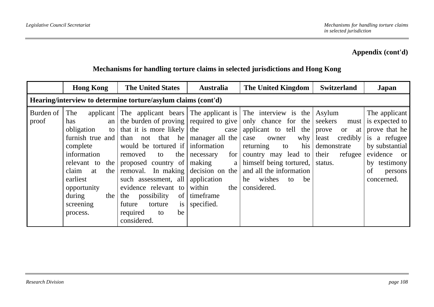|                    | <b>Hong Kong</b>                                                                                                                                                                                  | <b>The United States</b>                                                                                                                                                                                                                                                                   | <b>Australia</b>                                                                                                                                    | The United Kingdom                                                                                                                                                                                                                                                                                                                          | <b>Switzerland</b>                                                                                                 | Japan                                                                                                                                            |
|--------------------|---------------------------------------------------------------------------------------------------------------------------------------------------------------------------------------------------|--------------------------------------------------------------------------------------------------------------------------------------------------------------------------------------------------------------------------------------------------------------------------------------------|-----------------------------------------------------------------------------------------------------------------------------------------------------|---------------------------------------------------------------------------------------------------------------------------------------------------------------------------------------------------------------------------------------------------------------------------------------------------------------------------------------------|--------------------------------------------------------------------------------------------------------------------|--------------------------------------------------------------------------------------------------------------------------------------------------|
|                    |                                                                                                                                                                                                   | Hearing/interview to determine torture/asylum claims (cont'd)                                                                                                                                                                                                                              |                                                                                                                                                     |                                                                                                                                                                                                                                                                                                                                             |                                                                                                                    |                                                                                                                                                  |
| Burden of<br>proof | The<br>has<br>an<br>obligation<br>to<br>furnish true and<br>complete<br>information<br>relevant to the<br>claim<br>the<br>at<br>earliest<br>opportunity<br>during<br>the<br>screening<br>process. | that it is more likely<br>than not that he<br>would be tortured if information<br>removed<br>to<br>proposed country of<br>removal. In making<br>such assessment, all<br>evidence relevant to<br>possibility<br>of<br>the<br>future<br>torture<br>is<br>required<br>be<br>to<br>considered. | the<br>case<br>manager all the<br>for<br>the necessary<br>making<br>a<br>decision on the<br>application<br>within<br>the<br>timeframe<br>specified. | applicant The applicant bears The applicant is The interview is the Asylum<br>the burden of proving required to give only chance for the<br>applicant to tell the<br>why<br>case<br>owner<br>his<br>returning<br>to<br>country may lead to<br>himself being tortured,<br>and all the information<br>wishes<br>he<br>be<br>to<br>considered. | seekers<br>must<br>prove<br><sub>or</sub><br>at<br>credibly<br>least<br>demonstrate<br>their<br>refugee<br>status. | The applicant<br>is expected to<br>prove that he<br>is a refugee<br>by substantial<br>evidence or<br>by testimony<br>of<br>persons<br>concerned. |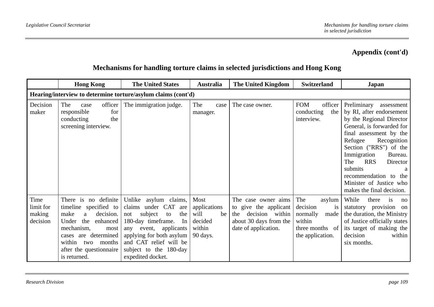|                                         | <b>Hong Kong</b>                                                                                                                                                                                                        | <b>The United States</b>                                                                                                                                                                                                                  | <b>Australia</b>                                                    | The United Kingdom                                                                                                       | <b>Switzerland</b>                                                                                          | Japan                                                                                                                                                                                                                                                                                                                                                     |
|-----------------------------------------|-------------------------------------------------------------------------------------------------------------------------------------------------------------------------------------------------------------------------|-------------------------------------------------------------------------------------------------------------------------------------------------------------------------------------------------------------------------------------------|---------------------------------------------------------------------|--------------------------------------------------------------------------------------------------------------------------|-------------------------------------------------------------------------------------------------------------|-----------------------------------------------------------------------------------------------------------------------------------------------------------------------------------------------------------------------------------------------------------------------------------------------------------------------------------------------------------|
|                                         |                                                                                                                                                                                                                         | Hearing/interview to determine torture/asylum claims (cont'd)                                                                                                                                                                             |                                                                     |                                                                                                                          |                                                                                                             |                                                                                                                                                                                                                                                                                                                                                           |
| Decision<br>maker                       | officer<br>The<br>case<br>for<br>responsible<br>conducting<br>the<br>screening interview.                                                                                                                               | The immigration judge.                                                                                                                                                                                                                    | The<br>case<br>manager.                                             | The case owner.                                                                                                          | <b>FOM</b><br>officer<br>conducting<br>the<br>interview.                                                    | Preliminary<br>assessment<br>by RI, after endorsement<br>by the Regional Director<br>General, is forwarded for<br>final assessment by the<br>Refugee<br>Recognition<br>Section ("RRS") of the<br>Immigration<br>Bureau.<br><b>RRS</b><br>The<br>Director<br>submits<br>a<br>recommendation to the<br>Minister of Justice who<br>makes the final decision. |
| Time<br>limit for<br>making<br>decision | There is no definite<br>timeline specified to<br>decision.<br>make<br>a<br>Under<br>the<br>enhanced<br>mechanism,<br>most<br>determined<br>cases are<br>within<br>two months<br>after the questionnaire<br>is returned. | Unlike asylum claims,<br>claims under CAT are<br>subject<br>the<br>not<br>to<br>180-day timeframe.<br>In<br>event, applicants<br>any<br>applying for both asylum<br>and CAT relief will be<br>subject to the 180-day<br>expedited docket. | Most<br>applications<br>will<br>be<br>decided<br>within<br>90 days. | The case owner aims<br>to give the applicant<br>decision within<br>the<br>about 30 days from the<br>date of application. | The<br>asylum<br>decision<br><i>is</i><br>normally<br>made<br>within<br>three months of<br>the application. | While<br>there<br>1S<br>no<br>statutory provision on<br>the duration, the Ministry<br>of Justice officially states<br>its target of making the<br>decision<br>within<br>six months.                                                                                                                                                                       |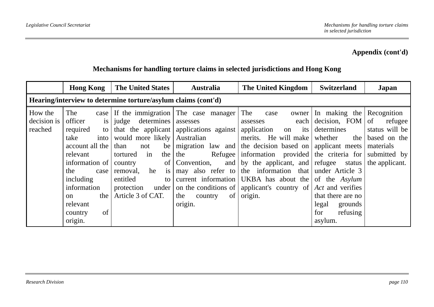|                                   | <b>Hong Kong</b>                                                                                                                                                                                                | <b>The United States</b>                                                                                                                                                                          | <b>Australia</b>                                                                                                                                                                                                                                             | The United Kingdom                                                                                                                                                                                                                                                                                                                                                                           | <b>Switzerland</b>                                                                                                                                                     | Japan                                                                                          |  |  |  |
|-----------------------------------|-----------------------------------------------------------------------------------------------------------------------------------------------------------------------------------------------------------------|---------------------------------------------------------------------------------------------------------------------------------------------------------------------------------------------------|--------------------------------------------------------------------------------------------------------------------------------------------------------------------------------------------------------------------------------------------------------------|----------------------------------------------------------------------------------------------------------------------------------------------------------------------------------------------------------------------------------------------------------------------------------------------------------------------------------------------------------------------------------------------|------------------------------------------------------------------------------------------------------------------------------------------------------------------------|------------------------------------------------------------------------------------------------|--|--|--|
|                                   | Hearing/interview to determine torture/asylum claims (cont'd)                                                                                                                                                   |                                                                                                                                                                                                   |                                                                                                                                                                                                                                                              |                                                                                                                                                                                                                                                                                                                                                                                              |                                                                                                                                                                        |                                                                                                |  |  |  |
| How the<br>decision is<br>reached | The<br>officer<br>is<br>required<br>to I<br>take<br>into<br>account all the<br>relevant<br>information of<br>the<br>case<br>including<br>information<br>the<br>$\Omega$<br>relevant<br>of<br>country<br>origin. | judge determines<br>would more likely<br>than<br>be<br>not<br>in<br>the<br>tortured<br>of<br>country<br>he<br>removal,<br><i>is</i><br>entitled<br>to<br>protection<br>under<br>Article 3 of CAT. | $\case$ If the immigration The case manager<br>assesses<br>that the applicant applications against<br>Australian<br>migration law and<br>the<br>Refugee<br>and<br>Convention,<br>may also refer to<br>current information<br>the<br>of<br>country<br>origin. | The<br>owner  <br>case<br>each $\vert$<br>assesses<br>application<br>its<br>on<br>merits. He will make<br>the decision based on applicant meets<br>information provided the criteria for<br>by the applicant, and refugee status<br>the information that under Article 3<br>UKBA has about the of the Asylum<br>on the conditions of   applicant's country of $ Act$ and verifies<br>origin. | In making the $\sqrt{\frac{2}{1}}$ Recognition<br>decision, FOM<br>determines<br>the<br>whether<br>that there are no<br>legal<br>grounds<br>refusing<br>for<br>asylum. | of<br>refugee<br>status will be<br>based on the<br>materials<br>submitted by<br>the applicant. |  |  |  |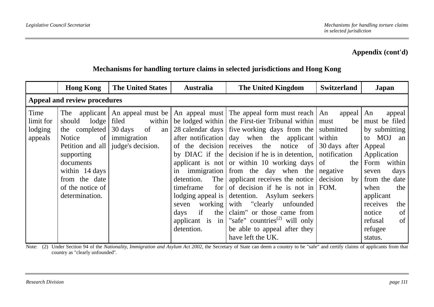### **Mechanisms for handling torture claims in selected jurisdictions and Hong Kong**

|                                         | <b>Hong Kong</b>                                                                                                                                                                                       | <b>The United States</b>                                                   | <b>Australia</b>                                                                                                                                                                                                                                                              | The United Kingdom                                                                                                                                                                                                                                                                                                                                                                                                                                                                                                                                    | <b>Switzerland</b>                                                                                                      | Japan                                                                                                                                                                                                                                       |
|-----------------------------------------|--------------------------------------------------------------------------------------------------------------------------------------------------------------------------------------------------------|----------------------------------------------------------------------------|-------------------------------------------------------------------------------------------------------------------------------------------------------------------------------------------------------------------------------------------------------------------------------|-------------------------------------------------------------------------------------------------------------------------------------------------------------------------------------------------------------------------------------------------------------------------------------------------------------------------------------------------------------------------------------------------------------------------------------------------------------------------------------------------------------------------------------------------------|-------------------------------------------------------------------------------------------------------------------------|---------------------------------------------------------------------------------------------------------------------------------------------------------------------------------------------------------------------------------------------|
|                                         | Appeal and review procedures                                                                                                                                                                           |                                                                            |                                                                                                                                                                                                                                                                               |                                                                                                                                                                                                                                                                                                                                                                                                                                                                                                                                                       |                                                                                                                         |                                                                                                                                                                                                                                             |
| Time<br>limit for<br>lodging<br>appeals | The applicant<br>should<br>lodge<br>the completed<br>of <sub>l</sub><br>Notice<br>Petition and all<br>supporting<br>documents<br>within 14 days<br>from the date<br>of the notice of<br>determination. | filed<br>within<br>30 days<br>of<br>an<br>immigration<br>judge's decision. | be lodged within<br>28 calendar days<br>after notification<br>of the decision<br>by DIAC if the<br>applicant is not<br>in immigration<br>The<br>detention.<br>timeframe<br>for<br>lodging appeal is<br>working<br>seven<br>if<br>the<br>days<br>applicant is in<br>detention. | An appeal must be   An appeal must   The appeal form must reach   An appeal   An<br>the First-tier Tribunal within<br>five working days from the<br>day when the applicant<br>receives the notice of<br>decision if he is in detention,<br>or within 10 working days<br>from the day when the<br>applicant receives the notice<br>of decision if he is not in<br>detention. Asylum seekers<br>with "clearly unfounded"<br>claim" or those came from<br>"safe" countries <sup>(2)</sup> will only<br>be able to appeal after they<br>have left the UK. | be  <br>must<br>submitted<br>within<br>30 days after<br>notification<br>of<br>the<br>negative<br>decision<br>by<br>FOM. | appeal<br>must be filed<br>by submitting<br>MOJ an<br>to<br>Appeal<br>Application<br>Form<br>within<br>days<br>seven<br>from the date<br>when<br>the<br>applicant<br>receives<br>the<br>of<br>notice<br>of<br>refusal<br>refugee<br>status. |

Note: (2) Under Section 94 of the *Nationality, Immigration and Asylum Act 2002*, the Secretary of State can deem a country to be "safe" and certify claims of applicants from that country as "clearly unfounded''.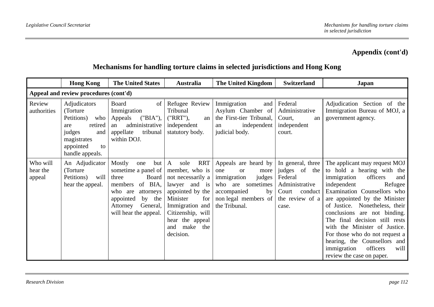|                                | <b>Hong Kong</b>                                                                                                                       | <b>The United States</b>                                                                                                                                                            | <b>Australia</b>                                                                                                                                                                                                          | The United Kingdom                                                                                                                                           | <b>Switzerland</b>                                                                                              | Japan                                                                                                                                                                                                                                                                                                                                                                                                                                                             |
|--------------------------------|----------------------------------------------------------------------------------------------------------------------------------------|-------------------------------------------------------------------------------------------------------------------------------------------------------------------------------------|---------------------------------------------------------------------------------------------------------------------------------------------------------------------------------------------------------------------------|--------------------------------------------------------------------------------------------------------------------------------------------------------------|-----------------------------------------------------------------------------------------------------------------|-------------------------------------------------------------------------------------------------------------------------------------------------------------------------------------------------------------------------------------------------------------------------------------------------------------------------------------------------------------------------------------------------------------------------------------------------------------------|
|                                | Appeal and review procedures (cont'd)                                                                                                  |                                                                                                                                                                                     |                                                                                                                                                                                                                           |                                                                                                                                                              |                                                                                                                 |                                                                                                                                                                                                                                                                                                                                                                                                                                                                   |
| Review<br>authorities          | Adjudicators<br>(Torture)<br>Petitions)<br>who<br>retired<br>are<br>judges<br>and<br>magistrates<br>appointed<br>to<br>handle appeals. | <b>Board</b><br>of<br>Immigration<br>('BIA'),<br>Appeals<br>administrative<br>an<br>appellate<br>tribunal<br>within DOJ.                                                            | Refugee Review<br>Tribunal<br>("RRT"),<br>an<br>independent<br>statutory body.                                                                                                                                            | Immigration<br>and<br>Asylum Chamber of<br>the First-tier Tribunal,<br>independent<br>an<br>judicial body.                                                   | Federal<br>Administrative<br>Court,<br>an<br>independent<br>court.                                              | Adjudication Section of the<br>Immigration Bureau of MOJ, a<br>government agency.                                                                                                                                                                                                                                                                                                                                                                                 |
| Who will<br>hear the<br>appeal | An Adjudicator<br>(Torture)<br>Petitions)<br>will<br>hear the appeal.                                                                  | Mostly<br>but<br>one<br>sometime a panel of<br>Board<br>three<br>of BIA,<br>members<br>who are<br>attorneys<br>appointed<br>by the<br>General,<br>Attorney<br>will hear the appeal. | <b>RRT</b><br>$\mathbf{A}$<br>sole<br>member, who is<br>not necessarily a<br>lawyer and is<br>appointed by the<br>Minister<br>for<br>Immigration and<br>Citizenship, will<br>hear the appeal<br>and make the<br>decision. | Appeals are heard by<br>one<br>more<br><b>or</b><br>immigration<br>judges<br>who are sometimes<br>accompanied<br>by<br>non legal members of<br>the Tribunal. | In general, three<br>judges of the<br>Federal<br>Administrative<br>Court<br>conduct<br>the review of a<br>case. | The applicant may request MOJ<br>to hold a hearing with the<br>officers<br>immigration<br>and<br>independent<br>Refugee<br>Examination Counsellors who<br>are appointed by the Minister<br>of Justice. Nonetheless, their<br>conclusions are not binding.<br>final decision still rests<br>The<br>with the Minister of Justice.<br>For those who do not request a<br>hearing, the Counsellors and<br>immigration<br>officers<br>will<br>review the case on paper. |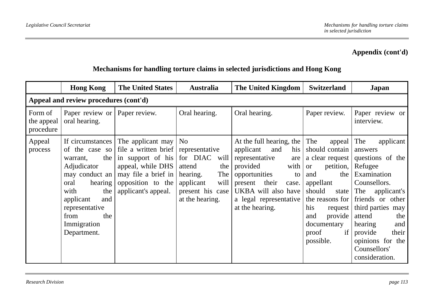|                                    | <b>Hong Kong</b>                                                                                                                                                        | <b>The United States</b>                                                                                                                                                                                                 | <b>Australia</b>                                                                                                 | The United Kingdom                                                                                                                                                                                                       | <b>Switzerland</b>                                                                                                                                                                                                           | Japan                                                                                                                                                                                                                                                                 |
|------------------------------------|-------------------------------------------------------------------------------------------------------------------------------------------------------------------------|--------------------------------------------------------------------------------------------------------------------------------------------------------------------------------------------------------------------------|------------------------------------------------------------------------------------------------------------------|--------------------------------------------------------------------------------------------------------------------------------------------------------------------------------------------------------------------------|------------------------------------------------------------------------------------------------------------------------------------------------------------------------------------------------------------------------------|-----------------------------------------------------------------------------------------------------------------------------------------------------------------------------------------------------------------------------------------------------------------------|
|                                    | Appeal and review procedures (cont'd)                                                                                                                                   |                                                                                                                                                                                                                          |                                                                                                                  |                                                                                                                                                                                                                          |                                                                                                                                                                                                                              |                                                                                                                                                                                                                                                                       |
| Form of<br>the appeal<br>procedure | Paper review or   Paper review.<br>oral hearing.                                                                                                                        |                                                                                                                                                                                                                          | Oral hearing.                                                                                                    | Oral hearing.                                                                                                                                                                                                            | Paper review.                                                                                                                                                                                                                | Paper review or<br>interview.                                                                                                                                                                                                                                         |
| Appeal<br>process                  | the<br>warrant,<br>Adjudicator<br>may conduct an<br>hearing  <br>oral<br>the<br>with<br>applicant<br>and<br>representative<br>from<br>the<br>Immigration<br>Department. | If circumstances $\vert$ The applicant may $\vert$ No<br>of the case so file a written brief representative<br>in support of his<br>appeal, while DHS<br>may file a brief in<br>opposition to the<br>applicant's appeal. | for DIAC<br>will<br>the<br>attend<br>The<br>hearing.<br>applicant<br>will<br>present his case<br>at the hearing. | At the full hearing, the<br>his<br>applicant<br>and<br>representative<br>are<br>provided<br>with<br>opportunities<br>to<br>their<br>present<br>case.<br>UKBA will also have<br>a legal representative<br>at the hearing. | The<br>appeal<br>should contain<br>a clear request<br>petition,<br><b>or</b><br>the<br>and<br>appellant<br>should<br>state<br>the reasons for<br>his<br>request<br>provide<br>and<br>documentary<br>if<br>proof<br>possible. | The<br>applicant<br>answers<br>questions of the<br>Refugee<br>Examination<br>Counsellors.<br>The<br>applicant's<br>friends or other<br>third parties may<br>attend<br>the<br>and<br>hearing<br>provide<br>their<br>opinions for the<br>Counsellors'<br>consideration. |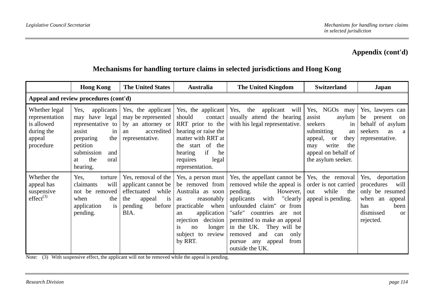### **Mechanisms for handling torture claims in selected jurisdictions and Hong Kong**

|                                                                                    | <b>Hong Kong</b>                                                                                                                                                   | <b>The United States</b>                                                                                                       | <b>Australia</b>                                                                                                                                                                                                        | <b>The United Kingdom</b>                                                                                                                                                                                                                                                                                                         | <b>Switzerland</b>                                                                                                                                                         | Japan                                                                                                                         |
|------------------------------------------------------------------------------------|--------------------------------------------------------------------------------------------------------------------------------------------------------------------|--------------------------------------------------------------------------------------------------------------------------------|-------------------------------------------------------------------------------------------------------------------------------------------------------------------------------------------------------------------------|-----------------------------------------------------------------------------------------------------------------------------------------------------------------------------------------------------------------------------------------------------------------------------------------------------------------------------------|----------------------------------------------------------------------------------------------------------------------------------------------------------------------------|-------------------------------------------------------------------------------------------------------------------------------|
|                                                                                    | Appeal and review procedures (cont'd)                                                                                                                              |                                                                                                                                |                                                                                                                                                                                                                         |                                                                                                                                                                                                                                                                                                                                   |                                                                                                                                                                            |                                                                                                                               |
| Whether legal<br>representation<br>is allowed<br>during the<br>appeal<br>procedure | applicants<br>Yes.<br>have legal<br>may<br>representative to<br>assist<br>in<br>the<br>preparing<br>petition<br>submission<br>and<br>the<br>oral<br>at<br>hearing. | Yes, the applicant<br>may be represented<br>by an attorney or<br>accredited<br>an<br>representative.                           | Yes, the applicant<br>should<br>contact<br>RRT prior to the<br>hearing or raise the<br>matter with RRT at<br>the start of<br>the<br>if<br>he<br>hearing<br>requires<br>legal<br>representation.                         | Yes, the applicant will<br>usually attend the hearing<br>with his legal representative.                                                                                                                                                                                                                                           | Yes, NGOs may<br>assist<br>asylum<br>seekers<br>in<br>submitting<br>an<br>they<br>appeal,<br><b>or</b><br>write<br>the<br>may<br>appeal on behalf of<br>the asylum seeker. | Yes, lawyers can<br>be<br>present<br><sub>on</sub><br>behalf of asylum<br>seekers<br>as<br><sub>a</sub><br>representative.    |
| Whether the<br>appeal has<br>suspensive<br>$effect^{(3)}$                          | Yes,<br>torture<br>will<br>claimants<br>not be removed<br>when<br>the<br>application<br>is<br>pending.                                                             | Yes, removal of the $\vert$<br>applicant cannot be<br>while<br>effectuated<br>the<br>appeal<br>1S<br>pending<br>before<br>BIA. | Yes, a person must<br>be removed from<br>Australia as soon<br>reasonably<br><b>as</b><br>practicable when<br>application<br>an<br>decision<br>rejection<br>longer<br><i>is</i><br>no<br>subject to<br>review<br>by RRT. | Yes, the appellant cannot be<br>removed while the appeal is<br>pending.<br>However,<br>"clearly<br>applicants<br>with<br>unfounded claim" or from<br>"safe"<br>countries<br>are not<br>permitted to make an appeal<br>in the UK. They will be<br>removed<br>only<br>and<br>can<br>any appeal<br>from<br>pursue<br>outside the UK. | Yes, the removal<br>order is not carried<br>while<br>the<br>out<br>appeal is pending.                                                                                      | Yes, deportation<br>will<br>procedures<br>only be resumed<br>when an<br>appeal<br>has<br>been<br>dismissed<br>or<br>rejected. |

Note: (3) With suspensive effect, the applicant will not be removed while the appeal is pending.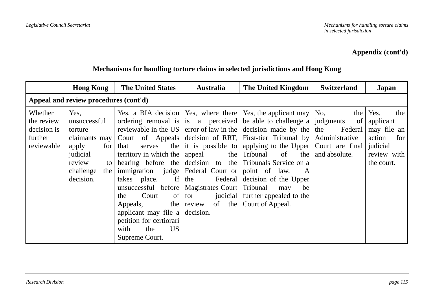|                                                               | <b>Hong Kong</b>                                                                                                                         | <b>The United States</b>                                                                                                                                                                                                                                                                                     | <b>Australia</b>                                                                                              | The United Kingdom                                                                                                                                                                                                                                                                                                                                                                                                                                                                                            | <b>Switzerland</b>                                                            | <b>Japan</b>                                                                                      |  |
|---------------------------------------------------------------|------------------------------------------------------------------------------------------------------------------------------------------|--------------------------------------------------------------------------------------------------------------------------------------------------------------------------------------------------------------------------------------------------------------------------------------------------------------|---------------------------------------------------------------------------------------------------------------|---------------------------------------------------------------------------------------------------------------------------------------------------------------------------------------------------------------------------------------------------------------------------------------------------------------------------------------------------------------------------------------------------------------------------------------------------------------------------------------------------------------|-------------------------------------------------------------------------------|---------------------------------------------------------------------------------------------------|--|
| Appeal and review procedures (cont'd)                         |                                                                                                                                          |                                                                                                                                                                                                                                                                                                              |                                                                                                               |                                                                                                                                                                                                                                                                                                                                                                                                                                                                                                               |                                                                               |                                                                                                   |  |
| Whether<br>the review<br>decision is<br>further<br>reviewable | Yes,<br>unsuccessful<br>torture<br>claimants may<br>apply<br>for<br>judicial<br>review<br>$\mathsf{to}$<br>challenge<br>the<br>decision. | the<br>that<br>serves<br>territory in which the<br>hearing before the<br>immigration judge   Federal Court or<br>If<br>takes place.<br>unsuccessful before<br>of<br>the<br>Court<br>the  <br>Appeals,<br>applicant may file a<br>petition for certiorari<br>with<br>US <sub>1</sub><br>the<br>Supreme Court. | the<br>appeal<br>the<br>Magistrates Court   Tribunal<br>judicial  <br>for<br>the<br>review<br>of<br>decision. | Yes, a BIA decision   Yes, where there   Yes, the applicant may   No,<br>ordering removal is is a perceived be able to challenge a<br>reviewable in the US error of law in the decision made by the<br>Court of Appeals decision of RRT, First-tier Tribunal by<br>it is possible to applying to the Upper Court are final<br>Tribunal of<br>the<br>decision to the Tribunals Service on a<br>point of law.<br>A<br>Federal decision of the Upper<br>be<br>may<br>further appealed to the<br>Court of Appeal. | the  <br>judgments<br>of<br>the<br>Federal<br>Administrative<br>and absolute. | Yes,<br>the<br>applicant<br>may file an<br>action<br>for<br>judicial<br>review with<br>the court. |  |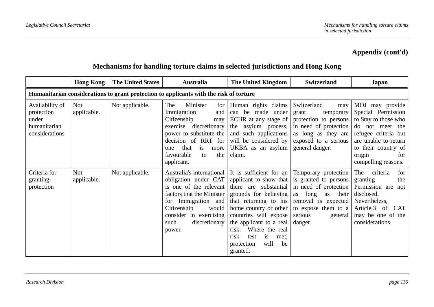|                                                                                        | <b>Hong Kong</b>          | <b>The United States</b> | Australia                                                                                                                                                                                                            | The United Kingdom                                                                                                                                                                                                                                                                                                                                                         | <b>Switzerland</b>                                                                                                                                           | Japan                                                                                                                                                                                           |  |  |  |  |
|----------------------------------------------------------------------------------------|---------------------------|--------------------------|----------------------------------------------------------------------------------------------------------------------------------------------------------------------------------------------------------------------|----------------------------------------------------------------------------------------------------------------------------------------------------------------------------------------------------------------------------------------------------------------------------------------------------------------------------------------------------------------------------|--------------------------------------------------------------------------------------------------------------------------------------------------------------|-------------------------------------------------------------------------------------------------------------------------------------------------------------------------------------------------|--|--|--|--|
| Humanitarian considerations to grant protection to applicants with the risk of torture |                           |                          |                                                                                                                                                                                                                      |                                                                                                                                                                                                                                                                                                                                                                            |                                                                                                                                                              |                                                                                                                                                                                                 |  |  |  |  |
| Availability of<br>protection<br>under<br>humanitarian<br>considerations               | <b>Not</b><br>applicable. | Not applicable.          | Minister<br>The<br>for<br>Immigration<br>and<br>Citizenship<br>may<br>exercise discretionary<br>power to substitute the<br>decision of RRT for<br>that<br>is<br>more<br>one<br>favourable<br>the<br>to<br>applicant. | Human rights claims<br>can be made under<br>ECHR at any stage of  <br>the asylum process,<br>and such applications<br>will be considered by<br>UKBA as an asylum<br>claim.                                                                                                                                                                                                 | Switzerland<br>may<br>grant<br>temporary<br>protection to persons<br>in need of protection<br>as long as they are<br>exposed to a serious<br>general danger. | MOJ may provide<br>Special Permission<br>to Stay to those who<br>do not meet the<br>refugee criteria but<br>are unable to return<br>to their country of<br>for<br>origin<br>compelling reasons. |  |  |  |  |
| Criteria for<br>granting<br>protection                                                 | <b>Not</b><br>applicable. | Not applicable.          | Australia's international<br>obligation under CAT<br>is one of the relevant<br>factors that the Minister<br>for Immigration and<br>Citizenship<br>would<br>consider in exercising<br>discretionary<br>such<br>power. | It is sufficient for an<br>applicant to show that is granted to persons<br>there are substantial in need of protection<br>grounds for believing<br>that returning to his removal is expected<br>home country or other<br>countries will expose<br>the applicant to a real<br>Where the real<br>risk.<br>risk<br>is<br>test<br>met.<br>will<br>protection<br>be<br>granted. | Temporary protection<br>as long<br>as their<br>to expose them to a<br>serious<br>general<br>danger.                                                          | The<br>criteria<br>for<br>the<br>granting<br>Permission are<br>not<br>disclosed.<br>Nevertheless,<br>Article 3<br><b>CAT</b><br>of<br>may be one of the<br>considerations.                      |  |  |  |  |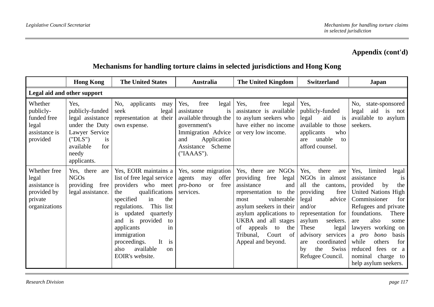|                                                                                   | <b>Hong Kong</b>                                                                                                                                    | <b>The United States</b>                                                                                                                                                                                                                                                                                                      | <b>Australia</b>                                                                                                                                                         | The United Kingdom                                                                                                                                                                                                                                                                | <b>Switzerland</b>                                                                                                                                                                                                                                                    | Japan                                                                                                                                                                                                                                                                                                                                         |  |  |  |
|-----------------------------------------------------------------------------------|-----------------------------------------------------------------------------------------------------------------------------------------------------|-------------------------------------------------------------------------------------------------------------------------------------------------------------------------------------------------------------------------------------------------------------------------------------------------------------------------------|--------------------------------------------------------------------------------------------------------------------------------------------------------------------------|-----------------------------------------------------------------------------------------------------------------------------------------------------------------------------------------------------------------------------------------------------------------------------------|-----------------------------------------------------------------------------------------------------------------------------------------------------------------------------------------------------------------------------------------------------------------------|-----------------------------------------------------------------------------------------------------------------------------------------------------------------------------------------------------------------------------------------------------------------------------------------------------------------------------------------------|--|--|--|
| Legal aid and other support                                                       |                                                                                                                                                     |                                                                                                                                                                                                                                                                                                                               |                                                                                                                                                                          |                                                                                                                                                                                                                                                                                   |                                                                                                                                                                                                                                                                       |                                                                                                                                                                                                                                                                                                                                               |  |  |  |
| Whether<br>publicly-<br>funded free<br>legal<br>assistance is<br>provided         | Yes.<br>publicly-funded<br>legal assistance<br>under the Duty<br>Lawyer Service<br>("DLS")<br><i>is</i><br>available<br>for<br>needy<br>applicants. | No,<br>applicants<br>may<br>seek<br>legal<br>representation at their<br>own expense.                                                                                                                                                                                                                                          | Yes,<br>free<br>legal<br>assistance<br><i>is</i><br>available through the<br>government's<br>Immigration Advice<br>Application<br>and<br>Assistance Scheme<br>("IAAAS"). | Yes,<br>free<br>legal<br>assistance is available<br>to asylum seekers who<br>have either no income<br>or very low income.                                                                                                                                                         | Yes,<br>publicly-funded<br>legal<br>aid<br>is<br>available to those<br>applicants<br>who<br>unable<br>are<br>to<br>afford counsel.                                                                                                                                    | No.<br>state-sponsored<br>aid is<br>legal<br>not<br>available to asylum<br>seekers.                                                                                                                                                                                                                                                           |  |  |  |
| Whether free<br>legal<br>assistance is<br>provided by<br>private<br>organizations | Yes, there<br>are<br><b>NGOs</b><br>providing<br>free<br>legal assistance.                                                                          | Yes, EOIR maintains a<br>list of free legal service<br>providers who meet<br>qualifications<br>the<br>specified<br>the<br>in<br>This list<br>regulations.<br>is updated<br>quarterly<br>and is provided<br>to<br>applicants<br>in<br>immigration<br>proceedings.<br>It is<br>available<br>also<br>$\alpha$<br>EOIR's website. | Yes, some migration<br>offer<br>agents<br>may<br>free<br>pro-bono<br><b>or</b><br>services.                                                                              | Yes, there are NGOs<br>providing<br>free<br>legal<br>assistance<br>and<br>representation to the<br>vulnerable<br>most<br>asylum seekers in their<br>asylum applications to<br>UKBA and all stages<br>appeals<br>the<br>of<br>to<br>Tribunal,<br>Court<br>of<br>Appeal and beyond. | Yes,<br>there<br>are<br>NGOs in almost<br>all<br>the<br>cantons,<br>providing<br>free<br>advice<br>legal<br>and/or<br>representation for<br>asylum<br>seekers.<br>These<br>legal<br>advisory services<br>coordinated<br>are<br>Swiss<br>the<br>by<br>Refugee Council. | Yes, limited<br>legal<br>assistance<br>is<br>provided<br>by<br>the<br>United Nations High<br>Commissioner<br>for<br>Refugees and private<br>foundations.<br>There<br>also<br>are<br>some<br>lawyers working on<br>bono<br>basis<br>a pro<br>while<br>others<br>for<br>fees<br>reduced<br>or a<br>nominal<br>charge to<br>help asylum seekers. |  |  |  |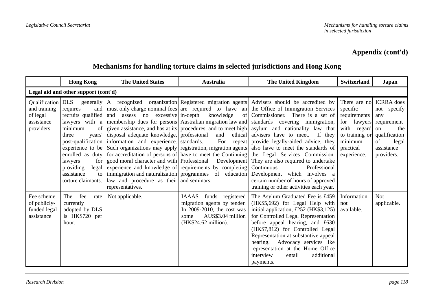|                                                          | <b>Hong Kong</b>                                                                                                                                                                                                                     | <b>The United States</b>                                                                                                                                                                                                                                                                                                                                                                                                                                                                                                                                                                                                                                                                           | <b>Australia</b>                                                                                                                                      | The United Kingdom                                                                                                                                                                                                                                                                                                                                                                                                                                                                                                                                                                                          | <b>Switzerland</b>                                                                                                                 | Japan                                                                                                                           |  |  |  |
|----------------------------------------------------------|--------------------------------------------------------------------------------------------------------------------------------------------------------------------------------------------------------------------------------------|----------------------------------------------------------------------------------------------------------------------------------------------------------------------------------------------------------------------------------------------------------------------------------------------------------------------------------------------------------------------------------------------------------------------------------------------------------------------------------------------------------------------------------------------------------------------------------------------------------------------------------------------------------------------------------------------------|-------------------------------------------------------------------------------------------------------------------------------------------------------|-------------------------------------------------------------------------------------------------------------------------------------------------------------------------------------------------------------------------------------------------------------------------------------------------------------------------------------------------------------------------------------------------------------------------------------------------------------------------------------------------------------------------------------------------------------------------------------------------------------|------------------------------------------------------------------------------------------------------------------------------------|---------------------------------------------------------------------------------------------------------------------------------|--|--|--|
| Legal aid and other support (cont'd)                     |                                                                                                                                                                                                                                      |                                                                                                                                                                                                                                                                                                                                                                                                                                                                                                                                                                                                                                                                                                    |                                                                                                                                                       |                                                                                                                                                                                                                                                                                                                                                                                                                                                                                                                                                                                                             |                                                                                                                                    |                                                                                                                                 |  |  |  |
| and training<br>of legal<br>assistance<br>providers      | and<br>requires<br>recruits qualified<br>lawyers with a<br>of<br>minimum<br>three<br>years'<br>post-qualification  <br>experience to be<br>enrolled as duty<br>lawyers<br>for<br>providing<br>assistance<br>to<br>torture claimants. | must only charge nominal fees are required to have an<br>assess no excessive in-depth<br>and<br>membership dues for persons Australian migration law and<br>given assistance, and has at its procedures, and to meet high<br>disposal adequate knowledge, professional<br>information and experience. standards.<br>Such organizations may apply registration, migration agents<br>for accreditation of persons of have to meet the Continuing<br>good moral character and with Professional Development<br>legal experience and knowledge of requirements by completing<br>immigration and naturalization programmes of education<br>law and procedure as their and seminars.<br>representatives. | knowledge<br>of<br>and<br>ethical<br>For repeat                                                                                                       | Qualification DLS generally A recognized organization Registered migration agents Advisers should be accredited by<br>the Office of Immigration Services<br>Commissioner. There is a set of<br>standards covering immigration,<br>asylum and nationality law that<br>advisers have to meet.<br>If they<br>provide legally-aided advice, they<br>also have to meet the standards of<br>the Legal Services Commission.<br>They are also required to undertake<br>Continuous<br>Professional<br>Development which involves a<br>certain number of hours of approved<br>training or other activities each year. | There are no<br>specific<br>requirements<br>for<br>lawyers<br>with regard<br>to training or<br>minimum<br>practical<br>experience. | <b>ICRRA</b> does<br>not specify<br>any<br>requirement<br>the<br>on<br>qualification<br>of<br>legal<br>assistance<br>providers. |  |  |  |
| Fee scheme<br>of publicly-<br>funded legal<br>assistance | fee<br>The<br>rate<br>currently<br>adopted by DLS<br>is HK\$720 per<br>hour.                                                                                                                                                         | Not applicable.                                                                                                                                                                                                                                                                                                                                                                                                                                                                                                                                                                                                                                                                                    | <b>IAAAS</b><br>funds registered<br>migration agents by tender.<br>In $2009-2010$ , the cost was<br>AUS\$3.04 million<br>some<br>(HK\$24.62 million). | The Asylum Graduated Fee is £459<br>(HK\$5,692) for Legal Help with<br>initial application, £252 ( $HK$3,125$ )<br>for Controlled Legal Representation<br>before appeal hearing, and £630<br>(HK\$7,812) for Controlled Legal<br>Representation at substantive appeal<br>hearing. Advocacy services like<br>representation at the Home Office<br>interview<br>additional<br>entail<br>payments.                                                                                                                                                                                                             | Information<br>not<br>available.                                                                                                   | Not<br>applicable.                                                                                                              |  |  |  |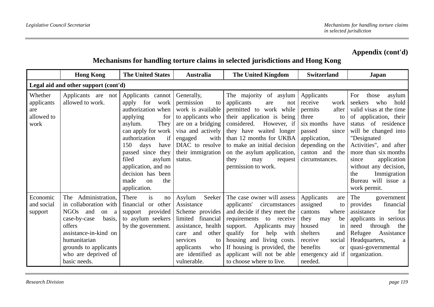|                                                    | <b>Hong Kong</b>                                                                                                                                                                                                    | <b>The United States</b>                                                                                                                                                                                                                                                                                      | <b>Australia</b>                                                                                                                                                                                | The United Kingdom                                                                                                                                                                                                                                                                                            | <b>Switzerland</b>                                                                                                                                                                               | Japan                                                                                                                                                                                                                                                                                                                              |  |  |  |
|----------------------------------------------------|---------------------------------------------------------------------------------------------------------------------------------------------------------------------------------------------------------------------|---------------------------------------------------------------------------------------------------------------------------------------------------------------------------------------------------------------------------------------------------------------------------------------------------------------|-------------------------------------------------------------------------------------------------------------------------------------------------------------------------------------------------|---------------------------------------------------------------------------------------------------------------------------------------------------------------------------------------------------------------------------------------------------------------------------------------------------------------|--------------------------------------------------------------------------------------------------------------------------------------------------------------------------------------------------|------------------------------------------------------------------------------------------------------------------------------------------------------------------------------------------------------------------------------------------------------------------------------------------------------------------------------------|--|--|--|
| Legal aid and other support (cont'd)               |                                                                                                                                                                                                                     |                                                                                                                                                                                                                                                                                                               |                                                                                                                                                                                                 |                                                                                                                                                                                                                                                                                                               |                                                                                                                                                                                                  |                                                                                                                                                                                                                                                                                                                                    |  |  |  |
| Whether<br>applicants<br>are<br>allowed to<br>work | Applicants are not<br>allowed to work.                                                                                                                                                                              | Applicants cannot<br>for<br>apply<br>work<br>authorization when<br>applying<br>for<br>asylum.<br>They  <br>can apply for work<br>authorization<br>if<br>150<br>days<br>have<br>passed since they<br>filed<br>asylum<br>application, and no<br>decision has been<br>made<br>the<br>$_{\rm on}$<br>application. | Generally,<br>permission<br>to<br>work is available<br>to applicants who<br>are on a bridging<br>visa and actively<br>engaged<br>with<br>DIAC to resolve<br>their immigration<br>status.        | The majority of asylum<br>applicants<br>are<br>not<br>permitted to work while<br>their application is being<br>considered.<br>However, if<br>they have waited longer<br>than 12 months for UKBA<br>to make an initial decision<br>on the asylum application,<br>they<br>may<br>request<br>permission to work. | Applicants<br>receive<br>work<br>permits<br>after<br>three<br>to<br>six months<br>have<br>passed<br>since<br>application,<br>depending on the<br>canton and the<br>circumstances.                | For<br>those<br>asylum<br>seekers<br>who<br>hold<br>valid visas at the time<br>of application, their<br>status of residence<br>will be changed into<br>"Designated<br>Activities", and after<br>more than six months<br>application<br>since<br>without any decision,<br>Immigration<br>the<br>Bureau will issue a<br>work permit. |  |  |  |
| Economic<br>and social<br>support                  | The Administration,<br>in collaboration with<br>NGOs<br>and<br>on<br>a<br>case-by-case<br>basis,<br>offers<br>assistance-in-kind on<br>humanitarian<br>grounds to applicants<br>who are deprived of<br>basic needs. | There<br>is<br>no<br>or other<br>financial<br>provided<br>support<br>to asylum seekers<br>by the government.                                                                                                                                                                                                  | Asylum<br>Seeker<br>Assistance<br>Scheme provides<br>limited financial<br>assistance, health<br>and<br>other<br>care<br>services<br>to<br>applicants<br>who<br>are identified as<br>vulnerable. | The case owner will assess<br>applicants'<br>circumstances<br>and decide if they meet the<br>requirements to receive<br>Applicants may<br>support.<br>qualify<br>for help<br>with<br>housing and living costs.<br>If housing is provided, the<br>applicant will not be able<br>to choose where to live.       | Applicants<br>are<br>assigned<br>to<br>cantons<br>where<br>they<br>be<br>may<br>housed<br>1n<br>shelters<br>and<br>receive<br>social<br>benefits<br><sub>or</sub><br>emergency aid if<br>needed. | The<br>government<br>financial<br>provides<br>assistance<br>for<br>applicants in serious<br>through<br>need<br>the<br>Refugee<br>Assistance<br>Headquarters,<br>a<br>quasi-governmental<br>organization.                                                                                                                           |  |  |  |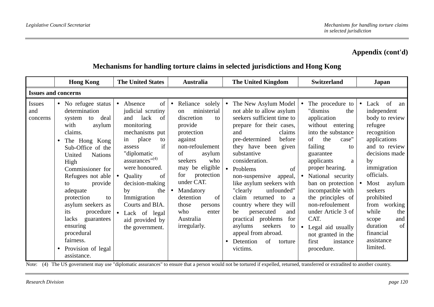### **Mechanisms for handling torture claims in selected jurisdictions and Hong Kong**

| <b>Hong Kong</b>                                                                                                                                                                                                       |                                                                                                                                                                                                           | <b>The United States</b>                                                                                                                                                                                                                                                                                                            | Australia                                                                                                                                                                                                                                                                                                | <b>The United Kingdom</b>                                                                                                                                                                                                                                                                                                                                                                                                                                                                                                                                 | <b>Switzerland</b>                                                                                                                                                                                                                                                                                                                                                                                            | <b>Japan</b>                                                                                                                                                                                                                                                                                                                              |
|------------------------------------------------------------------------------------------------------------------------------------------------------------------------------------------------------------------------|-----------------------------------------------------------------------------------------------------------------------------------------------------------------------------------------------------------|-------------------------------------------------------------------------------------------------------------------------------------------------------------------------------------------------------------------------------------------------------------------------------------------------------------------------------------|----------------------------------------------------------------------------------------------------------------------------------------------------------------------------------------------------------------------------------------------------------------------------------------------------------|-----------------------------------------------------------------------------------------------------------------------------------------------------------------------------------------------------------------------------------------------------------------------------------------------------------------------------------------------------------------------------------------------------------------------------------------------------------------------------------------------------------------------------------------------------------|---------------------------------------------------------------------------------------------------------------------------------------------------------------------------------------------------------------------------------------------------------------------------------------------------------------------------------------------------------------------------------------------------------------|-------------------------------------------------------------------------------------------------------------------------------------------------------------------------------------------------------------------------------------------------------------------------------------------------------------------------------------------|
| <b>Issues and concerns</b>                                                                                                                                                                                             |                                                                                                                                                                                                           |                                                                                                                                                                                                                                                                                                                                     |                                                                                                                                                                                                                                                                                                          |                                                                                                                                                                                                                                                                                                                                                                                                                                                                                                                                                           |                                                                                                                                                                                                                                                                                                                                                                                                               |                                                                                                                                                                                                                                                                                                                                           |
| • No refugee status<br>Issues<br>determination<br>and<br>system<br>concerns<br>with<br>claims.<br>United<br>High<br>to<br>adequate<br>protection<br>its<br>lacks<br>ensuring<br>procedural<br>fairness.<br>assistance. | to deal<br>asylum<br>The Hong Kong<br>Sub-Office of the<br><b>Nations</b><br>Commissioner for<br>Refugees not able<br>provide<br>to<br>asylum seekers as<br>procedure<br>guarantees<br>Provision of legal | • Absence<br>of<br>judicial scrutiny<br>and<br>lack<br>of<br>monitoring<br>mechanisms put<br>place<br>in<br>to<br>if<br>assess<br>"diplomatic<br>$assurances''^{(4)}$<br>were honoured.<br>Quality<br>of<br>decision-making<br>the<br>by<br>Immigration<br>Courts and BIA.<br>• Lack of legal<br>aid provided by<br>the government. | Reliance solely<br>ministerial<br>on<br>discretion<br>to<br>provide<br>protection<br>against<br>non-refoulement<br>of<br>asylum<br>seekers<br>who<br>may be eligible<br>protection<br>for<br>under CAT.<br>Mandatory<br>detention<br>of<br>those<br>persons<br>who<br>enter<br>Australia<br>irregularly. | The New Asylum Model<br>$\bullet$<br>not able to allow asylum<br>seekers sufficient time to<br>prepare for their cases,<br>claims<br>and<br>before<br>pre-determined<br>they have been given<br>substantive<br>consideration.<br>Problems<br>of<br>$\bullet$<br>non-suspensive<br>appeal,<br>like asylum seekers with<br>unfounded"<br>"clearly<br>claim returned to<br>a<br>country where they will<br>persecuted<br>be<br>and<br>practical problems<br>for<br>seekers<br>asylums<br>to<br>appeal from abroad.<br>Detention<br>of<br>torture<br>victims. | • The procedure to<br>"dismiss<br>the<br>application<br>without entering<br>into the substance<br>the<br>of<br>case"<br>failing<br>to<br>guarantee<br>applicants<br>a<br>proper hearing.<br>• National security<br>ban on protection<br>incompatible with<br>the principles of<br>non-refoulement<br>under Article 3 of<br>CAT.<br>Legal aid usually<br>not granted in the<br>instance<br>first<br>procedure. | Lack of<br>$\bullet$<br>an<br>independent<br>body to review<br>refugee<br>recognition<br>applications<br>and to review<br>decisions made<br>by<br>immigration<br>officials.<br>Most asylum<br>$\bullet$<br>seekers<br>prohibited<br>from working<br>while<br>the<br>and<br>scope<br>of<br>duration<br>financial<br>assistance<br>limited. |

Note: (4) The US government may use "diplomatic assurances" to ensure that a person would not be tortured if expelled, returned, transferred or extradited to another country.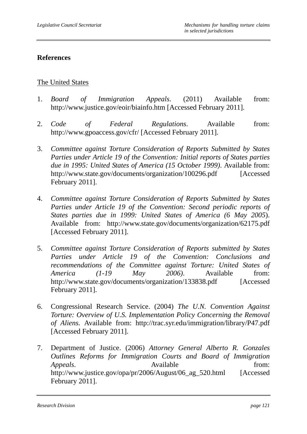#### **References**

#### The United States

- 1. *Board of Immigration Appeals*. (2011) Available from: http://www.justice.gov/eoir/biainfo.htm [Accessed February 2011].
- 2. *Code of Federal Regulations*. Available from: http://www.gpoaccess.gov/cfr/ [Accessed February 2011].
- 3. *Committee against Torture Consideration of Reports Submitted by States Parties under Article 19 of the Convention: Initial reports of States parties due in 1995: United States of America (15 October 1999)*. Available from: http://www.state.gov/documents/organization/100296.pdf [Accessed] February 2011].
- 4. *Committee against Torture Consideration of Reports Submitted by States Parties under Article 19 of the Convention: Second periodic reports of States parties due in 1999: United States of America (6 May 2005*). Available from: http://www.state.gov/documents/organization/62175.pdf [Accessed February 2011].
- 5. *Committee against Torture Consideration of Reports submitted by States Parties under Article 19 of the Convention: Conclusions and recommendations of the Committee against Torture: United States of America (1-19 May 2006)*. Available from: http://www.state.gov/documents/organization/133838.pdf [Accessed] February 2011].
- 6. Congressional Research Service. (2004) *The U.N. Convention Against Torture: Overview of U.S. Implementation Policy Concerning the Removal of Aliens*. Available from: http://trac.syr.edu/immigration/library/P47.pdf [Accessed February 2011].
- 7. Department of Justice. (2006) *Attorney General Alberto R. Gonzales Outlines Reforms for Immigration Courts and Board of Immigration Appeals*. **Available** *Available from:* http://www.justice.gov/opa/pr/2006/August/06\_ag\_520.html [Accessed February 2011].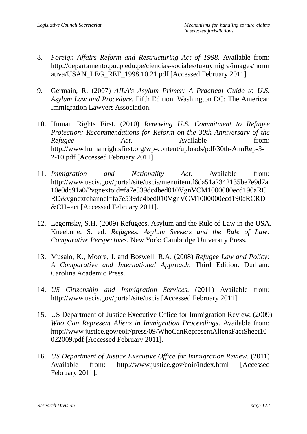- 8. *Foreign Affairs Reform and Restructuring Act of 1998*. Available from: http://departamento.pucp.edu.pe/ciencias-sociales/tukuymigra/images/norm ativa/USAN\_LEG\_REF\_1998.10.21.pdf [Accessed February 2011].
- 9. Germain, R. (2007) *AILA's Asylum Primer: A Practical Guide to U.S. Asylum Law and Procedure*. Fifth Edition. Washington DC: The American Immigration Lawyers Association.
- 10. Human Rights First. (2010) *Renewing U.S. Commitment to Refugee Protection: Recommendations for Reform on the 30th Anniversary of the Refugee Act*. Available from: http://www.humanrightsfirst.org/wp-content/uploads/pdf/30th-AnnRep-3-1 2-10.pdf [Accessed February 2011].
- 11. *Immigration and Nationality Act*. Available from: http://www.uscis.gov/portal/site/uscis/menuitem.f6da51a2342135be7e9d7a 10e0dc91a0/?vgnextoid=fa7e539dc4bed010VgnVCM1000000ecd190aRC RD&vgnextchannel=fa7e539dc4bed010VgnVCM1000000ecd190aRCRD &CH=act [Accessed February 2011].
- 12. Legomsky, S.H. (2009) Refugees, Asylum and the Rule of Law in the USA. Kneebone, S. ed. *Refugees, Asylum Seekers and the Rule of Law: Comparative Perspectives*. New York: Cambridge University Press.
- 13. Musalo, K., Moore, J. and Boswell, R.A. (2008) *Refugee Law and Policy: A Comparative and International Approach*. Third Edition. Durham: Carolina Academic Press.
- 14. *US Citizenship and Immigration Services*. (2011) Available from: http://www.uscis.gov/portal/site/uscis [Accessed February 2011].
- 15. US Department of Justice Executive Office for Immigration Review. (2009) *Who Can Represent Aliens in Immigration Proceedings*. Available from: http://www.justice.gov/eoir/press/09/WhoCanRepresentAliensFactSheet10 022009.pdf [Accessed February 2011].
- 16. *US Department of Justice Executive Office for Immigration Review*. (2011) Available from: http://www.justice.gov/eoir/index.html [Accessed February 2011].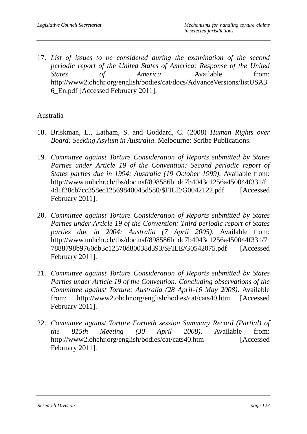17. *List of issues to be considered during the examination of the second periodic report of the United States of America: Response of the United States of America*. Available from: http://www2.ohchr.org/english/bodies/cat/docs/AdvanceVersions/listUSA3 6\_En.pdf [Accessed February 2011].

#### Australia

- 18. Briskman, L., Latham, S. and Goddard, C. (2008) *Human Rights over Board: Seeking Asylum in Australia*. Melbourne: Scribe Publications.
- 19. *Committee against Torture Consideration of Reports submitted by States Parties under Article 19 of the Convention: Second periodic report of States parties due in 1994: Australia (19 October 1999)*. Available from: http://www.unhchr.ch/tbs/doc.nsf/898586b1dc7b4043c1256a450044f331/f 4d1f28cb7cc358ec12569840045d580/\$FILE/G0042122.pdf [Accessed February 2011].
- 20. *Committee against Torture Consideration of Reports submitted by States Parties under Article 19 of the Convention: Third periodic report of States parties due in 2004: Australia (7 April 2005)*. Available from: http://www.unhchr.ch/tbs/doc.nsf/898586b1dc7b4043c1256a450044f331/7 7888798b9760db3c12570d80038d393/\$FILE/G0542075.pdf [Accessed February 2011].
- 21. *Committee against Torture Consideration of Reports submitted by States Parties under Article 19 of the Convention: Concluding observations of the Committee against Torture: Australia (28 April-16 May 2008)*. Available from: http://www2.ohchr.org/english/bodies/cat/cats40.htm [Accessed February 2011].
- 22. *Committee against Torture Fortieth session Summary Record (Partial) of the 815th Meeting (30 April 2008)*. Available from: http://www2.ohchr.org/english/bodies/cat/cats40.htm [Accessed February 2011].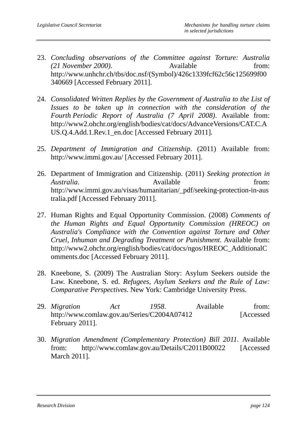- 23. *Concluding observations of the Committee against Torture: Australia (21 November 2000)*. Available from: http://www.unhchr.ch/tbs/doc.nsf/(Symbol)/426c1339fcf62c56c125699f00 340669 [Accessed February 2011].
- 24. *Consolidated Written Replies by the Government of Australia to the List of Issues to be taken up in connection with the consideration of the Fourth Periodic Report of Australia (7 April 2008)*. Available from: http://www2.ohchr.org/english/bodies/cat/docs/AdvanceVersions/CAT.C.A US.Q.4.Add.1.Rev.1\_en.doc [Accessed February 2011].
- 25. *Department of Immigration and Citizenship*. (2011) Available from: http://www.immi.gov.au/ [Accessed February 2011].
- 26. Department of Immigration and Citizenship. (2011) *Seeking protection in Australia*. **Available** *Available from:* http://www.immi.gov.au/visas/humanitarian/\_pdf/seeking-protection-in-aus tralia.pdf [Accessed February 2011].
- 27. Human Rights and Equal Opportunity Commission. (2008) *Comments of the Human Rights and Equal Opportunity Commission (HREOC) on Australia's Compliance with the Convention against Torture and Other Cruel, Inhuman and Degrading Treatment or Punishment*. Available from: http://www2.ohchr.org/english/bodies/cat/docs/ngos/HREOC\_AdditionalC omments.doc [Accessed February 2011].
- 28. Kneebone, S. (2009) The Australian Story: Asylum Seekers outside the Law. Kneebone, S. ed. *Refugees, Asylum Seekers and the Rule of Law: Comparative Perspectives*. New York: Cambridge University Press.
- 29. *Migration Act 1958*. Available from: http://www.comlaw.gov.au/Series/C2004A07412 [Accessed February 2011].
- 30. *Migration Amendment (Complementary Protection) Bill 2011*. Available from: http://www.comlaw.gov.au/Details/C2011B00022 [Accessed March 2011].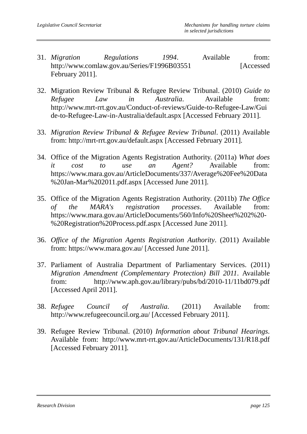- 31. *Migration Regulations 1994*. Available from: http://www.comlaw.gov.au/Series/F1996B03551 [Accessed] February 2011].
- 32. Migration Review Tribunal & Refugee Review Tribunal. (2010) *Guide to Refugee Law in Australia*. Available from: http://www.mrt-rrt.gov.au/Conduct-of-reviews/Guide-to-Refugee-Law/Gui de-to-Refugee-Law-in-Australia/default.aspx [Accessed February 2011].
- 33. *Migration Review Tribunal & Refugee Review Tribunal*. (2011) Available from: http://mrt-rrt.gov.au/default.aspx [Accessed February 2011].
- 34. Office of the Migration Agents Registration Authority. (2011a) *What does it cost to use an Agent?* Available from: https://www.mara.gov.au/ArticleDocuments/337/Average%20Fee%20Data %20Jan-Mar%202011.pdf.aspx [Accessed June 2011].
- 35. Office of the Migration Agents Registration Authority. (2011b) *The Office of the MARA's registration processes*. Available from: https://www.mara.gov.au/ArticleDocuments/560/Info%20Sheet%202%20- %20Registration%20Process.pdf.aspx [Accessed June 2011].
- 36. *Office of the Migration Agents Registration Authority*. (2011) Available from: https://www.mara.gov.au/ [Accessed June 2011].
- 37. Parliament of Australia Department of Parliamentary Services. (2011) *Migration Amendment (Complementary Protection) Bill 2011*. Available from: http://www.aph.gov.au/library/pubs/bd/2010-11/11bd079.pdf [Accessed April 2011].
- 38. *Refugee Council of Australia*. (2011) Available from: http://www.refugeecouncil.org.au/ [Accessed February 2011].
- 39. Refugee Review Tribunal. (2010) *Information about Tribunal Hearings*. Available from: http://www.mrt-rrt.gov.au/ArticleDocuments/131/R18.pdf [Accessed February 2011].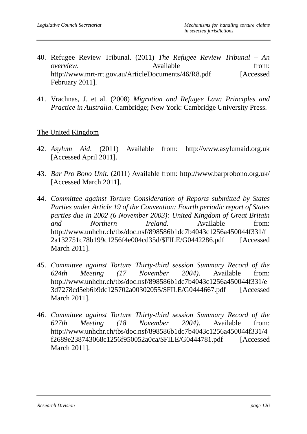- 40. Refugee Review Tribunal. (2011) *The Refugee Review Tribunal An overview*. Available **from:** Available **from:** http://www.mrt-rrt.gov.au/ArticleDocuments/46/R8.pdf [Accessed February 2011].
- 41. Vrachnas, J. et al. (2008) *Migration and Refugee Law: Principles and Practice in Australia*. Cambridge; New York: Cambridge University Press.

#### The United Kingdom

- 42. *Asylum Aid*. (2011) Available from: http://www.asylumaid.org.uk [Accessed April 2011].
- 43. *Bar Pro Bono Unit*. (2011) Available from: http://www.barprobono.org.uk/ [Accessed March 2011].
- 44. *Committee against Torture Consideration of Reports submitted by States Parties under Article 19 of the Convention: Fourth periodic report of States parties due in 2002 (6 November 2003): United Kingdom of Great Britain and Northern Ireland*. Available from: http://www.unhchr.ch/tbs/doc.nsf/898586b1dc7b4043c1256a450044f331/f 2a132751c78b199c1256f4e004cd35d/\$FILE/G0442286.pdf [Accessed March 2011].
- 45. *Committee against Torture Thirty-third session Summary Record of the 624th Meeting (17 November 2004)*. Available from: http://www.unhchr.ch/tbs/doc.nsf/898586b1dc7b4043c1256a450044f331/e 3d7278cd5eb6b9dc125702a00302055/\$FILE/G0444667.pdf [Accessed March 2011].
- 46. *Committee against Torture Thirty-third session Summary Record of the 627th Meeting (18 November 2004)*. Available from: http://www.unhchr.ch/tbs/doc.nsf/898586b1dc7b4043c1256a450044f331/4 f2689e238743068c1256f950052a0ca/\$FILE/G0444781.pdf [Accessed March 2011].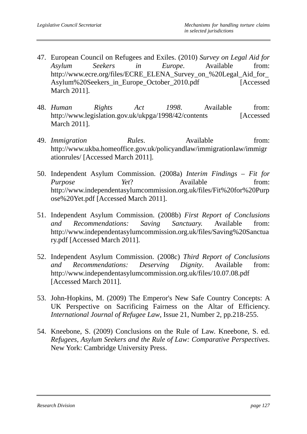- 47. European Council on Refugees and Exiles. (2010) *Survey on Legal Aid for Asylum Seekers in Europe*. Available from: http://www.ecre.org/files/ECRE\_ELENA\_Survey\_on\_%20Legal\_Aid\_for Asylum%20Seekers\_in\_Europe\_October\_2010.pdf [Accessed] March 2011].
- 48. *Human Rights Act 1998*. Available from: http://www.legislation.gov.uk/ukpga/1998/42/contents [Accessed March 2011].
- 49. *Immigration Rules*. Available from: http://www.ukba.homeoffice.gov.uk/policyandlaw/immigrationlaw/immigr ationrules/ [Accessed March 2011].
- 50. Independent Asylum Commission. (2008a) *Interim Findings Fit for Purpose Yet*? Available from: http://www.independentasylumcommission.org.uk/files/Fit%20for%20Purp ose%20Yet.pdf [Accessed March 2011].
- 51. Independent Asylum Commission. (2008b) *First Report of Conclusions and Recommendations: Saving Sanctuary.* Available from: http://www.independentasylumcommission.org.uk/files/Saving%20Sanctua ry.pdf [Accessed March 2011].
- 52. Independent Asylum Commission. (2008c) *Third Report of Conclusions and Recommendations: Deserving Dignity*. Available from: http://www.independentasylumcommission.org.uk/files/10.07.08.pdf [Accessed March 2011].
- 53. John-Hopkins, M. (2009) The Emperor's New Safe Country Concepts: A UK Perspective on Sacrificing Fairness on the Altar of Efficiency. *International Journal of Refugee Law*, Issue 21, Number 2, pp.218-255.
- 54. Kneebone, S. (2009) Conclusions on the Rule of Law. Kneebone, S. ed. *Refugees, Asylum Seekers and the Rule of Law: Comparative Perspectives*. New York: Cambridge University Press.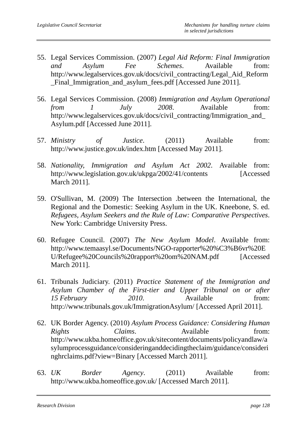- 55. Legal Services Commission. (2007) *Legal Aid Reform: Final Immigration and Asylum Fee Schemes*. Available from: http://www.legalservices.gov.uk/docs/civil\_contracting/Legal\_Aid\_Reform \_Final\_Immigration\_and\_asylum\_fees.pdf [Accessed June 2011].
- 56. Legal Services Commission. (2008) *Immigration and Asylum Operational from 1 July 2008*. Available from: http://www.legalservices.gov.uk/docs/civil\_contracting/Immigration\_and\_ Asylum.pdf [Accessed June 2011].
- 57. *Ministry of Justice*. (2011) Available from: http://www.justice.gov.uk/index.htm [Accessed May 2011].
- 58. *Nationality, Immigration and Asylum Act 2002*. Available from: http://www.legislation.gov.uk/ukpga/2002/41/contents [Accessed March 2011].
- 59. O'Sullivan, M. (2009) The Intersection .between the International, the Regional and the Domestic: Seeking Asylum in the UK. Kneebone, S. ed. *Refugees, Asylum Seekers and the Rule of Law: Comparative Perspectives*. New York: Cambridge University Press.
- 60. Refugee Council. (2007) *The New Asylum Model*. Available from: http://www.temaasyl.se/Documents/NGO-rapporter%20%C3%B6vr%20E U/Refugee%20Councils%20rapport%20om%20NAM.pdf [Accessed March 2011].
- 61. Tribunals Judiciary. (2011) *Practice Statement of the Immigration and Asylum Chamber of the First-tier and Upper Tribunal on or after 15 February 2010*. Available from: http://www.tribunals.gov.uk/ImmigrationAsylum/ [Accessed April 2011].
- 62. UK Border Agency. (2010) *Asylum Process Guidance: Considering Human Rights Claims*. Available from: http://www.ukba.homeoffice.gov.uk/sitecontent/documents/policyandlaw/a sylumprocessguidance/consideringanddecidingtheclaim/guidance/consideri nghrclaims.pdf?view=Binary [Accessed March 2011].
- 63. *UK Border Agency*. (2011) Available from: http://www.ukba.homeoffice.gov.uk/ [Accessed March 2011].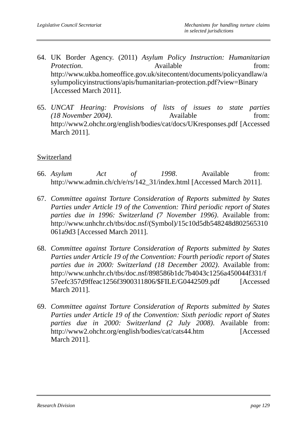- 64. UK Border Agency. (2011) *Asylum Policy Instruction: Humanitarian Protection*. Available **from:** http://www.ukba.homeoffice.gov.uk/sitecontent/documents/policyandlaw/a sylumpolicyinstructions/apis/humanitarian-protection.pdf?view=Binary [Accessed March 2011].
- 65. *UNCAT Hearing: Provisions of lists of issues to state parties (18 November 2004)*. Available from: http://www2.ohchr.org/english/bodies/cat/docs/UKresponses.pdf [Accessed March 2011].

#### Switzerland

- 66. *Asylum Act of 1998*. Available from: http://www.admin.ch/ch/e/rs/142\_31/index.html [Accessed March 2011].
- 67. *Committee against Torture Consideration of Reports submitted by States Parties under Article 19 of the Convention: Third periodic report of States parties due in 1996: Switzerland (7 November 1996)*. Available from: http://www.unhchr.ch/tbs/doc.nsf/(Symbol)/15c10d5db548248d802565310 061a9d3 [Accessed March 2011].
- 68. *Committee against Torture Consideration of Reports submitted by States Parties under Article 19 of the Convention: Fourth periodic report of States parties due in 2000: Switzerland (18 December 2002)*. Available from: http://www.unhchr.ch/tbs/doc.nsf/898586b1dc7b4043c1256a450044f331/f 57eefc357d9ffeac1256f3900311806/\$FILE/G0442509.pdf [Accessed March 2011].
- 69. *Committee against Torture Consideration of Reports submitted by States Parties under Article 19 of the Convention: Sixth periodic report of States parties due in 2000: Switzerland (2 July 2008)*. Available from: http://www2.ohchr.org/english/bodies/cat/cats44.htm [Accessed March 2011].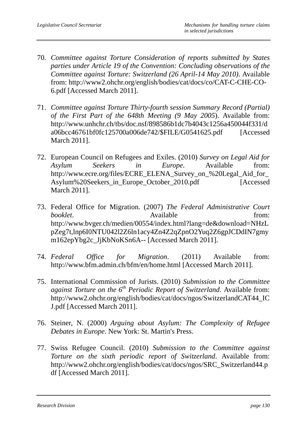- 70. *Committee against Torture Consideration of reports submitted by States parties under Article 19 of the Convention: Concluding observations of the Committee against Torture: Switzerland (26 April-14 May 2010)*. Available from: http://www2.ohchr.org/english/bodies/cat/docs/co/CAT-C-CHE-CO-6.pdf [Accessed March 2011].
- 71. *Committee against Torture Thirty-fourth session Summary Record (Partial) of the First Part of the 648th Meeting (9 May 2005*). Available from: http://www.unhchr.ch/tbs/doc.nsf/898586b1dc7b4043c1256a450044f331/d a06bcc46761bf0fc125700a006de742/\$FILE/G0541625.pdf [Accessed March 2011].
- 72. European Council on Refugees and Exiles. (2010) *Survey on Legal Aid for Asylum Seekers in Europe*. Available from: http://www.ecre.org/files/ECRE\_ELENA\_Survey\_on\_%20Legal\_Aid\_for Asylum%20Seekers\_in\_Europe\_October\_2010.pdf [Accessed] March 2011].
- 73. Federal Office for Migration. (2007) *The Federal Administrative Court booklet*. Available from: http://www.bvger.ch/medien/00554/index.html?lang=de&download=NHzL pZeg7t,lnp6I0NTU042l2Z6ln1acy4Zn4Z2qZpnO2Yuq2Z6gpJCDdIN7gmy m162epYbg2c\_JjKbNoKSn6A-- [Accessed March 2011].
- 74. *Federal Office for Migration*. (2011) Available from: http://www.bfm.admin.ch/bfm/en/home.html [Accessed March 2011].
- 75. International Commission of Jurists. (2010) *Submission to the Committee against Torture on the 6th Periodic Report of Switzerland*. Available from: http://www2.ohchr.org/english/bodies/cat/docs/ngos/SwitzerlandCAT44\_IC J.pdf [Accessed March 2011].
- 76. Steiner, N. (2000) *Arguing about Asylum: The Complexity of Refugee Debates in Europe*. New York: St. Martin's Press.
- 77. Swiss Refugee Council. (2010) *Submission to the Committee against Torture on the sixth periodic report of Switzerland*. Available from: http://www2.ohchr.org/english/bodies/cat/docs/ngos/SRC\_Switzerland44.p df [Accessed March 2011].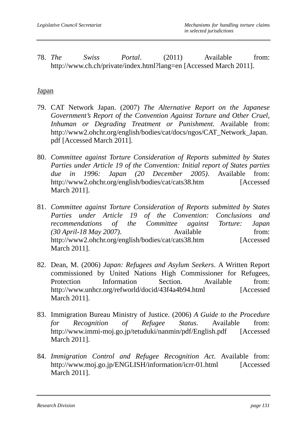78. *The Swiss Portal*. (2011) Available from: http://www.ch.ch/private/index.html?lang=en [Accessed March 2011].

#### **Japan**

- 79. CAT Network Japan. (2007) *The Alternative Report on the Japanese Government's Report of the Convention Against Torture and Other Cruel, Inhuman or Degrading Treatment or Punishment*. Available from: http://www2.ohchr.org/english/bodies/cat/docs/ngos/CAT\_Network\_Japan. pdf [Accessed March 2011].
- 80. *Committee against Torture Consideration of Reports submitted by States Parties under Article 19 of the Convention: Initial report of States parties due in 1996: Japan (20 December 2005)*. Available from: http://www2.ohchr.org/english/bodies/cat/cats38.htm [Accessed March 2011].
- 81. *Committee against Torture Consideration of Reports submitted by States Parties under Article 19 of the Convention: Conclusions and recommendations of the Committee against Torture: Japan (30 April-18 May 2007)*. Available from: http://www2.ohchr.org/english/bodies/cat/cats38.htm [Accessed March 2011].
- 82. Dean, M. (2006) *Japan: Refugees and Asylum Seekers*. A Written Report commissioned by United Nations High Commissioner for Refugees, Protection Information Section. Available from: http://www.unhcr.org/refworld/docid/43f4a4b94.html [Accessed March 2011].
- 83. Immigration Bureau Ministry of Justice. (2006) *A Guide to the Procedure for Recognition of Refugee Status*. Available from: http://www.immi-moj.go.jp/tetuduki/nanmin/pdf/English.pdf [Accessed] March 2011].
- 84. *Immigration Control and Refugee Recognition Act*. Available from: http://www.moj.go.jp/ENGLISH/information/icrr-01.html [Accessed March 2011].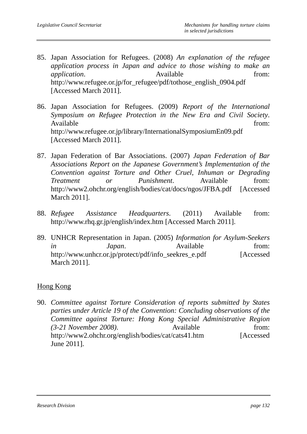- 85. Japan Association for Refugees. (2008) *An explanation of the refugee application process in Japan and advice to those wishing to make an application*. Available from: http://www.refugee.or.jp/for\_refugee/pdf/tothose\_english\_0904.pdf [Accessed March 2011].
- 86. Japan Association for Refugees. (2009) *Report of the International Symposium on Refugee Protection in the New Era and Civil Society*. Available from: http://www.refugee.or.jp/library/InternationalSymposiumEn09.pdf [Accessed March 2011].
- 87. Japan Federation of Bar Associations. (2007) *Japan Federation of Bar Associations Report on the Japanese Government's Implementation of the Convention against Torture and Other Cruel, Inhuman or Degrading Treatment or Punishment*. Available from: http://www2.ohchr.org/english/bodies/cat/docs/ngos/JFBA.pdf [Accessed March 2011].
- 88. *Refugee Assistance Headquarters*. (2011) Available from: http://www.rhq.gr.jp/english/index.htm [Accessed March 2011].
- 89. UNHCR Representation in Japan. (2005) *Information for Asylum-Seekers in Japan*. Available from: http://www.unhcr.or.jp/protect/pdf/info\_seekres\_e.pdf [Accessed March 2011].

### Hong Kong

90. *Committee against Torture Consideration of reports submitted by States parties under Article 19 of the Convention: Concluding observations of the Committee against Torture: Hong Kong Special Administrative Region (3-21 November 2008)*. Available from: http://www2.ohchr.org/english/bodies/cat/cats41.htm [Accessed June 2011].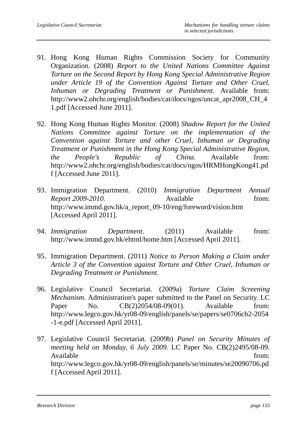- 91. Hong Kong Human Rights Commission Society for Community Organization. (2008) *Report to the United Nations Committee Against Torture on the Second Report by Hong Kong Special Administrative Region under Article 19 of the Convention Against Torture and Other Cruel, Inhuman or Degrading Treatment or Punishment*. Available from: http://www2.ohchr.org/english/bodies/cat/docs/ngos/uncat\_apr2008\_CH\_4 1.pdf [Accessed June 2011].
- 92. Hong Kong Human Rights Monitor. (2008) *Shadow Report for the United Nations Committee against Torture on the implementation of the Convention against Torture and other Cruel, Inhuman or Degrading Treatment or Punishment in the Hong Kong Special Administrative Region, the People's Republic of China*. Available from: http://www2.ohchr.org/english/bodies/cat/docs/ngos/HRMHongKong41.pd f [Accessed June 2011].
- 93. Immigration Department. (2010) *Immigration Department Annual Report 2009-2010.* Available from: http://www.immd.gov.hk/a\_report\_09-10/eng/foreword/vision.htm [Accessed April 2011].
- 94. *Immigration Department*. (2011) Available from: http://www.immd.gov.hk/ehtml/home.htm [Accessed April 2011].
- 95. Immigration Department. (2011) *Notice to Person Making a Claim under Article 3 of the Convention against Torture and Other Cruel, Inhuman or Degrading Treatment or Punishment*.
- 96. Legislative Council Secretariat. (2009a) *Torture Claim Screening Mechanism*. Administration's paper submitted to the Panel on Security. LC Paper No. CB(2)2054/08-09(01). Available from: http://www.legco.gov.hk/yr08-09/english/panels/se/papers/se0706cb2-2054 -1-e.pdf [Accessed April 2011].
- 97. Legislative Council Secretariat. (2009b) *Panel on Security Minutes of meeting held on Monday, 6 July 2009.* LC Paper No. CB(2)2495/08-09. Available from: http://www.legco.gov.hk/yr08-09/english/panels/se/minutes/se20090706.pd f [Accessed April 2011].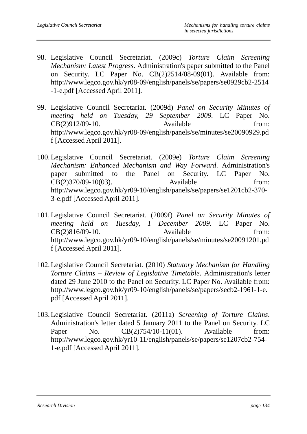- 98. Legislative Council Secretariat. (2009c) *Torture Claim Screening Mechanism: Latest Progress*. Administration's paper submitted to the Panel on Security. LC Paper No. CB(2)2514/08-09(01). Available from: http://www.legco.gov.hk/yr08-09/english/panels/se/papers/se0929cb2-2514 -1-e.pdf [Accessed April 2011].
- 99. Legislative Council Secretariat. (2009d) *Panel on Security Minutes of meeting held on Tuesday, 29 September 2009.* LC Paper No.  $CB(2)912/09-10.$  Available from: http://www.legco.gov.hk/yr08-09/english/panels/se/minutes/se20090929.pd f [Accessed April 2011].
- 100.Legislative Council Secretariat. (2009e) *Torture Claim Screening Mechanism: Enhanced Mechanism and Way Forward*. Administration's paper submitted to the Panel on Security. LC Paper No. CB(2)370/09-10(03). Available from: http://www.legco.gov.hk/yr09-10/english/panels/se/papers/se1201cb2-370- 3-e.pdf [Accessed April 2011].
- 101.Legislative Council Secretariat. (2009f) *Panel on Security Minutes of meeting held on Tuesday, 1 December 2009.* LC Paper No.  $CB(2)816/09-10.$  Available from: http://www.legco.gov.hk/yr09-10/english/panels/se/minutes/se20091201.pd f [Accessed April 2011].
- 102.Legislative Council Secretariat. (2010) *Statutory Mechanism for Handling Torture Claims – Review of Legislative Timetable*. Administration's letter dated 29 June 2010 to the Panel on Security. LC Paper No. Available from: http://www.legco.gov.hk/yr09-10/english/panels/se/papers/secb2-1961-1-e. pdf [Accessed April 2011].
- 103.Legislative Council Secretariat. (2011a) *Screening of Torture Claims*. Administration's letter dated 5 January 2011 to the Panel on Security. LC Paper No. CB(2)754/10-11(01). Available from: http://www.legco.gov.hk/yr10-11/english/panels/se/papers/se1207cb2-754- 1-e.pdf [Accessed April 2011].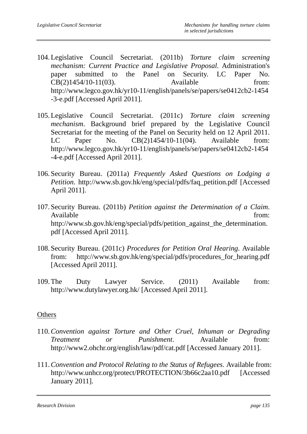- 104.Legislative Council Secretariat. (2011b) *Torture claim screening mechanism: Current Practice and Legislative Proposal*. Administration's paper submitted to the Panel on Security. LC Paper No. CB(2)1454/10-11(03). Available from: http://www.legco.gov.hk/yr10-11/english/panels/se/papers/se0412cb2-1454 -3-e.pdf [Accessed April 2011].
- 105.Legislative Council Secretariat. (2011c) *Torture claim screening mechanism*. Background brief prepared by the Legislative Council Secretariat for the meeting of the Panel on Security held on 12 April 2011. LC Paper No. CB(2)1454/10-11(04). Available from: http://www.legco.gov.hk/yr10-11/english/panels/se/papers/se0412cb2-1454 -4-e.pdf [Accessed April 2011].
- 106. Security Bureau. (2011a) *Frequently Asked Questions on Lodging a Petition*. http://www.sb.gov.hk/eng/special/pdfs/faq\_petition.pdf [Accessed April 2011].
- 107. Security Bureau. (2011b) *Petition against the Determination of a Claim*. Available from: http://www.sb.gov.hk/eng/special/pdfs/petition against the determination. pdf [Accessed April 2011].
- 108. Security Bureau. (2011c) *Procedures for Petition Oral Hearing*. Available from: http://www.sb.gov.hk/eng/special/pdfs/procedures\_for\_hearing.pdf [Accessed April 2011].
- 109.The Duty Lawyer Service. (2011) Available from: http://www.dutylawyer.org.hk/ [Accessed April 2011].

#### **Others**

- 110.*Convention against Torture and Other Cruel, Inhuman or Degrading Treatment or Punishment*. Available from: http://www2.ohchr.org/english/law/pdf/cat.pdf [Accessed January 2011].
- 111.*Convention and Protocol Relating to the Status of Refugees*. Available from: http://www.unhcr.org/protect/PROTECTION/3b66c2aa10.pdf [Accessed January 2011].